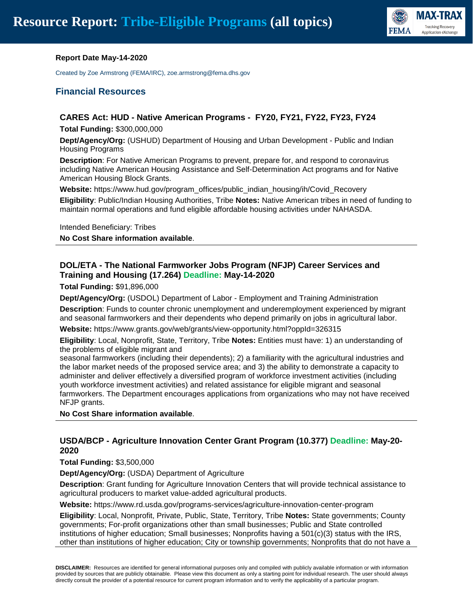

#### **Report Date May-14-2020**

Created by Zoe Armstrong (FEMA/IRC), zoe.armstrong@fema.dhs.gov

#### **Financial Resources**

#### **CARES Act: HUD - Native American Programs - FY20, FY21, FY22, FY23, FY24**

**Total Funding:** \$300,000,000

**Dept/Agency/Org:** (USHUD) Department of Housing and Urban Development - Public and Indian Housing Programs

**Description**: For Native American Programs to prevent, prepare for, and respond to coronavirus including Native American Housing Assistance and Self-Determination Act programs and for Native American Housing Block Grants.

**Website:** https://www.hud.gov/program\_offices/public\_indian\_housing/ih/Covid\_Recovery

**Eligibility**: Public/Indian Housing Authorities, Tribe **Notes:** Native American tribes in need of funding to maintain normal operations and fund eligible affordable housing activities under NAHASDA.

Intended Beneficiary: Tribes

**No Cost Share information available**.

# **DOL/ETA - The National Farmworker Jobs Program (NFJP) Career Services and Training and Housing (17.264) Deadline: May-14-2020**

**Total Funding:** \$91,896,000

**Dept/Agency/Org:** (USDOL) Department of Labor - Employment and Training Administration

**Description**: Funds to counter chronic unemployment and underemployment experienced by migrant and seasonal farmworkers and their dependents who depend primarily on jobs in agricultural labor.

**Website:** https://www.grants.gov/web/grants/view-opportunity.html?oppId=326315

**Eligibility**: Local, Nonprofit, State, Territory, Tribe **Notes:** Entities must have: 1) an understanding of the problems of eligible migrant and

seasonal farmworkers (including their dependents); 2) a familiarity with the agricultural industries and the labor market needs of the proposed service area; and 3) the ability to demonstrate a capacity to administer and deliver effectively a diversified program of workforce investment activities (including youth workforce investment activities) and related assistance for eligible migrant and seasonal farmworkers. The Department encourages applications from organizations who may not have received NFJP grants.

**No Cost Share information available**.

#### **USDA/BCP - Agriculture Innovation Center Grant Program (10.377) Deadline: May-20- 2020**

**Total Funding:** \$3,500,000

**Dept/Agency/Org:** (USDA) Department of Agriculture

**Description**: Grant funding for Agriculture Innovation Centers that will provide technical assistance to agricultural producers to market value-added agricultural products.

**Website:** https://www.rd.usda.gov/programs-services/agriculture-innovation-center-program

**Eligibility**: Local, Nonprofit, Private, Public, State, Territory, Tribe **Notes:** State governments; County governments; For-profit organizations other than small businesses; Public and State controlled institutions of higher education; Small businesses; Nonprofits having a 501(c)(3) status with the IRS, other than institutions of higher education; City or township governments; Nonprofits that do not have a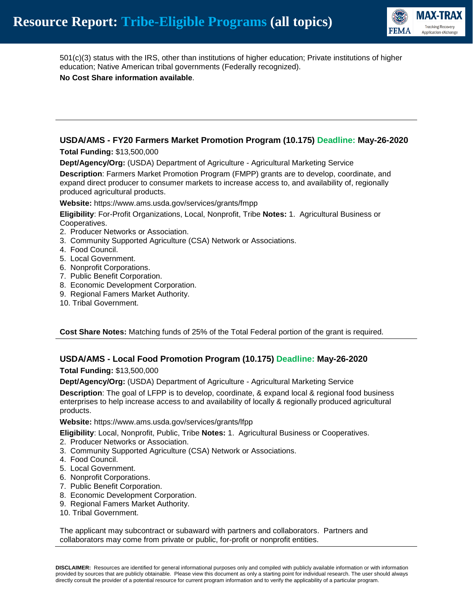

501(c)(3) status with the IRS, other than institutions of higher education; Private institutions of higher education; Native American tribal governments (Federally recognized).

**No Cost Share information available**.

# **USDA/AMS - FY20 Farmers Market Promotion Program (10.175) Deadline: May-26-2020**

**Total Funding:** \$13,500,000

**Dept/Agency/Org:** (USDA) Department of Agriculture - Agricultural Marketing Service

**Description**: Farmers Market Promotion Program (FMPP) grants are to develop, coordinate, and expand direct producer to consumer markets to increase access to, and availability of, regionally produced agricultural products.

**Website:** https://www.ams.usda.gov/services/grants/fmpp

**Eligibility**: For-Profit Organizations, Local, Nonprofit, Tribe **Notes:** 1. Agricultural Business or Cooperatives.

- 2. Producer Networks or Association.
- 3. Community Supported Agriculture (CSA) Network or Associations.
- 4. Food Council.
- 5. Local Government.
- 6. Nonprofit Corporations.
- 7. Public Benefit Corporation.
- 8. Economic Development Corporation.
- 9. Regional Famers Market Authority.
- 10. Tribal Government.

**Cost Share Notes:** Matching funds of 25% of the Total Federal portion of the grant is required.

# **USDA/AMS - Local Food Promotion Program (10.175) Deadline: May-26-2020**

**Total Funding:** \$13,500,000

**Dept/Agency/Org:** (USDA) Department of Agriculture - Agricultural Marketing Service

**Description**: The goal of LFPP is to develop, coordinate, & expand local & regional food business enterprises to help increase access to and availability of locally & regionally produced agricultural products.

**Website:** https://www.ams.usda.gov/services/grants/lfpp

**Eligibility**: Local, Nonprofit, Public, Tribe **Notes:** 1. Agricultural Business or Cooperatives.

- 2. Producer Networks or Association.
- 3. Community Supported Agriculture (CSA) Network or Associations.
- 4. Food Council.
- 5. Local Government.
- 6. Nonprofit Corporations.
- 7. Public Benefit Corporation.
- 8. Economic Development Corporation.
- 9. Regional Famers Market Authority.
- 10. Tribal Government.

The applicant may subcontract or subaward with partners and collaborators. Partners and collaborators may come from private or public, for-profit or nonprofit entities.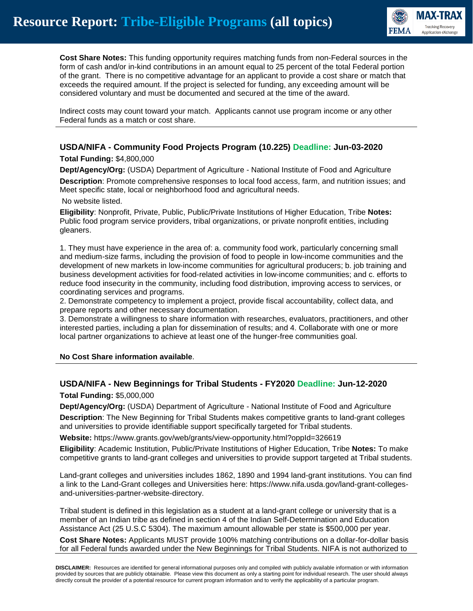

**Cost Share Notes:** This funding opportunity requires matching funds from non-Federal sources in the form of cash and/or in-kind contributions in an amount equal to 25 percent of the total Federal portion of the grant. There is no competitive advantage for an applicant to provide a cost share or match that exceeds the required amount. If the project is selected for funding, any exceeding amount will be considered voluntary and must be documented and secured at the time of the award.

Indirect costs may count toward your match. Applicants cannot use program income or any other Federal funds as a match or cost share.

# **USDA/NIFA - Community Food Projects Program (10.225) Deadline: Jun-03-2020**

#### **Total Funding:** \$4,800,000

**Dept/Agency/Org:** (USDA) Department of Agriculture - National Institute of Food and Agriculture

**Description**: Promote comprehensive responses to local food access, farm, and nutrition issues; and Meet specific state, local or neighborhood food and agricultural needs.

#### No website listed.

**Eligibility**: Nonprofit, Private, Public, Public/Private Institutions of Higher Education, Tribe **Notes:** Public food program service providers, tribal organizations, or private nonprofit entities, including gleaners.

1. They must have experience in the area of: a. community food work, particularly concerning small and medium-size farms, including the provision of food to people in low-income communities and the development of new markets in low-income communities for agricultural producers; b. job training and business development activities for food-related activities in low-income communities; and c. efforts to reduce food insecurity in the community, including food distribution, improving access to services, or coordinating services and programs.

2. Demonstrate competency to implement a project, provide fiscal accountability, collect data, and prepare reports and other necessary documentation.

3. Demonstrate a willingness to share information with researches, evaluators, practitioners, and other interested parties, including a plan for dissemination of results; and 4. Collaborate with one or more local partner organizations to achieve at least one of the hunger-free communities goal.

#### **No Cost Share information available**.

#### **USDA/NIFA - New Beginnings for Tribal Students - FY2020 Deadline: Jun-12-2020**

**Total Funding:** \$5,000,000

**Dept/Agency/Org:** (USDA) Department of Agriculture - National Institute of Food and Agriculture **Description**: The New Beginning for Tribal Students makes competitive grants to land-grant colleges and universities to provide identifiable support specifically targeted for Tribal students.

**Website:** https://www.grants.gov/web/grants/view-opportunity.html?oppId=326619

**Eligibility**: Academic Institution, Public/Private Institutions of Higher Education, Tribe **Notes:** To make competitive grants to land-grant colleges and universities to provide support targeted at Tribal students.

Land-grant colleges and universities includes 1862, 1890 and 1994 land-grant institutions. You can find a link to the Land-Grant colleges and Universities here: https://www.nifa.usda.gov/land-grant-collegesand-universities-partner-website-directory.

Tribal student is defined in this legislation as a student at a land-grant college or university that is a member of an Indian tribe as defined in section 4 of the Indian Self-Determination and Education Assistance Act (25 U.S.C 5304). The maximum amount allowable per state is \$500,000 per year.

**Cost Share Notes:** Applicants MUST provide 100% matching contributions on a dollar-for-dollar basis for all Federal funds awarded under the New Beginnings for Tribal Students. NIFA is not authorized to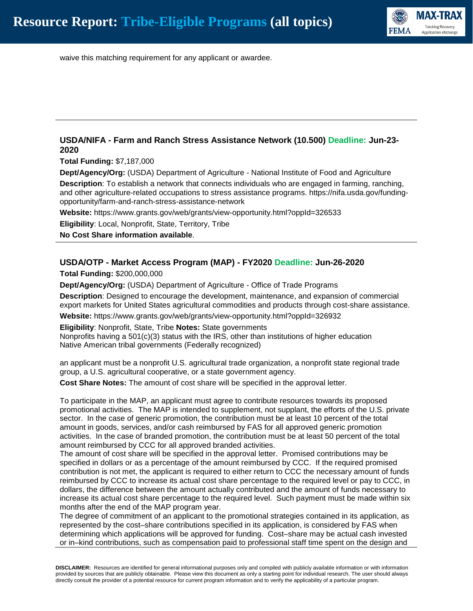

waive this matching requirement for any applicant or awardee.

# **USDA/NIFA - Farm and Ranch Stress Assistance Network (10.500) Deadline: Jun-23- 2020**

**Total Funding:** \$7,187,000

**Dept/Agency/Org:** (USDA) Department of Agriculture - National Institute of Food and Agriculture **Description**: To establish a network that connects individuals who are engaged in farming, ranching, and other agriculture-related occupations to stress assistance programs. https://nifa.usda.gov/fundingopportunity/farm-and-ranch-stress-assistance-network

**Website:** https://www.grants.gov/web/grants/view-opportunity.html?oppId=326533

**Eligibility**: Local, Nonprofit, State, Territory, Tribe

**No Cost Share information available**.

#### **USDA/OTP - Market Access Program (MAP) - FY2020 Deadline: Jun-26-2020**

**Total Funding:** \$200,000,000

**Dept/Agency/Org:** (USDA) Department of Agriculture - Office of Trade Programs

**Description**: Designed to encourage the development, maintenance, and expansion of commercial export markets for United States agricultural commodities and products through cost-share assistance. **Website:** https://www.grants.gov/web/grants/view-opportunity.html?oppId=326932

**Eligibility**: Nonprofit, State, Tribe **Notes:** State governments

Nonprofits having a  $501(c)(3)$  status with the IRS, other than institutions of higher education Native American tribal governments (Federally recognized)

an applicant must be a nonprofit U.S. agricultural trade organization, a nonprofit state regional trade group, a U.S. agricultural cooperative, or a state government agency.

**Cost Share Notes:** The amount of cost share will be specified in the approval letter.

To participate in the MAP, an applicant must agree to contribute resources towards its proposed promotional activities. The MAP is intended to supplement, not supplant, the efforts of the U.S. private sector. In the case of generic promotion, the contribution must be at least 10 percent of the total amount in goods, services, and/or cash reimbursed by FAS for all approved generic promotion activities. In the case of branded promotion, the contribution must be at least 50 percent of the total amount reimbursed by CCC for all approved branded activities.

The amount of cost share will be specified in the approval letter. Promised contributions may be specified in dollars or as a percentage of the amount reimbursed by CCC. If the required promised contribution is not met, the applicant is required to either return to CCC the necessary amount of funds reimbursed by CCC to increase its actual cost share percentage to the required level or pay to CCC, in dollars, the difference between the amount actually contributed and the amount of funds necessary to increase its actual cost share percentage to the required level. Such payment must be made within six months after the end of the MAP program year.

The degree of commitment of an applicant to the promotional strategies contained in its application, as represented by the cost–share contributions specified in its application, is considered by FAS when determining which applications will be approved for funding. Cost–share may be actual cash invested or in–kind contributions, such as compensation paid to professional staff time spent on the design and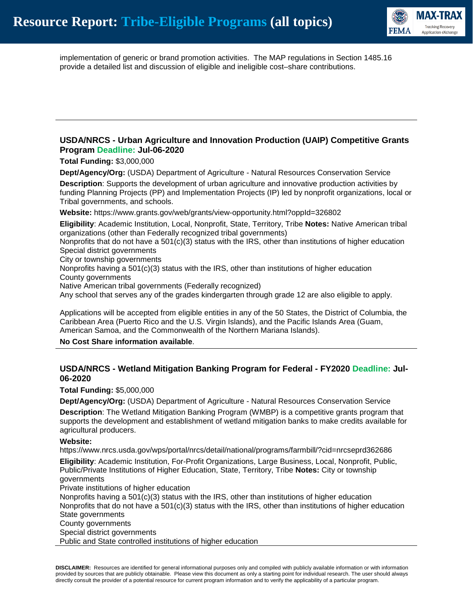

implementation of generic or brand promotion activities. The MAP regulations in Section 1485.16 provide a detailed list and discussion of eligible and ineligible cost–share contributions.

#### **USDA/NRCS - Urban Agriculture and Innovation Production (UAIP) Competitive Grants Program Deadline: Jul-06-2020**

**Total Funding:** \$3,000,000

**Dept/Agency/Org:** (USDA) Department of Agriculture - Natural Resources Conservation Service

**Description**: Supports the development of urban agriculture and innovative production activities by funding Planning Projects (PP) and Implementation Projects (IP) led by nonprofit organizations, local or Tribal governments, and schools.

**Website:** https://www.grants.gov/web/grants/view-opportunity.html?oppId=326802

**Eligibility**: Academic Institution, Local, Nonprofit, State, Territory, Tribe **Notes:** Native American tribal organizations (other than Federally recognized tribal governments)

Nonprofits that do not have a  $501(c)(3)$  status with the IRS, other than institutions of higher education Special district governments

City or township governments

Nonprofits having a 501(c)(3) status with the IRS, other than institutions of higher education County governments

Native American tribal governments (Federally recognized)

Any school that serves any of the grades kindergarten through grade 12 are also eligible to apply.

Applications will be accepted from eligible entities in any of the 50 States, the District of Columbia, the Caribbean Area (Puerto Rico and the U.S. Virgin Islands), and the Pacific Islands Area (Guam, American Samoa, and the Commonwealth of the Northern Mariana Islands).

**No Cost Share information available**.

#### **USDA/NRCS - Wetland Mitigation Banking Program for Federal - FY2020 Deadline: Jul-06-2020**

**Total Funding:** \$5,000,000

**Dept/Agency/Org:** (USDA) Department of Agriculture - Natural Resources Conservation Service **Description**: The Wetland Mitigation Banking Program (WMBP) is a competitive grants program that supports the development and establishment of wetland mitigation banks to make credits available for agricultural producers.

#### **Website:**

https://www.nrcs.usda.gov/wps/portal/nrcs/detail/national/programs/farmbill/?cid=nrcseprd362686

**Eligibility**: Academic Institution, For-Profit Organizations, Large Business, Local, Nonprofit, Public, Public/Private Institutions of Higher Education, State, Territory, Tribe **Notes:** City or township governments

Private institutions of higher education

Nonprofits having a  $501(c)(3)$  status with the IRS, other than institutions of higher education Nonprofits that do not have a  $501(c)(3)$  status with the IRS, other than institutions of higher education State governments

County governments

Special district governments

Public and State controlled institutions of higher education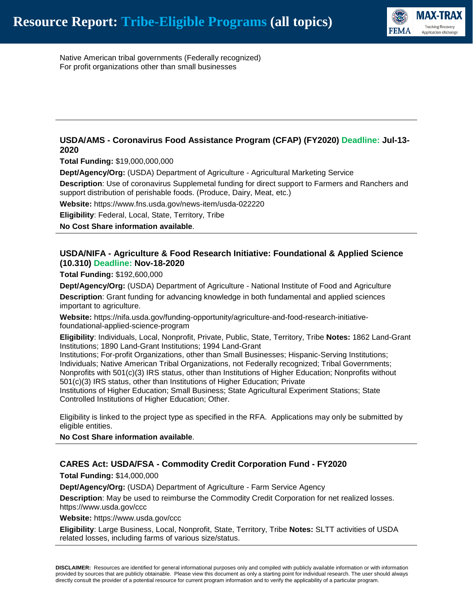

Native American tribal governments (Federally recognized) For profit organizations other than small businesses

# **USDA/AMS - Coronavirus Food Assistance Program (CFAP) (FY2020) Deadline: Jul-13- 2020**

**Total Funding:** \$19,000,000,000

**Dept/Agency/Org:** (USDA) Department of Agriculture - Agricultural Marketing Service

**Description**: Use of coronavirus Supplemetal funding for direct support to Farmers and Ranchers and support distribution of perishable foods. (Produce, Dairy, Meat, etc.)

**Website:** https://www.fns.usda.gov/news-item/usda-022220

**Eligibility**: Federal, Local, State, Territory, Tribe

**No Cost Share information available**.

# **USDA/NIFA - Agriculture & Food Research Initiative: Foundational & Applied Science (10.310) Deadline: Nov-18-2020**

**Total Funding:** \$192,600,000

**Dept/Agency/Org:** (USDA) Department of Agriculture - National Institute of Food and Agriculture **Description**: Grant funding for advancing knowledge in both fundamental and applied sciences

important to agriculture.

**Website:** https://nifa.usda.gov/funding-opportunity/agriculture-and-food-research-initiativefoundational-applied-science-program

**Eligibility**: Individuals, Local, Nonprofit, Private, Public, State, Territory, Tribe **Notes:** 1862 Land-Grant Institutions; 1890 Land-Grant Institutions; 1994 Land-Grant

Institutions; For-profit Organizations, other than Small Businesses; Hispanic-Serving Institutions; Individuals; Native American Tribal Organizations, not Federally recognized; Tribal Governments; Nonprofits with 501(c)(3) IRS status, other than Institutions of Higher Education; Nonprofits without 501(c)(3) IRS status, other than Institutions of Higher Education; Private

Institutions of Higher Education; Small Business; State Agricultural Experiment Stations; State Controlled Institutions of Higher Education; Other.

Eligibility is linked to the project type as specified in the RFA. Applications may only be submitted by eligible entities.

**No Cost Share information available**.

#### **CARES Act: USDA/FSA - Commodity Credit Corporation Fund - FY2020**

**Total Funding:** \$14,000,000

**Dept/Agency/Org:** (USDA) Department of Agriculture - Farm Service Agency

**Description**: May be used to reimburse the Commodity Credit Corporation for net realized losses. https://www.usda.gov/ccc

**Website:** https://www.usda.gov/ccc

**Eligibility**: Large Business, Local, Nonprofit, State, Territory, Tribe **Notes:** SLTT activities of USDA related losses, including farms of various size/status.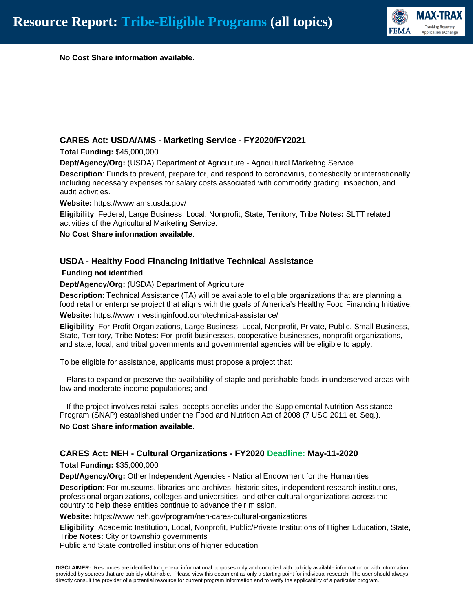

**No Cost Share information available**.

#### **CARES Act: USDA/AMS - Marketing Service - FY2020/FY2021**

**Total Funding:** \$45,000,000

**Dept/Agency/Org:** (USDA) Department of Agriculture - Agricultural Marketing Service

**Description**: Funds to prevent, prepare for, and respond to coronavirus, domestically or internationally, including necessary expenses for salary costs associated with commodity grading, inspection, and audit activities.

**Website:** https://www.ams.usda.gov/

**Eligibility**: Federal, Large Business, Local, Nonprofit, State, Territory, Tribe **Notes:** SLTT related activities of the Agricultural Marketing Service.

**No Cost Share information available**.

#### **USDA - Healthy Food Financing Initiative Technical Assistance**

#### **Funding not identified**

**Dept/Agency/Org:** (USDA) Department of Agriculture

**Description**: Technical Assistance (TA) will be available to eligible organizations that are planning a food retail or enterprise project that aligns with the goals of America's Healthy Food Financing Initiative.

**Website:** https://www.investinginfood.com/technical-assistance/

**Eligibility**: For-Profit Organizations, Large Business, Local, Nonprofit, Private, Public, Small Business, State, Territory, Tribe **Notes:** For-profit businesses, cooperative businesses, nonprofit organizations, and state, local, and tribal governments and governmental agencies will be eligible to apply.

To be eligible for assistance, applicants must propose a project that:

- Plans to expand or preserve the availability of staple and perishable foods in underserved areas with low and moderate-income populations; and

- If the project involves retail sales, accepts benefits under the Supplemental Nutrition Assistance Program (SNAP) established under the Food and Nutrition Act of 2008 (7 USC 2011 et. Seq.).

**No Cost Share information available**.

# **CARES Act: NEH - Cultural Organizations - FY2020 Deadline: May-11-2020**

**Total Funding:** \$35,000,000

**Dept/Agency/Org:** Other Independent Agencies - National Endowment for the Humanities

**Description**: For museums, libraries and archives, historic sites, independent research institutions, professional organizations, colleges and universities, and other cultural organizations across the country to help these entities continue to advance their mission.

**Website:** https://www.neh.gov/program/neh-cares-cultural-organizations

**Eligibility**: Academic Institution, Local, Nonprofit, Public/Private Institutions of Higher Education, State, Tribe **Notes:** City or township governments

Public and State controlled institutions of higher education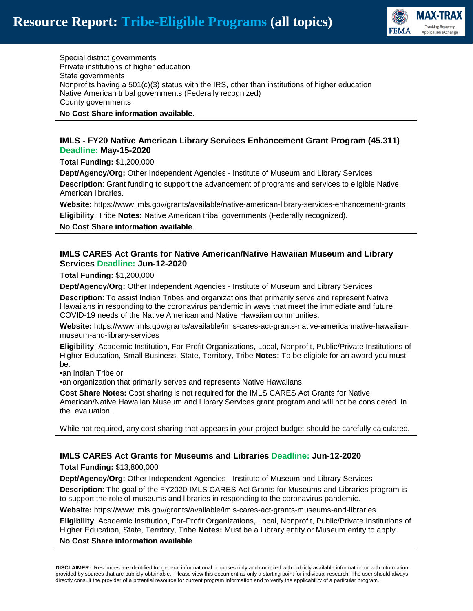

Special district governments Private institutions of higher education State governments Nonprofits having a  $501(c)(3)$  status with the IRS, other than institutions of higher education Native American tribal governments (Federally recognized) County governments

#### **No Cost Share information available**.

#### **IMLS - FY20 Native American Library Services Enhancement Grant Program (45.311) Deadline: May-15-2020**

**Total Funding:** \$1,200,000

**Dept/Agency/Org:** Other Independent Agencies - Institute of Museum and Library Services **Description**: Grant funding to support the advancement of programs and services to eligible Native American libraries.

**Website:** https://www.imls.gov/grants/available/native-american-library-services-enhancement-grants **Eligibility**: Tribe **Notes:** Native American tribal governments (Federally recognized).

**No Cost Share information available**.

#### **IMLS CARES Act Grants for Native American/Native Hawaiian Museum and Library Services Deadline: Jun-12-2020**

**Total Funding:** \$1,200,000

**Dept/Agency/Org:** Other Independent Agencies - Institute of Museum and Library Services

**Description**: To assist Indian Tribes and organizations that primarily serve and represent Native Hawaiians in responding to the coronavirus pandemic in ways that meet the immediate and future COVID-19 needs of the Native American and Native Hawaiian communities.

**Website:** https://www.imls.gov/grants/available/imls-cares-act-grants-native-americannative-hawaiianmuseum-and-library-services

**Eligibility**: Academic Institution, For-Profit Organizations, Local, Nonprofit, Public/Private Institutions of Higher Education, Small Business, State, Territory, Tribe **Notes:** To be eligible for an award you must be:

•an Indian Tribe or

•an organization that primarily serves and represents Native Hawaiians

**Cost Share Notes:** Cost sharing is not required for the IMLS CARES Act Grants for Native American/Native Hawaiian Museum and Library Services grant program and will not be considered in the evaluation.

While not required, any cost sharing that appears in your project budget should be carefully calculated.

# **IMLS CARES Act Grants for Museums and Libraries Deadline: Jun-12-2020**

**Total Funding:** \$13,800,000

**Dept/Agency/Org:** Other Independent Agencies - Institute of Museum and Library Services **Description**: The goal of the FY2020 IMLS CARES Act Grants for Museums and Libraries program is to support the role of museums and libraries in responding to the coronavirus pandemic.

**Website:** https://www.imls.gov/grants/available/imls-cares-act-grants-museums-and-libraries

**Eligibility**: Academic Institution, For-Profit Organizations, Local, Nonprofit, Public/Private Institutions of Higher Education, State, Territory, Tribe **Notes:** Must be a Library entity or Museum entity to apply.

**No Cost Share information available**.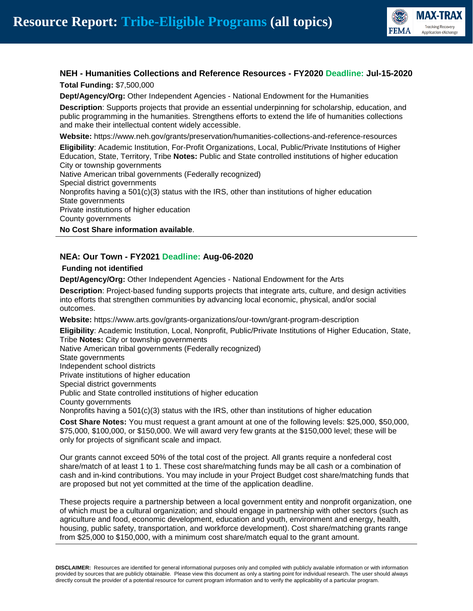

# **NEH - Humanities Collections and Reference Resources - FY2020 Deadline: Jul-15-2020**

**Total Funding:** \$7,500,000

**Dept/Agency/Org:** Other Independent Agencies - National Endowment for the Humanities

**Description**: Supports projects that provide an essential underpinning for scholarship, education, and public programming in the humanities. Strengthens efforts to extend the life of humanities collections and make their intellectual content widely accessible.

**Website:** https://www.neh.gov/grants/preservation/humanities-collections-and-reference-resources

**Eligibility**: Academic Institution, For-Profit Organizations, Local, Public/Private Institutions of Higher Education, State, Territory, Tribe **Notes:** Public and State controlled institutions of higher education City or township governments Native American tribal governments (Federally recognized) Special district governments

Nonprofits having a 501(c)(3) status with the IRS, other than institutions of higher education State governments Private institutions of higher education County governments

**No Cost Share information available**.

# **NEA: Our Town - FY2021 Deadline: Aug-06-2020**

#### **Funding not identified**

**Dept/Agency/Org:** Other Independent Agencies - National Endowment for the Arts

**Description**: Project-based funding supports projects that integrate arts, culture, and design activities into efforts that strengthen communities by advancing local economic, physical, and/or social outcomes.

**Website:** https://www.arts.gov/grants-organizations/our-town/grant-program-description

**Eligibility**: Academic Institution, Local, Nonprofit, Public/Private Institutions of Higher Education, State, Tribe **Notes:** City or township governments

Native American tribal governments (Federally recognized) State governments Independent school districts Private institutions of higher education Special district governments Public and State controlled institutions of higher education County governments Nonprofits having a  $501(c)(3)$  status with the IRS, other than institutions of higher education

**Cost Share Notes:** You must request a grant amount at one of the following levels: \$25,000, \$50,000, \$75,000, \$100,000, or \$150,000. We will award very few grants at the \$150,000 level; these will be only for projects of significant scale and impact.

Our grants cannot exceed 50% of the total cost of the project. All grants require a nonfederal cost share/match of at least 1 to 1. These cost share/matching funds may be all cash or a combination of cash and in-kind contributions. You may include in your Project Budget cost share/matching funds that are proposed but not yet committed at the time of the application deadline.

These projects require a partnership between a local government entity and nonprofit organization, one of which must be a cultural organization; and should engage in partnership with other sectors (such as agriculture and food, economic development, education and youth, environment and energy, health, housing, public safety, transportation, and workforce development). Cost share/matching grants range from \$25,000 to \$150,000, with a minimum cost share/match equal to the grant amount.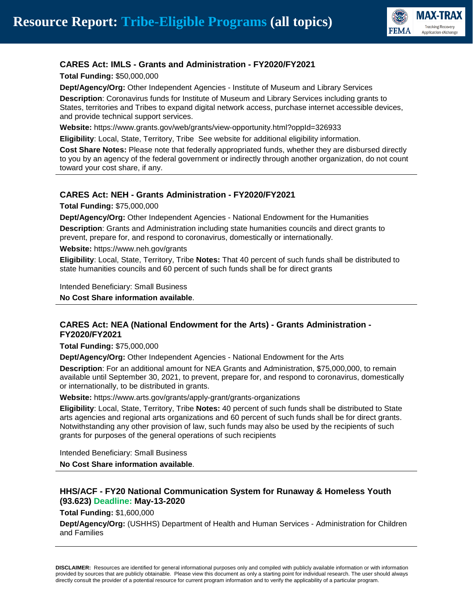

# **CARES Act: IMLS - Grants and Administration - FY2020/FY2021**

**Total Funding:** \$50,000,000

**Dept/Agency/Org:** Other Independent Agencies - Institute of Museum and Library Services

**Description**: Coronavirus funds for Institute of Museum and Library Services including grants to States, territories and Tribes to expand digital network access, purchase internet accessible devices, and provide technical support services.

**Website:** https://www.grants.gov/web/grants/view-opportunity.html?oppId=326933

**Eligibility**: Local, State, Territory, Tribe See website for additional eligibility information.

**Cost Share Notes:** Please note that federally appropriated funds, whether they are disbursed directly to you by an agency of the federal government or indirectly through another organization, do not count toward your cost share, if any.

#### **CARES Act: NEH - Grants Administration - FY2020/FY2021**

**Total Funding:** \$75,000,000

**Dept/Agency/Org:** Other Independent Agencies - National Endowment for the Humanities

**Description**: Grants and Administration including state humanities councils and direct grants to prevent, prepare for, and respond to coronavirus, domestically or internationally.

**Website:** https://www.neh.gov/grants

**Eligibility**: Local, State, Territory, Tribe **Notes:** That 40 percent of such funds shall be distributed to state humanities councils and 60 percent of such funds shall be for direct grants

Intended Beneficiary: Small Business

**No Cost Share information available**.

#### **CARES Act: NEA (National Endowment for the Arts) - Grants Administration - FY2020/FY2021**

**Total Funding:** \$75,000,000

**Dept/Agency/Org:** Other Independent Agencies - National Endowment for the Arts

**Description**: For an additional amount for NEA Grants and Administration, \$75,000,000, to remain available until September 30, 2021, to prevent, prepare for, and respond to coronavirus, domestically or internationally, to be distributed in grants.

**Website:** https://www.arts.gov/grants/apply-grant/grants-organizations

**Eligibility**: Local, State, Territory, Tribe **Notes:** 40 percent of such funds shall be distributed to State arts agencies and regional arts organizations and 60 percent of such funds shall be for direct grants. Notwithstanding any other provision of law, such funds may also be used by the recipients of such grants for purposes of the general operations of such recipients

Intended Beneficiary: Small Business **No Cost Share information available**.

# **HHS/ACF - FY20 National Communication System for Runaway & Homeless Youth (93.623) Deadline: May-13-2020**

**Total Funding:** \$1,600,000

**Dept/Agency/Org:** (USHHS) Department of Health and Human Services - Administration for Children and Families

**DISCLAIMER:** Resources are identified for general informational purposes only and compiled with publicly available information or with information provided by sources that are publicly obtainable. Please view this document as only a starting point for individual research. The user should always directly consult the provider of a potential resource for current program information and to verify the applicability of a particular program.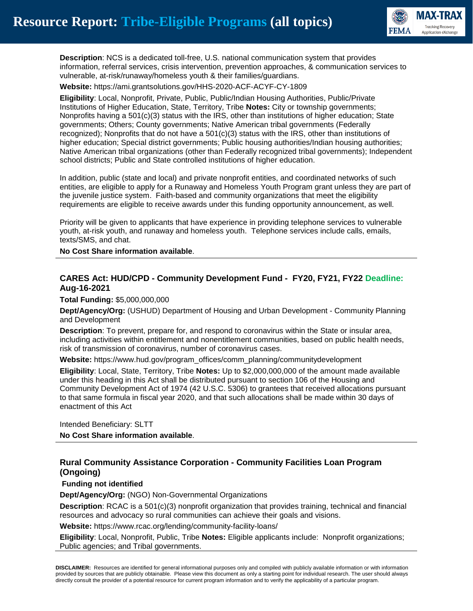

**Description**: NCS is a dedicated toll-free, U.S. national communication system that provides information, referral services, crisis intervention, prevention approaches, & communication services to vulnerable, at-risk/runaway/homeless youth & their families/guardians.

**Website:** https://ami.grantsolutions.gov/HHS-2020-ACF-ACYF-CY-1809

**Eligibility**: Local, Nonprofit, Private, Public, Public/Indian Housing Authorities, Public/Private Institutions of Higher Education, State, Territory, Tribe **Notes:** City or township governments; Nonprofits having a 501(c)(3) status with the IRS, other than institutions of higher education; State governments; Others; County governments; Native American tribal governments (Federally recognized); Nonprofits that do not have a  $501(c)(3)$  status with the IRS, other than institutions of higher education; Special district governments; Public housing authorities/Indian housing authorities; Native American tribal organizations (other than Federally recognized tribal governments); Independent school districts; Public and State controlled institutions of higher education.

In addition, public (state and local) and private nonprofit entities, and coordinated networks of such entities, are eligible to apply for a Runaway and Homeless Youth Program grant unless they are part of the juvenile justice system. Faith-based and community organizations that meet the eligibility requirements are eligible to receive awards under this funding opportunity announcement, as well.

Priority will be given to applicants that have experience in providing telephone services to vulnerable youth, at-risk youth, and runaway and homeless youth. Telephone services include calls, emails, texts/SMS, and chat.

**No Cost Share information available**.

#### **CARES Act: HUD/CPD - Community Development Fund - FY20, FY21, FY22 Deadline: Aug-16-2021**

**Total Funding:** \$5,000,000,000

**Dept/Agency/Org:** (USHUD) Department of Housing and Urban Development - Community Planning and Development

**Description**: To prevent, prepare for, and respond to coronavirus within the State or insular area, including activities within entitlement and nonentitlement communities, based on public health needs, risk of transmission of coronavirus, number of coronavirus cases.

**Website:** https://www.hud.gov/program\_offices/comm\_planning/communitydevelopment

**Eligibility**: Local, State, Territory, Tribe **Notes:** Up to \$2,000,000,000 of the amount made available under this heading in this Act shall be distributed pursuant to section 106 of the Housing and Community Development Act of 1974 (42 U.S.C. 5306) to grantees that received allocations pursuant to that same formula in fiscal year 2020, and that such allocations shall be made within 30 days of enactment of this Act

Intended Beneficiary: SLTT **No Cost Share information available**.

# **Rural Community Assistance Corporation - Community Facilities Loan Program (Ongoing)**

#### **Funding not identified**

**Dept/Agency/Org:** (NGO) Non-Governmental Organizations

**Description**: RCAC is a 501(c)(3) nonprofit organization that provides training, technical and financial resources and advocacy so rural communities can achieve their goals and visions.

**Website:** https://www.rcac.org/lending/community-facility-loans/

**Eligibility**: Local, Nonprofit, Public, Tribe **Notes:** Eligible applicants include: Nonprofit organizations; Public agencies; and Tribal governments.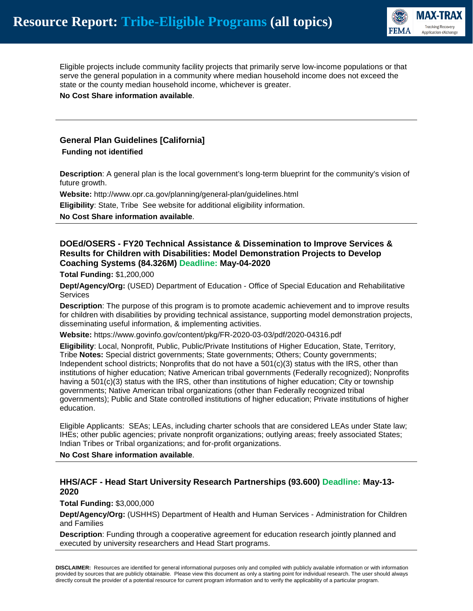

Eligible projects include community facility projects that primarily serve low-income populations or that serve the general population in a community where median household income does not exceed the state or the county median household income, whichever is greater.

**No Cost Share information available**.

# **General Plan Guidelines [California] Funding not identified**

**Description**: A general plan is the local government's long-term blueprint for the community's vision of future growth.

**Website:** http://www.opr.ca.gov/planning/general-plan/guidelines.html

**Eligibility**: State, Tribe See website for additional eligibility information.

**No Cost Share information available**.

#### **DOEd/OSERS - FY20 Technical Assistance & Dissemination to Improve Services & Results for Children with Disabilities: Model Demonstration Projects to Develop Coaching Systems (84.326M) Deadline: May-04-2020**

**Total Funding:** \$1,200,000

**Dept/Agency/Org:** (USED) Department of Education - Office of Special Education and Rehabilitative **Services** 

**Description**: The purpose of this program is to promote academic achievement and to improve results for children with disabilities by providing technical assistance, supporting model demonstration projects, disseminating useful information, & implementing activities.

**Website:** https://www.govinfo.gov/content/pkg/FR-2020-03-03/pdf/2020-04316.pdf

**Eligibility**: Local, Nonprofit, Public, Public/Private Institutions of Higher Education, State, Territory, Tribe **Notes:** Special district governments; State governments; Others; County governments; Independent school districts; Nonprofits that do not have a 501(c)(3) status with the IRS, other than institutions of higher education; Native American tribal governments (Federally recognized); Nonprofits having a 501(c)(3) status with the IRS, other than institutions of higher education; City or township governments; Native American tribal organizations (other than Federally recognized tribal governments); Public and State controlled institutions of higher education; Private institutions of higher education.

Eligible Applicants: SEAs; LEAs, including charter schools that are considered LEAs under State law; IHEs; other public agencies; private nonprofit organizations; outlying areas; freely associated States; Indian Tribes or Tribal organizations; and for-profit organizations.

**No Cost Share information available**.

#### **HHS/ACF - Head Start University Research Partnerships (93.600) Deadline: May-13- 2020**

**Total Funding:** \$3,000,000

**Dept/Agency/Org:** (USHHS) Department of Health and Human Services - Administration for Children and Families

**Description**: Funding through a cooperative agreement for education research jointly planned and executed by university researchers and Head Start programs.

**DISCLAIMER:** Resources are identified for general informational purposes only and compiled with publicly available information or with information provided by sources that are publicly obtainable. Please view this document as only a starting point for individual research. The user should always directly consult the provider of a potential resource for current program information and to verify the applicability of a particular program.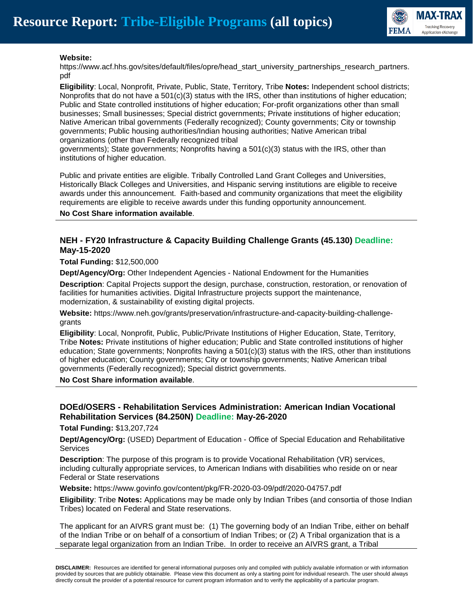

#### **Website:**

https://www.acf.hhs.gov/sites/default/files/opre/head\_start\_university\_partnerships\_research\_partners. pdf

**Eligibility**: Local, Nonprofit, Private, Public, State, Territory, Tribe **Notes:** Independent school districts; Nonprofits that do not have a 501(c)(3) status with the IRS, other than institutions of higher education; Public and State controlled institutions of higher education; For-profit organizations other than small businesses; Small businesses; Special district governments; Private institutions of higher education; Native American tribal governments (Federally recognized); County governments; City or township governments; Public housing authorities/Indian housing authorities; Native American tribal organizations (other than Federally recognized tribal

governments); State governments; Nonprofits having a 501(c)(3) status with the IRS, other than institutions of higher education.

Public and private entities are eligible. Tribally Controlled Land Grant Colleges and Universities, Historically Black Colleges and Universities, and Hispanic serving institutions are eligible to receive awards under this announcement. Faith-based and community organizations that meet the eligibility requirements are eligible to receive awards under this funding opportunity announcement.

#### **No Cost Share information available**.

#### **NEH - FY20 Infrastructure & Capacity Building Challenge Grants (45.130) Deadline: May-15-2020**

**Total Funding:** \$12,500,000

**Dept/Agency/Org:** Other Independent Agencies - National Endowment for the Humanities

**Description**: Capital Projects support the design, purchase, construction, restoration, or renovation of facilities for humanities activities. Digital Infrastructure projects support the maintenance, modernization, & sustainability of existing digital projects.

**Website:** https://www.neh.gov/grants/preservation/infrastructure-and-capacity-building-challengegrants

**Eligibility**: Local, Nonprofit, Public, Public/Private Institutions of Higher Education, State, Territory, Tribe **Notes:** Private institutions of higher education; Public and State controlled institutions of higher education; State governments; Nonprofits having a 501(c)(3) status with the IRS, other than institutions of higher education; County governments; City or township governments; Native American tribal governments (Federally recognized); Special district governments.

**No Cost Share information available**.

#### **DOEd/OSERS - Rehabilitation Services Administration: American Indian Vocational Rehabilitation Services (84.250N) Deadline: May-26-2020**

**Total Funding:** \$13,207,724

**Dept/Agency/Org:** (USED) Department of Education - Office of Special Education and Rehabilitative **Services** 

**Description**: The purpose of this program is to provide Vocational Rehabilitation (VR) services, including culturally appropriate services, to American Indians with disabilities who reside on or near Federal or State reservations

**Website:** https://www.govinfo.gov/content/pkg/FR-2020-03-09/pdf/2020-04757.pdf

**Eligibility**: Tribe **Notes:** Applications may be made only by Indian Tribes (and consortia of those Indian Tribes) located on Federal and State reservations.

The applicant for an AIVRS grant must be: (1) The governing body of an Indian Tribe, either on behalf of the Indian Tribe or on behalf of a consortium of Indian Tribes; or (2) A Tribal organization that is a separate legal organization from an Indian Tribe. In order to receive an AIVRS grant, a Tribal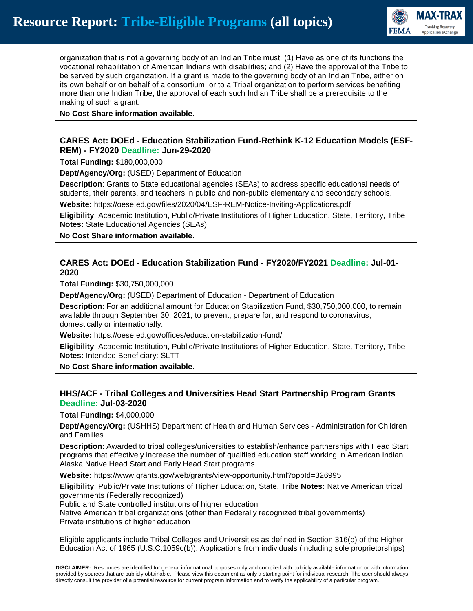

organization that is not a governing body of an Indian Tribe must: (1) Have as one of its functions the vocational rehabilitation of American Indians with disabilities; and (2) Have the approval of the Tribe to be served by such organization. If a grant is made to the governing body of an Indian Tribe, either on its own behalf or on behalf of a consortium, or to a Tribal organization to perform services benefiting more than one Indian Tribe, the approval of each such Indian Tribe shall be a prerequisite to the making of such a grant.

**No Cost Share information available**.

#### **CARES Act: DOEd - Education Stabilization Fund-Rethink K-12 Education Models (ESF-REM) - FY2020 Deadline: Jun-29-2020**

**Total Funding:** \$180,000,000

**Dept/Agency/Org:** (USED) Department of Education

**Description**: Grants to State educational agencies (SEAs) to address specific educational needs of students, their parents, and teachers in public and non-public elementary and secondary schools.

**Website:** https://oese.ed.gov/files/2020/04/ESF-REM-Notice-Inviting-Applications.pdf

**Eligibility**: Academic Institution, Public/Private Institutions of Higher Education, State, Territory, Tribe **Notes:** State Educational Agencies (SEAs)

**No Cost Share information available**.

# **CARES Act: DOEd - Education Stabilization Fund - FY2020/FY2021 Deadline: Jul-01- 2020**

**Total Funding:** \$30,750,000,000

**Dept/Agency/Org:** (USED) Department of Education - Department of Education

**Description**: For an additional amount for Education Stabilization Fund, \$30,750,000,000, to remain available through September 30, 2021, to prevent, prepare for, and respond to coronavirus, domestically or internationally.

**Website:** https://oese.ed.gov/offices/education-stabilization-fund/

**Eligibility**: Academic Institution, Public/Private Institutions of Higher Education, State, Territory, Tribe **Notes:** Intended Beneficiary: SLTT

**No Cost Share information available**.

# **HHS/ACF - Tribal Colleges and Universities Head Start Partnership Program Grants Deadline: Jul-03-2020**

**Total Funding:** \$4,000,000

**Dept/Agency/Org:** (USHHS) Department of Health and Human Services - Administration for Children and Families

**Description**: Awarded to tribal colleges/universities to establish/enhance partnerships with Head Start programs that effectively increase the number of qualified education staff working in American Indian Alaska Native Head Start and Early Head Start programs.

**Website:** https://www.grants.gov/web/grants/view-opportunity.html?oppId=326995

**Eligibility**: Public/Private Institutions of Higher Education, State, Tribe **Notes:** Native American tribal governments (Federally recognized)

Public and State controlled institutions of higher education

Native American tribal organizations (other than Federally recognized tribal governments) Private institutions of higher education

Eligible applicants include Tribal Colleges and Universities as defined in Section 316(b) of the Higher Education Act of 1965 (U.S.C.1059c(b)). Applications from individuals (including sole proprietorships)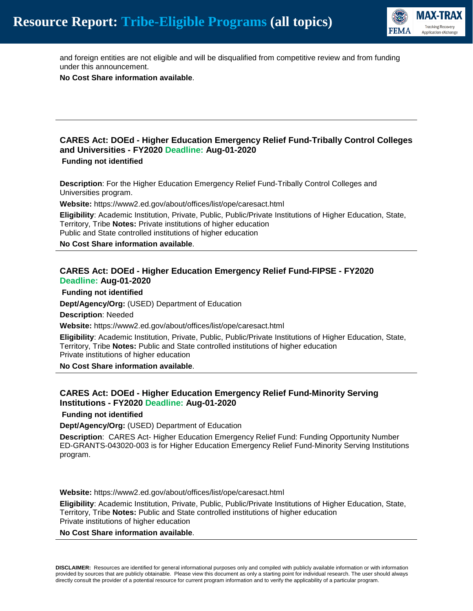

and foreign entities are not eligible and will be disqualified from competitive review and from funding under this announcement.

**No Cost Share information available**.

# **CARES Act: DOEd - Higher Education Emergency Relief Fund-Tribally Control Colleges and Universities - FY2020 Deadline: Aug-01-2020**

#### **Funding not identified**

**Description**: For the Higher Education Emergency Relief Fund-Tribally Control Colleges and Universities program.

**Website:** https://www2.ed.gov/about/offices/list/ope/caresact.html

**Eligibility**: Academic Institution, Private, Public, Public/Private Institutions of Higher Education, State, Territory, Tribe **Notes:** Private institutions of higher education Public and State controlled institutions of higher education

**No Cost Share information available**.

#### **CARES Act: DOEd - Higher Education Emergency Relief Fund-FIPSE - FY2020 Deadline: Aug-01-2020**

**Funding not identified**

**Dept/Agency/Org:** (USED) Department of Education

**Description**: Needed

**Website:** https://www2.ed.gov/about/offices/list/ope/caresact.html

**Eligibility**: Academic Institution, Private, Public, Public/Private Institutions of Higher Education, State, Territory, Tribe **Notes:** Public and State controlled institutions of higher education Private institutions of higher education

**No Cost Share information available**.

# **CARES Act: DOEd - Higher Education Emergency Relief Fund-Minority Serving Institutions - FY2020 Deadline: Aug-01-2020**

**Funding not identified**

**Dept/Agency/Org:** (USED) Department of Education

**Description**: CARES Act- Higher Education Emergency Relief Fund: Funding Opportunity Number ED-GRANTS-043020-003 is for Higher Education Emergency Relief Fund-Minority Serving Institutions program.

**Website:** https://www2.ed.gov/about/offices/list/ope/caresact.html

**Eligibility**: Academic Institution, Private, Public, Public/Private Institutions of Higher Education, State, Territory, Tribe **Notes:** Public and State controlled institutions of higher education Private institutions of higher education

**No Cost Share information available**.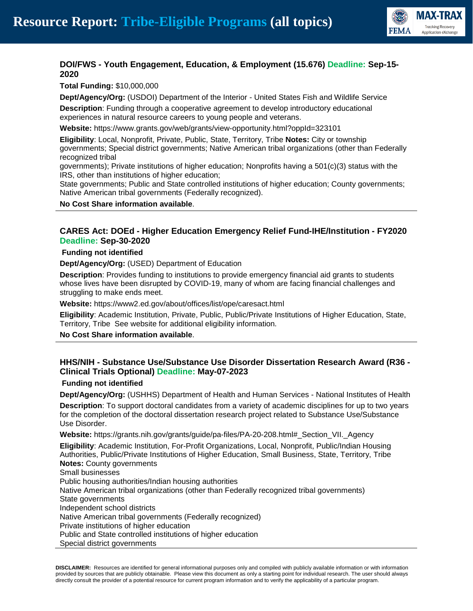

# **DOI/FWS - Youth Engagement, Education, & Employment (15.676) Deadline: Sep-15- 2020**

**Total Funding:** \$10,000,000

**Dept/Agency/Org:** (USDOI) Department of the Interior - United States Fish and Wildlife Service

**Description**: Funding through a cooperative agreement to develop introductory educational experiences in natural resource careers to young people and veterans.

**Website:** https://www.grants.gov/web/grants/view-opportunity.html?oppId=323101

**Eligibility**: Local, Nonprofit, Private, Public, State, Territory, Tribe **Notes:** City or township governments; Special district governments; Native American tribal organizations (other than Federally recognized tribal

governments); Private institutions of higher education; Nonprofits having a 501(c)(3) status with the IRS, other than institutions of higher education;

State governments; Public and State controlled institutions of higher education; County governments; Native American tribal governments (Federally recognized).

**No Cost Share information available**.

# **CARES Act: DOEd - Higher Education Emergency Relief Fund-IHE/Institution - FY2020 Deadline: Sep-30-2020**

#### **Funding not identified**

**Dept/Agency/Org:** (USED) Department of Education

**Description**: Provides funding to institutions to provide emergency financial aid grants to students whose lives have been disrupted by COVID-19, many of whom are facing financial challenges and struggling to make ends meet.

**Website:** https://www2.ed.gov/about/offices/list/ope/caresact.html

**Eligibility**: Academic Institution, Private, Public, Public/Private Institutions of Higher Education, State, Territory, Tribe See website for additional eligibility information.

**No Cost Share information available**.

# **HHS/NIH - Substance Use/Substance Use Disorder Dissertation Research Award (R36 - Clinical Trials Optional) Deadline: May-07-2023**

#### **Funding not identified**

**Dept/Agency/Org:** (USHHS) Department of Health and Human Services - National Institutes of Health **Description**: To support doctoral candidates from a variety of academic disciplines for up to two years for the completion of the doctoral dissertation research project related to Substance Use/Substance Use Disorder.

**Website:** https://grants.nih.gov/grants/guide/pa-files/PA-20-208.html#\_Section\_VII.\_Agency

**Eligibility**: Academic Institution, For-Profit Organizations, Local, Nonprofit, Public/Indian Housing Authorities, Public/Private Institutions of Higher Education, Small Business, State, Territory, Tribe **Notes:** County governments

Small businesses

Public housing authorities/Indian housing authorities

Native American tribal organizations (other than Federally recognized tribal governments)

State governments

Independent school districts

Native American tribal governments (Federally recognized)

Private institutions of higher education

Public and State controlled institutions of higher education

Special district governments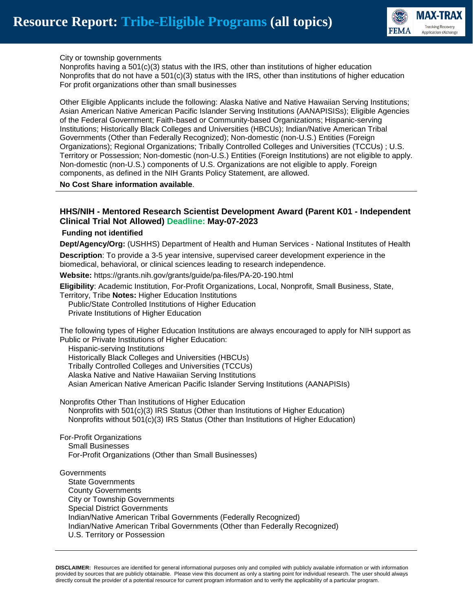

#### City or township governments

Nonprofits having a 501(c)(3) status with the IRS, other than institutions of higher education Nonprofits that do not have a 501(c)(3) status with the IRS, other than institutions of higher education For profit organizations other than small businesses

Other Eligible Applicants include the following: Alaska Native and Native Hawaiian Serving Institutions; Asian American Native American Pacific Islander Serving Institutions (AANAPISISs); Eligible Agencies of the Federal Government; Faith-based or Community-based Organizations; Hispanic-serving Institutions; Historically Black Colleges and Universities (HBCUs); Indian/Native American Tribal Governments (Other than Federally Recognized); Non-domestic (non-U.S.) Entities (Foreign Organizations); Regional Organizations; Tribally Controlled Colleges and Universities (TCCUs) ; U.S. Territory or Possession; Non-domestic (non-U.S.) Entities (Foreign Institutions) are not eligible to apply. Non-domestic (non-U.S.) components of U.S. Organizations are not eligible to apply. Foreign components, as defined in the NIH Grants Policy Statement, are allowed.

**No Cost Share information available**.

#### **HHS/NIH - Mentored Research Scientist Development Award (Parent K01 - Independent Clinical Trial Not Allowed) Deadline: May-07-2023**

#### **Funding not identified**

**Dept/Agency/Org:** (USHHS) Department of Health and Human Services - National Institutes of Health

**Description**: To provide a 3-5 year intensive, supervised career development experience in the biomedical, behavioral, or clinical sciences leading to research independence.

**Website:** https://grants.nih.gov/grants/guide/pa-files/PA-20-190.html

**Eligibility**: Academic Institution, For-Profit Organizations, Local, Nonprofit, Small Business, State, Territory, Tribe **Notes:** Higher Education Institutions

 Public/State Controlled Institutions of Higher Education Private Institutions of Higher Education

The following types of Higher Education Institutions are always encouraged to apply for NIH support as Public or Private Institutions of Higher Education:

Hispanic-serving Institutions

 Historically Black Colleges and Universities (HBCUs) Tribally Controlled Colleges and Universities (TCCUs) Alaska Native and Native Hawaiian Serving Institutions Asian American Native American Pacific Islander Serving Institutions (AANAPISIs)

Nonprofits Other Than Institutions of Higher Education Nonprofits with 501(c)(3) IRS Status (Other than Institutions of Higher Education) Nonprofits without 501(c)(3) IRS Status (Other than Institutions of Higher Education)

For-Profit Organizations Small Businesses For-Profit Organizations (Other than Small Businesses)

**Governments**  State Governments County Governments City or Township Governments Special District Governments Indian/Native American Tribal Governments (Federally Recognized) Indian/Native American Tribal Governments (Other than Federally Recognized) U.S. Territory or Possession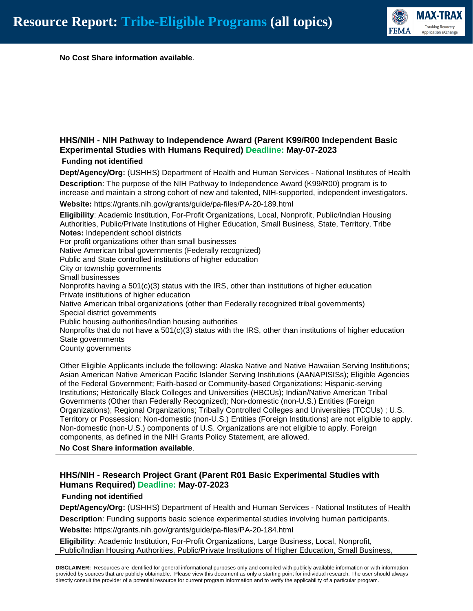

**No Cost Share information available**.

# **HHS/NIH - NIH Pathway to Independence Award (Parent K99/R00 Independent Basic Experimental Studies with Humans Required) Deadline: May-07-2023**

#### **Funding not identified**

**Dept/Agency/Org:** (USHHS) Department of Health and Human Services - National Institutes of Health **Description**: The purpose of the NIH Pathway to Independence Award (K99/R00) program is to increase and maintain a strong cohort of new and talented, NIH-supported, independent investigators. **Website:** https://grants.nih.gov/grants/guide/pa-files/PA-20-189.html

**Eligibility**: Academic Institution, For-Profit Organizations, Local, Nonprofit, Public/Indian Housing Authorities, Public/Private Institutions of Higher Education, Small Business, State, Territory, Tribe **Notes:** Independent school districts For profit organizations other than small businesses Native American tribal governments (Federally recognized) Public and State controlled institutions of higher education City or township governments Small businesses Nonprofits having a  $501(c)(3)$  status with the IRS, other than institutions of higher education Private institutions of higher education Native American tribal organizations (other than Federally recognized tribal governments) Special district governments Public housing authorities/Indian housing authorities Nonprofits that do not have a  $501(c)(3)$  status with the IRS, other than institutions of higher education State governments County governments

Other Eligible Applicants include the following: Alaska Native and Native Hawaiian Serving Institutions; Asian American Native American Pacific Islander Serving Institutions (AANAPISISs); Eligible Agencies of the Federal Government; Faith-based or Community-based Organizations; Hispanic-serving Institutions; Historically Black Colleges and Universities (HBCUs); Indian/Native American Tribal Governments (Other than Federally Recognized); Non-domestic (non-U.S.) Entities (Foreign Organizations); Regional Organizations; Tribally Controlled Colleges and Universities (TCCUs) ; U.S. Territory or Possession; Non-domestic (non-U.S.) Entities (Foreign Institutions) are not eligible to apply. Non-domestic (non-U.S.) components of U.S. Organizations are not eligible to apply. Foreign components, as defined in the NIH Grants Policy Statement, are allowed.

**No Cost Share information available**.

# **HHS/NIH - Research Project Grant (Parent R01 Basic Experimental Studies with Humans Required) Deadline: May-07-2023**

#### **Funding not identified**

**Dept/Agency/Org:** (USHHS) Department of Health and Human Services - National Institutes of Health **Description**: Funding supports basic science experimental studies involving human participants.

**Website:** https://grants.nih.gov/grants/guide/pa-files/PA-20-184.html

**Eligibility**: Academic Institution, For-Profit Organizations, Large Business, Local, Nonprofit, Public/Indian Housing Authorities, Public/Private Institutions of Higher Education, Small Business,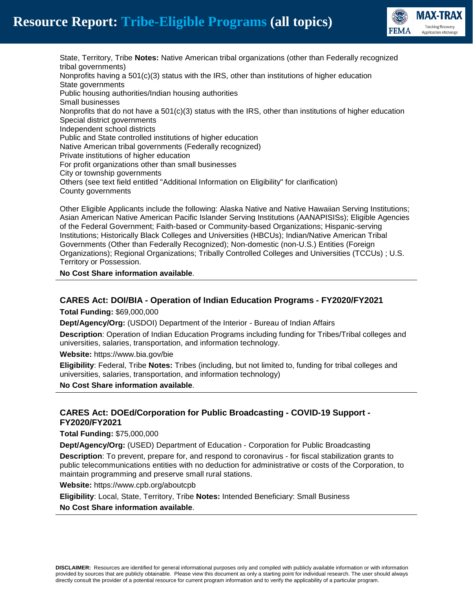



State, Territory, Tribe **Notes:** Native American tribal organizations (other than Federally recognized tribal governments) Nonprofits having a  $501(c)(3)$  status with the IRS, other than institutions of higher education State governments Public housing authorities/Indian housing authorities Small businesses Nonprofits that do not have a  $501(c)(3)$  status with the IRS, other than institutions of higher education Special district governments Independent school districts Public and State controlled institutions of higher education Native American tribal governments (Federally recognized) Private institutions of higher education For profit organizations other than small businesses City or township governments Others (see text field entitled "Additional Information on Eligibility" for clarification) County governments

Other Eligible Applicants include the following: Alaska Native and Native Hawaiian Serving Institutions; Asian American Native American Pacific Islander Serving Institutions (AANAPISISs); Eligible Agencies of the Federal Government; Faith-based or Community-based Organizations; Hispanic-serving Institutions; Historically Black Colleges and Universities (HBCUs); Indian/Native American Tribal Governments (Other than Federally Recognized); Non-domestic (non-U.S.) Entities (Foreign Organizations); Regional Organizations; Tribally Controlled Colleges and Universities (TCCUs) ; U.S. Territory or Possession.

**No Cost Share information available**.

#### **CARES Act: DOI/BIA - Operation of Indian Education Programs - FY2020/FY2021**

**Total Funding:** \$69,000,000

**Dept/Agency/Org:** (USDOI) Department of the Interior - Bureau of Indian Affairs

**Description**: Operation of Indian Education Programs including funding for Tribes/Tribal colleges and universities, salaries, transportation, and information technology.

**Website:** https://www.bia.gov/bie

**Eligibility**: Federal, Tribe **Notes:** Tribes (including, but not limited to, funding for tribal colleges and universities, salaries, transportation, and information technology)

**No Cost Share information available**.

# **CARES Act: DOEd/Corporation for Public Broadcasting - COVID-19 Support - FY2020/FY2021**

**Total Funding:** \$75,000,000

**Dept/Agency/Org:** (USED) Department of Education - Corporation for Public Broadcasting

**Description**: To prevent, prepare for, and respond to coronavirus - for fiscal stabilization grants to public telecommunications entities with no deduction for administrative or costs of the Corporation, to maintain programming and preserve small rural stations.

**Website:** https://www.cpb.org/aboutcpb

**Eligibility**: Local, State, Territory, Tribe **Notes:** Intended Beneficiary: Small Business **No Cost Share information available**.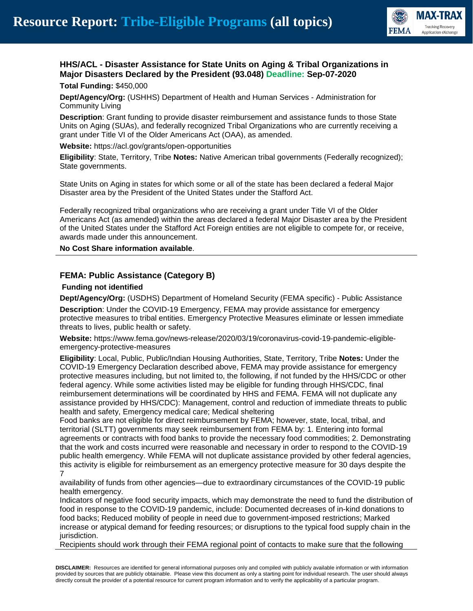

# **HHS/ACL - Disaster Assistance for State Units on Aging & Tribal Organizations in Major Disasters Declared by the President (93.048) Deadline: Sep-07-2020 Total Funding:** \$450,000

**Dept/Agency/Org:** (USHHS) Department of Health and Human Services - Administration for Community Living

**Description**: Grant funding to provide disaster reimbursement and assistance funds to those State Units on Aging (SUAs), and federally recognized Tribal Organizations who are currently receiving a grant under Title VI of the Older Americans Act (OAA), as amended.

**Website:** https://acl.gov/grants/open-opportunities

**Eligibility**: State, Territory, Tribe **Notes:** Native American tribal governments (Federally recognized); State governments.

State Units on Aging in states for which some or all of the state has been declared a federal Major Disaster area by the President of the United States under the Stafford Act.

Federally recognized tribal organizations who are receiving a grant under Title VI of the Older Americans Act (as amended) within the areas declared a federal Major Disaster area by the President of the United States under the Stafford Act Foreign entities are not eligible to compete for, or receive, awards made under this announcement.

**No Cost Share information available**.

#### **FEMA: Public Assistance (Category B)**

#### **Funding not identified**

**Dept/Agency/Org:** (USDHS) Department of Homeland Security (FEMA specific) - Public Assistance

**Description**: Under the COVID-19 Emergency, FEMA may provide assistance for emergency protective measures to tribal entities. Emergency Protective Measures eliminate or lessen immediate threats to lives, public health or safety.

**Website:** https://www.fema.gov/news-release/2020/03/19/coronavirus-covid-19-pandemic-eligibleemergency-protective-measures

**Eligibility**: Local, Public, Public/Indian Housing Authorities, State, Territory, Tribe **Notes:** Under the COVID-19 Emergency Declaration described above, FEMA may provide assistance for emergency protective measures including, but not limited to, the following, if not funded by the HHS/CDC or other federal agency. While some activities listed may be eligible for funding through HHS/CDC, final reimbursement determinations will be coordinated by HHS and FEMA. FEMA will not duplicate any assistance provided by HHS/CDC): Management, control and reduction of immediate threats to public health and safety, Emergency medical care; Medical sheltering

Food banks are not eligible for direct reimbursement by FEMA; however, state, local, tribal, and territorial (SLTT) governments may seek reimbursement from FEMA by: 1. Entering into formal agreements or contracts with food banks to provide the necessary food commodities; 2. Demonstrating that the work and costs incurred were reasonable and necessary in order to respond to the COVID-19 public health emergency. While FEMA will not duplicate assistance provided by other federal agencies, this activity is eligible for reimbursement as an emergency protective measure for 30 days despite the 7

availability of funds from other agencies—due to extraordinary circumstances of the COVID-19 public health emergency.

Indicators of negative food security impacts, which may demonstrate the need to fund the distribution of food in response to the COVID-19 pandemic, include: Documented decreases of in-kind donations to food backs; Reduced mobility of people in need due to government-imposed restrictions; Marked increase or atypical demand for feeding resources; or disruptions to the typical food supply chain in the jurisdiction.

Recipients should work through their FEMA regional point of contacts to make sure that the following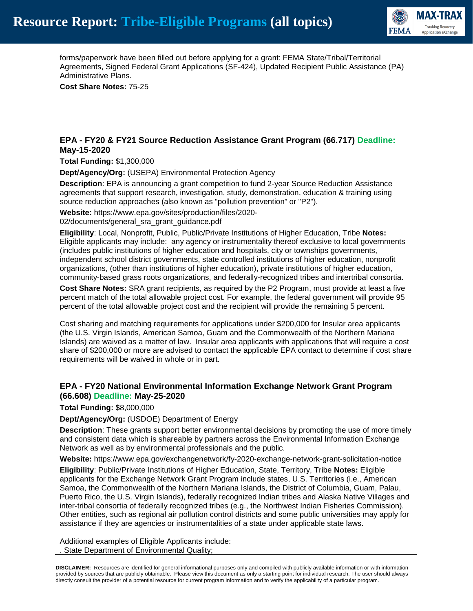

forms/paperwork have been filled out before applying for a grant: FEMA State/Tribal/Territorial Agreements, Signed Federal Grant Applications (SF-424), Updated Recipient Public Assistance (PA) Administrative Plans.

**Cost Share Notes:** 75-25

#### **EPA - FY20 & FY21 Source Reduction Assistance Grant Program (66.717) Deadline: May-15-2020**

**Total Funding:** \$1,300,000

**Dept/Agency/Org:** (USEPA) Environmental Protection Agency

**Description**: EPA is announcing a grant competition to fund 2-year Source Reduction Assistance agreements that support research, investigation, study, demonstration, education & training using source reduction approaches (also known as "pollution prevention" or "P2").

**Website:** https://www.epa.gov/sites/production/files/2020-

02/documents/general\_sra\_grant\_guidance.pdf

**Eligibility**: Local, Nonprofit, Public, Public/Private Institutions of Higher Education, Tribe **Notes:** Eligible applicants may include: any agency or instrumentality thereof exclusive to local governments (includes public institutions of higher education and hospitals, city or townships governments, independent school district governments, state controlled institutions of higher education, nonprofit organizations, (other than institutions of higher education), private institutions of higher education, community-based grass roots organizations, and federally-recognized tribes and intertribal consortia.

**Cost Share Notes:** SRA grant recipients, as required by the P2 Program, must provide at least a five percent match of the total allowable project cost. For example, the federal government will provide 95 percent of the total allowable project cost and the recipient will provide the remaining 5 percent.

Cost sharing and matching requirements for applications under \$200,000 for Insular area applicants (the U.S. Virgin Islands, American Samoa, Guam and the Commonwealth of the Northern Mariana Islands) are waived as a matter of law. Insular area applicants with applications that will require a cost share of \$200,000 or more are advised to contact the applicable EPA contact to determine if cost share requirements will be waived in whole or in part.

# **EPA - FY20 National Environmental Information Exchange Network Grant Program (66.608) Deadline: May-25-2020**

#### **Total Funding:** \$8,000,000

**Dept/Agency/Org:** (USDOE) Department of Energy

**Description**: These grants support better environmental decisions by promoting the use of more timely and consistent data which is shareable by partners across the Environmental Information Exchange Network as well as by environmental professionals and the public.

**Website:** https://www.epa.gov/exchangenetwork/fy-2020-exchange-network-grant-solicitation-notice

**Eligibility**: Public/Private Institutions of Higher Education, State, Territory, Tribe **Notes:** Eligible applicants for the Exchange Network Grant Program include states, U.S. Territories (i.e., American Samoa, the Commonwealth of the Northern Mariana Islands, the District of Columbia, Guam, Palau, Puerto Rico, the U.S. Virgin Islands), federally recognized Indian tribes and Alaska Native Villages and inter-tribal consortia of federally recognized tribes (e.g., the Northwest Indian Fisheries Commission). Other entities, such as regional air pollution control districts and some public universities may apply for assistance if they are agencies or instrumentalities of a state under applicable state laws.

Additional examples of Eligible Applicants include: . State Department of Environmental Quality;

**DISCLAIMER:** Resources are identified for general informational purposes only and compiled with publicly available information or with information provided by sources that are publicly obtainable. Please view this document as only a starting point for individual research. The user should always directly consult the provider of a potential resource for current program information and to verify the applicability of a particular program.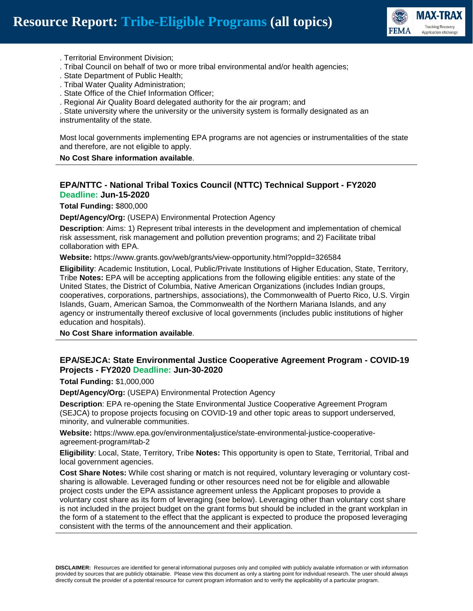

- . Territorial Environment Division;
- . Tribal Council on behalf of two or more tribal environmental and/or health agencies;
- . State Department of Public Health;
- . Tribal Water Quality Administration;
- . State Office of the Chief Information Officer;
- . Regional Air Quality Board delegated authority for the air program; and

. State university where the university or the university system is formally designated as an instrumentality of the state.

Most local governments implementing EPA programs are not agencies or instrumentalities of the state and therefore, are not eligible to apply.

#### **No Cost Share information available**.

# **EPA/NTTC - National Tribal Toxics Council (NTTC) Technical Support - FY2020 Deadline: Jun-15-2020**

**Total Funding:** \$800,000

**Dept/Agency/Org:** (USEPA) Environmental Protection Agency

**Description**: Aims: 1) Represent tribal interests in the development and implementation of chemical risk assessment, risk management and pollution prevention programs; and 2) Facilitate tribal collaboration with EPA.

**Website:** https://www.grants.gov/web/grants/view-opportunity.html?oppId=326584

**Eligibility**: Academic Institution, Local, Public/Private Institutions of Higher Education, State, Territory, Tribe **Notes:** EPA will be accepting applications from the following eligible entities: any state of the United States, the District of Columbia, Native American Organizations (includes Indian groups, cooperatives, corporations, partnerships, associations), the Commonwealth of Puerto Rico, U.S. Virgin Islands, Guam, American Samoa, the Commonwealth of the Northern Mariana Islands, and any agency or instrumentally thereof exclusive of local governments (includes public institutions of higher education and hospitals).

**No Cost Share information available**.

#### **EPA/SEJCA: State Environmental Justice Cooperative Agreement Program - COVID-19 Projects - FY2020 Deadline: Jun-30-2020**

**Total Funding:** \$1,000,000

**Dept/Agency/Org:** (USEPA) Environmental Protection Agency

**Description**: EPA re-opening the State Environmental Justice Cooperative Agreement Program (SEJCA) to propose projects focusing on COVID-19 and other topic areas to support underserved, minority, and vulnerable communities.

**Website:** https://www.epa.gov/environmentaljustice/state-environmental-justice-cooperativeagreement-program#tab-2

**Eligibility**: Local, State, Territory, Tribe **Notes:** This opportunity is open to State, Territorial, Tribal and local government agencies.

**Cost Share Notes:** While cost sharing or match is not required, voluntary leveraging or voluntary costsharing is allowable. Leveraged funding or other resources need not be for eligible and allowable project costs under the EPA assistance agreement unless the Applicant proposes to provide a voluntary cost share as its form of leveraging (see below). Leveraging other than voluntary cost share is not included in the project budget on the grant forms but should be included in the grant workplan in the form of a statement to the effect that the applicant is expected to produce the proposed leveraging consistent with the terms of the announcement and their application.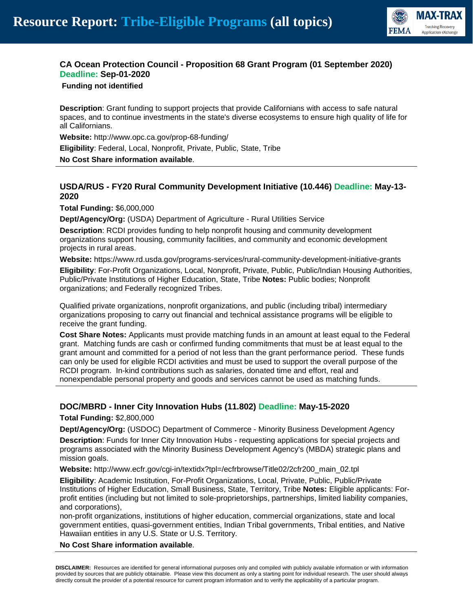

# **CA Ocean Protection Council - Proposition 68 Grant Program (01 September 2020) Deadline: Sep-01-2020**

**Funding not identified**

**Description**: Grant funding to support projects that provide Californians with access to safe natural spaces, and to continue investments in the state's diverse ecosystems to ensure high quality of life for all Californians.

**Website:** http://www.opc.ca.gov/prop-68-funding/

**Eligibility**: Federal, Local, Nonprofit, Private, Public, State, Tribe

**No Cost Share information available**.

# **USDA/RUS - FY20 Rural Community Development Initiative (10.446) Deadline: May-13- 2020**

**Total Funding:** \$6,000,000

**Dept/Agency/Org:** (USDA) Department of Agriculture - Rural Utilities Service

**Description**: RCDI provides funding to help nonprofit housing and community development organizations support housing, community facilities, and community and economic development projects in rural areas.

**Website:** https://www.rd.usda.gov/programs-services/rural-community-development-initiative-grants

**Eligibility**: For-Profit Organizations, Local, Nonprofit, Private, Public, Public/Indian Housing Authorities, Public/Private Institutions of Higher Education, State, Tribe **Notes:** Public bodies; Nonprofit organizations; and Federally recognized Tribes.

Qualified private organizations, nonprofit organizations, and public (including tribal) intermediary organizations proposing to carry out financial and technical assistance programs will be eligible to receive the grant funding.

**Cost Share Notes:** Applicants must provide matching funds in an amount at least equal to the Federal grant. Matching funds are cash or confirmed funding commitments that must be at least equal to the grant amount and committed for a period of not less than the grant performance period. These funds can only be used for eligible RCDI activities and must be used to support the overall purpose of the RCDI program. In-kind contributions such as salaries, donated time and effort, real and nonexpendable personal property and goods and services cannot be used as matching funds.

# **DOC/MBRD - Inner City Innovation Hubs (11.802) Deadline: May-15-2020**

#### **Total Funding:** \$2,800,000

**Dept/Agency/Org:** (USDOC) Department of Commerce - Minority Business Development Agency

**Description**: Funds for Inner City Innovation Hubs - requesting applications for special projects and programs associated with the Minority Business Development Agency's (MBDA) strategic plans and mission goals.

**Website:** http://www.ecfr.gov/cgi-in/textidx?tpl=/ecfrbrowse/Title02/2cfr200\_main\_02.tpl

**Eligibility**: Academic Institution, For-Profit Organizations, Local, Private, Public, Public/Private Institutions of Higher Education, Small Business, State, Territory, Tribe **Notes:** Eligible applicants: Forprofit entities (including but not limited to sole-proprietorships, partnerships, limited liability companies, and corporations),

non-profit organizations, institutions of higher education, commercial organizations, state and local government entities, quasi-government entities, Indian Tribal governments, Tribal entities, and Native Hawaiian entities in any U.S. State or U.S. Territory.

#### **No Cost Share information available**.

**DISCLAIMER:** Resources are identified for general informational purposes only and compiled with publicly available information or with information provided by sources that are publicly obtainable. Please view this document as only a starting point for individual research. The user should always directly consult the provider of a potential resource for current program information and to verify the applicability of a particular program.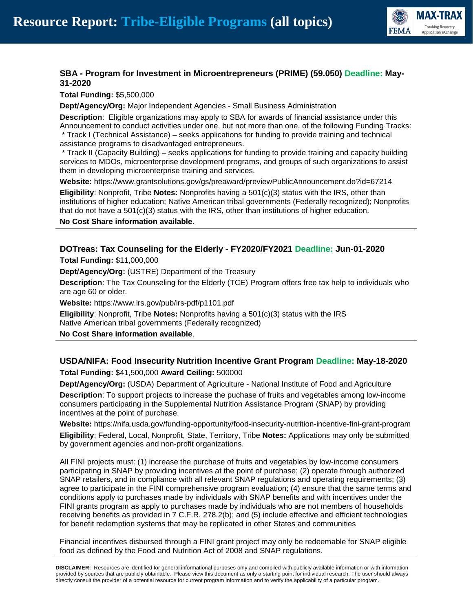

# **SBA - Program for Investment in Microentrepreneurs (PRIME) (59.050) Deadline: May-31-2020**

**Total Funding:** \$5,500,000

**Dept/Agency/Org:** Major Independent Agencies - Small Business Administration

**Description**: Eligible organizations may apply to SBA for awards of financial assistance under this Announcement to conduct activities under one, but not more than one, of the following Funding Tracks: \* Track I (Technical Assistance) – seeks applications for funding to provide training and technical assistance programs to disadvantaged entrepreneurs.

\* Track II (Capacity Building) – seeks applications for funding to provide training and capacity building services to MDOs, microenterprise development programs, and groups of such organizations to assist them in developing microenterprise training and services.

**Website:** https://www.grantsolutions.gov/gs/preaward/previewPublicAnnouncement.do?id=67214

**Eligibility**: Nonprofit, Tribe **Notes:** Nonprofits having a 501(c)(3) status with the IRS, other than institutions of higher education; Native American tribal governments (Federally recognized); Nonprofits that do not have a 501(c)(3) status with the IRS, other than institutions of higher education.

**No Cost Share information available**.

# **DOTreas: Tax Counseling for the Elderly - FY2020/FY2021 Deadline: Jun-01-2020**

**Total Funding:** \$11,000,000

**Dept/Agency/Org:** (USTRE) Department of the Treasury

**Description**: The Tax Counseling for the Elderly (TCE) Program offers free tax help to individuals who are age 60 or older.

**Website:** https://www.irs.gov/pub/irs-pdf/p1101.pdf

**Eligibility**: Nonprofit, Tribe **Notes:** Nonprofits having a 501(c)(3) status with the IRS Native American tribal governments (Federally recognized)

**No Cost Share information available**.

# **USDA/NIFA: Food Insecurity Nutrition Incentive Grant Program Deadline: May-18-2020**

**Total Funding:** \$41,500,000 **Award Ceiling:** 500000

**Dept/Agency/Org:** (USDA) Department of Agriculture - National Institute of Food and Agriculture

**Description**: To support projects to increase the puchase of fruits and vegetables among low-income consumers participating in the Supplemental Nutrition Assistance Program (SNAP) by providing incentives at the point of purchase.

**Website:** https://nifa.usda.gov/funding-opportunity/food-insecurity-nutrition-incentive-fini-grant-program **Eligibility**: Federal, Local, Nonprofit, State, Territory, Tribe **Notes:** Applications may only be submitted by government agencies and non-profit organizations.

All FINI projects must: (1) increase the purchase of fruits and vegetables by low-income consumers participating in SNAP by providing incentives at the point of purchase; (2) operate through authorized SNAP retailers, and in compliance with all relevant SNAP regulations and operating requirements; (3) agree to participate in the FINI comprehensive program evaluation; (4) ensure that the same terms and conditions apply to purchases made by individuals with SNAP benefits and with incentives under the FINI grants program as apply to purchases made by individuals who are not members of households receiving benefits as provided in 7 C.F.R. 278.2(b); and (5) include effective and efficient technologies for benefit redemption systems that may be replicated in other States and communities

Financial incentives disbursed through a FINI grant project may only be redeemable for SNAP eligible food as defined by the Food and Nutrition Act of 2008 and SNAP regulations.

**DISCLAIMER:** Resources are identified for general informational purposes only and compiled with publicly available information or with information provided by sources that are publicly obtainable. Please view this document as only a starting point for individual research. The user should always directly consult the provider of a potential resource for current program information and to verify the applicability of a particular program.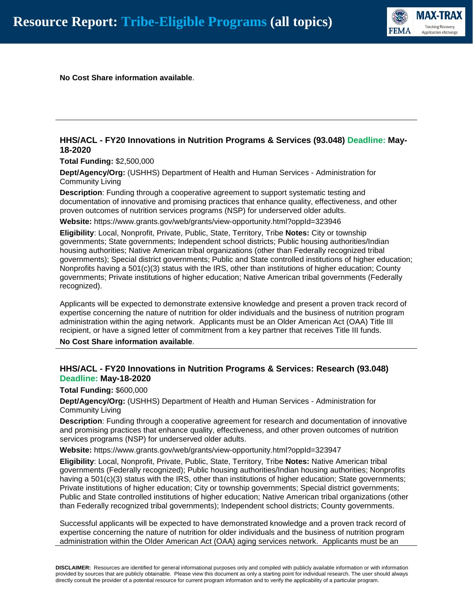

**No Cost Share information available**.

# **HHS/ACL - FY20 Innovations in Nutrition Programs & Services (93.048) Deadline: May-18-2020**

**Total Funding:** \$2,500,000

**Dept/Agency/Org:** (USHHS) Department of Health and Human Services - Administration for Community Living

**Description**: Funding through a cooperative agreement to support systematic testing and documentation of innovative and promising practices that enhance quality, effectiveness, and other proven outcomes of nutrition services programs (NSP) for underserved older adults.

**Website:** https://www.grants.gov/web/grants/view-opportunity.html?oppId=323946

**Eligibility**: Local, Nonprofit, Private, Public, State, Territory, Tribe **Notes:** City or township governments; State governments; Independent school districts; Public housing authorities/Indian housing authorities; Native American tribal organizations (other than Federally recognized tribal governments); Special district governments; Public and State controlled institutions of higher education; Nonprofits having a 501(c)(3) status with the IRS, other than institutions of higher education; County governments; Private institutions of higher education; Native American tribal governments (Federally recognized).

Applicants will be expected to demonstrate extensive knowledge and present a proven track record of expertise concerning the nature of nutrition for older individuals and the business of nutrition program administration within the aging network. Applicants must be an Older American Act (OAA) Title III recipient, or have a signed letter of commitment from a key partner that receives Title III funds.

**No Cost Share information available**.

#### **HHS/ACL - FY20 Innovations in Nutrition Programs & Services: Research (93.048) Deadline: May-18-2020**

**Total Funding:** \$600,000

**Dept/Agency/Org:** (USHHS) Department of Health and Human Services - Administration for Community Living

**Description**: Funding through a cooperative agreement for research and documentation of innovative and promising practices that enhance quality, effectiveness, and other proven outcomes of nutrition services programs (NSP) for underserved older adults.

**Website:** https://www.grants.gov/web/grants/view-opportunity.html?oppId=323947

**Eligibility**: Local, Nonprofit, Private, Public, State, Territory, Tribe **Notes:** Native American tribal governments (Federally recognized); Public housing authorities/Indian housing authorities; Nonprofits having a 501(c)(3) status with the IRS, other than institutions of higher education; State governments; Private institutions of higher education; City or township governments; Special district governments; Public and State controlled institutions of higher education; Native American tribal organizations (other than Federally recognized tribal governments); Independent school districts; County governments.

Successful applicants will be expected to have demonstrated knowledge and a proven track record of expertise concerning the nature of nutrition for older individuals and the business of nutrition program administration within the Older American Act (OAA) aging services network. Applicants must be an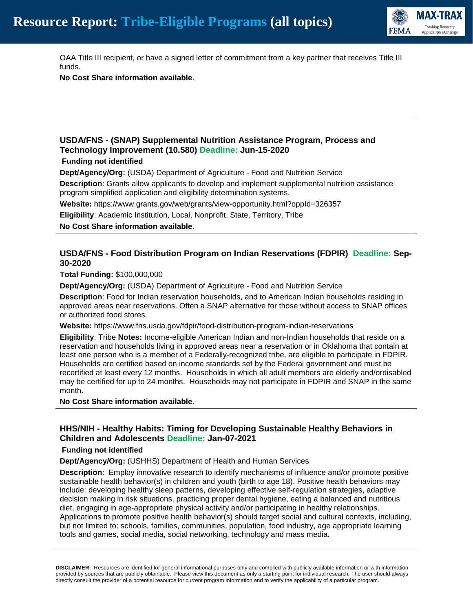

OAA Title III recipient, or have a signed letter of commitment from a key partner that receives Title III funds.

**No Cost Share information available**.

# **USDA/FNS - (SNAP) Supplemental Nutrition Assistance Program, Process and Technology Improvement (10.580) Deadline: Jun-15-2020**

#### **Funding not identified**

**Dept/Agency/Org:** (USDA) Department of Agriculture - Food and Nutrition Service

**Description**: Grants allow applicants to develop and implement supplemental nutrition assistance program simplified application and eligibility determination systems.

**Website:** https://www.grants.gov/web/grants/view-opportunity.html?oppId=326357

**Eligibility**: Academic Institution, Local, Nonprofit, State, Territory, Tribe

**No Cost Share information available**.

# **USDA/FNS - Food Distribution Program on Indian Reservations (FDPIR) Deadline: Sep-30-2020**

**Total Funding:** \$100,000,000

**Dept/Agency/Org:** (USDA) Department of Agriculture - Food and Nutrition Service

**Description**: Food for Indian reservation households, and to American Indian households residing in approved areas near reservations. Often a SNAP alternative for those without access to SNAP offices or authorized food stores.

**Website:** https://www.fns.usda.gov/fdpir/food-distribution-program-indian-reservations

**Eligibility**: Tribe **Notes:** Income-eligible American Indian and non-Indian households that reside on a reservation and households living in approved areas near a reservation or in Oklahoma that contain at least one person who is a member of a Federally-recognized tribe, are eligible to participate in FDPIR. Households are certified based on income standards set by the Federal government and must be recertified at least every 12 months. Households in which all adult members are elderly and/ordisabled may be certified for up to 24 months. Households may not participate in FDPIR and SNAP in the same month.

**No Cost Share information available**.

# **HHS/NIH - Healthy Habits: Timing for Developing Sustainable Healthy Behaviors in Children and Adolescents Deadline: Jan-07-2021**

#### **Funding not identified**

**Dept/Agency/Org:** (USHHS) Department of Health and Human Services

**Description**: Employ innovative research to identify mechanisms of influence and/or promote positive sustainable health behavior(s) in children and youth (birth to age 18). Positive health behaviors may include: developing healthy sleep patterns, developing effective self-regulation strategies, adaptive decision making in risk situations, practicing proper dental hygiene, eating a balanced and nutritious diet, engaging in age-appropriate physical activity and/or participating in healthy relationships. Applications to promote positive health behavior(s) should target social and cultural contexts, including, but not limited to: schools, families, communities, population, food industry, age appropriate learning tools and games, social media, social networking, technology and mass media.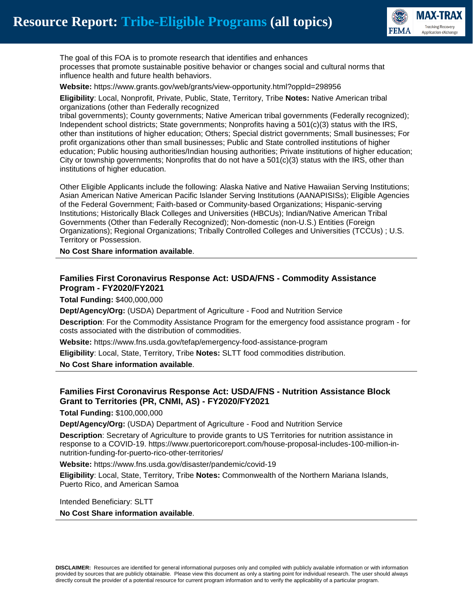

The goal of this FOA is to promote research that identifies and enhances processes that promote sustainable positive behavior or changes social and cultural norms that influence health and future health behaviors.

**Website:** https://www.grants.gov/web/grants/view-opportunity.html?oppId=298956

**Eligibility**: Local, Nonprofit, Private, Public, State, Territory, Tribe **Notes:** Native American tribal organizations (other than Federally recognized

tribal governments); County governments; Native American tribal governments (Federally recognized); Independent school districts; State governments; Nonprofits having a 501(c)(3) status with the IRS, other than institutions of higher education; Others; Special district governments; Small businesses; For profit organizations other than small businesses; Public and State controlled institutions of higher education; Public housing authorities/Indian housing authorities; Private institutions of higher education; City or township governments; Nonprofits that do not have a  $501(c)(3)$  status with the IRS, other than institutions of higher education.

Other Eligible Applicants include the following: Alaska Native and Native Hawaiian Serving Institutions; Asian American Native American Pacific Islander Serving Institutions (AANAPISISs); Eligible Agencies of the Federal Government; Faith-based or Community-based Organizations; Hispanic-serving Institutions; Historically Black Colleges and Universities (HBCUs); Indian/Native American Tribal Governments (Other than Federally Recognized); Non-domestic (non-U.S.) Entities (Foreign Organizations); Regional Organizations; Tribally Controlled Colleges and Universities (TCCUs) ; U.S. Territory or Possession.

**No Cost Share information available**.

# **Families First Coronavirus Response Act: USDA/FNS - Commodity Assistance Program - FY2020/FY2021**

**Total Funding:** \$400,000,000

**Dept/Agency/Org:** (USDA) Department of Agriculture - Food and Nutrition Service

**Description**: For the Commodity Assistance Program for the emergency food assistance program - for costs associated with the distribution of commodities.

**Website:** https://www.fns.usda.gov/tefap/emergency-food-assistance-program

**Eligibility**: Local, State, Territory, Tribe **Notes:** SLTT food commodities distribution.

**No Cost Share information available**.

# **Families First Coronavirus Response Act: USDA/FNS - Nutrition Assistance Block Grant to Territories (PR, CNMI, AS) - FY2020/FY2021**

**Total Funding:** \$100,000,000

**Dept/Agency/Org:** (USDA) Department of Agriculture - Food and Nutrition Service

**Description**: Secretary of Agriculture to provide grants to US Territories for nutrition assistance in response to a COVID-19. https://www.puertoricoreport.com/house-proposal-includes-100-million-innutrition-funding-for-puerto-rico-other-territories/

**Website:** https://www.fns.usda.gov/disaster/pandemic/covid-19

**Eligibility**: Local, State, Territory, Tribe **Notes:** Commonwealth of the Northern Mariana Islands, Puerto Rico, and American Samoa

Intended Beneficiary: SLTT

**No Cost Share information available**.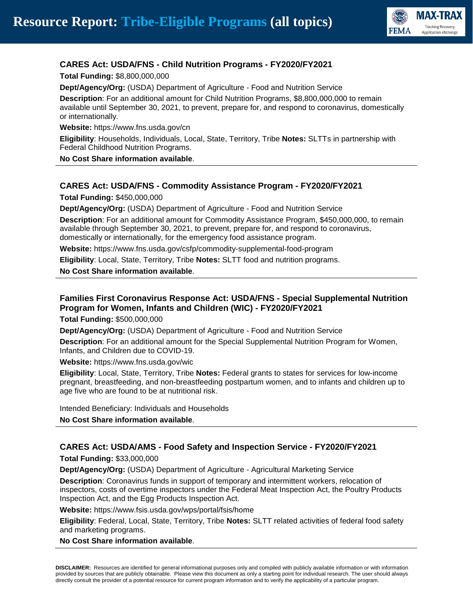

# **CARES Act: USDA/FNS - Child Nutrition Programs - FY2020/FY2021**

**Total Funding:** \$8,800,000,000

**Dept/Agency/Org:** (USDA) Department of Agriculture - Food and Nutrition Service

**Description**: For an additional amount for Child Nutrition Programs, \$8,800,000,000 to remain available until September 30, 2021, to prevent, prepare for, and respond to coronavirus, domestically or internationally.

**Website:** https://www.fns.usda.gov/cn

**Eligibility**: Households, Individuals, Local, State, Territory, Tribe **Notes:** SLTTs in partnership with Federal Childhood Nutrition Programs.

**No Cost Share information available**.

#### **CARES Act: USDA/FNS - Commodity Assistance Program - FY2020/FY2021**

**Total Funding:** \$450,000,000

**Dept/Agency/Org:** (USDA) Department of Agriculture - Food and Nutrition Service

**Description**: For an additional amount for Commodity Assistance Program, \$450,000,000, to remain available through September 30, 2021, to prevent, prepare for, and respond to coronavirus, domestically or internationally, for the emergency food assistance program.

**Website:** https://www.fns.usda.gov/csfp/commodity-supplemental-food-program

**Eligibility**: Local, State, Territory, Tribe **Notes:** SLTT food and nutrition programs.

**No Cost Share information available**.

# **Families First Coronavirus Response Act: USDA/FNS - Special Supplemental Nutrition Program for Women, Infants and Children (WIC) - FY2020/FY2021**

**Total Funding:** \$500,000,000

**Dept/Agency/Org:** (USDA) Department of Agriculture - Food and Nutrition Service

**Description**: For an additional amount for the Special Supplemental Nutrition Program for Women, Infants, and Children due to COVID-19.

**Website:** https://www.fns.usda.gov/wic

**Eligibility**: Local, State, Territory, Tribe **Notes:** Federal grants to states for services for low-income pregnant, breastfeeding, and non-breastfeeding postpartum women, and to infants and children up to age five who are found to be at nutritional risk.

Intended Beneficiary: Individuals and Households **No Cost Share information available**.

#### **CARES Act: USDA/AMS - Food Safety and Inspection Service - FY2020/FY2021**

**Total Funding:** \$33,000,000

**Dept/Agency/Org:** (USDA) Department of Agriculture - Agricultural Marketing Service

**Description**: Coronavirus funds in support of temporary and intermittent workers, relocation of inspectors, costs of overtime inspectors under the Federal Meat Inspection Act, the Poultry Products Inspection Act, and the Egg Products Inspection Act.

**Website:** https://www.fsis.usda.gov/wps/portal/fsis/home

**Eligibility**: Federal, Local, State, Territory, Tribe **Notes:** SLTT related activities of federal food safety and marketing programs.

**No Cost Share information available**.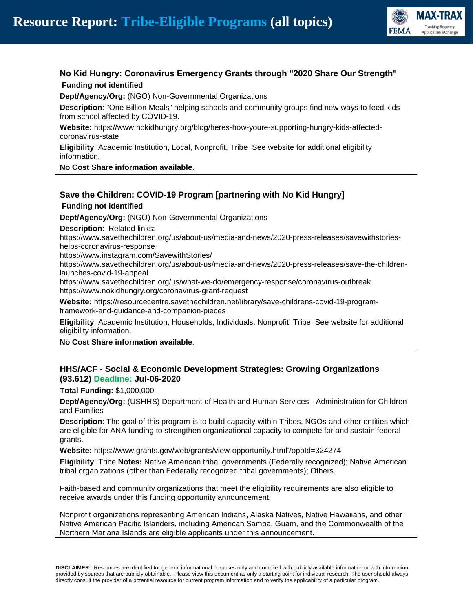

# **No Kid Hungry: Coronavirus Emergency Grants through "2020 Share Our Strength" Funding not identified**

**Dept/Agency/Org:** (NGO) Non-Governmental Organizations

**Description**: "One Billion Meals" helping schools and community groups find new ways to feed kids from school affected by COVID-19.

**Website:** https://www.nokidhungry.org/blog/heres-how-youre-supporting-hungry-kids-affectedcoronavirus-state

**Eligibility**: Academic Institution, Local, Nonprofit, Tribe See website for additional eligibility information.

**No Cost Share information available**.

# **Save the Children: COVID-19 Program [partnering with No Kid Hungry]**

**Funding not identified**

**Dept/Agency/Org:** (NGO) Non-Governmental Organizations

**Description**: Related links:

https://www.savethechildren.org/us/about-us/media-and-news/2020-press-releases/savewithstorieshelps-coronavirus-response

https://www.instagram.com/SavewithStories/

https://www.savethechildren.org/us/about-us/media-and-news/2020-press-releases/save-the-childrenlaunches-covid-19-appeal

https://www.savethechildren.org/us/what-we-do/emergency-response/coronavirus-outbreak https://www.nokidhungry.org/coronavirus-grant-request

**Website:** https://resourcecentre.savethechildren.net/library/save-childrens-covid-19-programframework-and-guidance-and-companion-pieces

**Eligibility**: Academic Institution, Households, Individuals, Nonprofit, Tribe See website for additional eligibility information.

**No Cost Share information available**.

#### **HHS/ACF - Social & Economic Development Strategies: Growing Organizations (93.612) Deadline: Jul-06-2020**

**Total Funding:** \$1,000,000

**Dept/Agency/Org:** (USHHS) Department of Health and Human Services - Administration for Children and Families

**Description**: The goal of this program is to build capacity within Tribes, NGOs and other entities which are eligible for ANA funding to strengthen organizational capacity to compete for and sustain federal grants.

**Website:** https://www.grants.gov/web/grants/view-opportunity.html?oppId=324274

**Eligibility**: Tribe **Notes:** Native American tribal governments (Federally recognized); Native American tribal organizations (other than Federally recognized tribal governments); Others.

Faith-based and community organizations that meet the eligibility requirements are also eligible to receive awards under this funding opportunity announcement.

Nonprofit organizations representing American Indians, Alaska Natives, Native Hawaiians, and other Native American Pacific Islanders, including American Samoa, Guam, and the Commonwealth of the Northern Mariana Islands are eligible applicants under this announcement.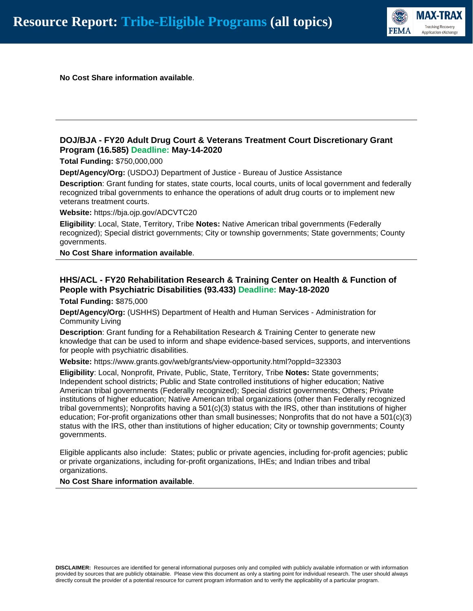

**No Cost Share information available**.

#### **DOJ/BJA - FY20 Adult Drug Court & Veterans Treatment Court Discretionary Grant Program (16.585) Deadline: May-14-2020**

**Total Funding:** \$750,000,000

**Dept/Agency/Org:** (USDOJ) Department of Justice - Bureau of Justice Assistance

**Description**: Grant funding for states, state courts, local courts, units of local government and federally recognized tribal governments to enhance the operations of adult drug courts or to implement new veterans treatment courts.

**Website:** https://bja.ojp.gov/ADCVTC20

**Eligibility**: Local, State, Territory, Tribe **Notes:** Native American tribal governments (Federally recognized); Special district governments; City or township governments; State governments; County governments.

**No Cost Share information available**.

# **HHS/ACL - FY20 Rehabilitation Research & Training Center on Health & Function of People with Psychiatric Disabilities (93.433) Deadline: May-18-2020**

**Total Funding:** \$875,000

**Dept/Agency/Org:** (USHHS) Department of Health and Human Services - Administration for Community Living

**Description**: Grant funding for a Rehabilitation Research & Training Center to generate new knowledge that can be used to inform and shape evidence-based services, supports, and interventions for people with psychiatric disabilities.

**Website:** https://www.grants.gov/web/grants/view-opportunity.html?oppId=323303

**Eligibility**: Local, Nonprofit, Private, Public, State, Territory, Tribe **Notes:** State governments; Independent school districts; Public and State controlled institutions of higher education; Native American tribal governments (Federally recognized); Special district governments; Others; Private institutions of higher education; Native American tribal organizations (other than Federally recognized tribal governments); Nonprofits having a 501(c)(3) status with the IRS, other than institutions of higher education; For-profit organizations other than small businesses; Nonprofits that do not have a 501(c)(3) status with the IRS, other than institutions of higher education; City or township governments; County governments.

Eligible applicants also include: States; public or private agencies, including for-profit agencies; public or private organizations, including for-profit organizations, IHEs; and Indian tribes and tribal organizations.

**No Cost Share information available**.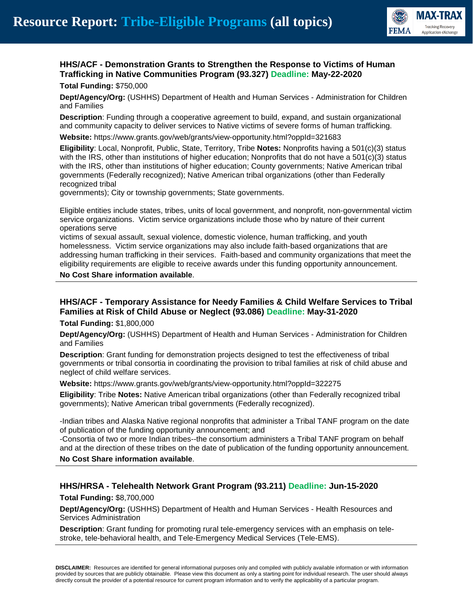

#### **HHS/ACF - Demonstration Grants to Strengthen the Response to Victims of Human Trafficking in Native Communities Program (93.327) Deadline: May-22-2020 Total Funding:** \$750,000

**Dept/Agency/Org:** (USHHS) Department of Health and Human Services - Administration for Children and Families

**Description**: Funding through a cooperative agreement to build, expand, and sustain organizational and community capacity to deliver services to Native victims of severe forms of human trafficking.

**Website:** https://www.grants.gov/web/grants/view-opportunity.html?oppId=321683

**Eligibility**: Local, Nonprofit, Public, State, Territory, Tribe **Notes:** Nonprofits having a 501(c)(3) status with the IRS, other than institutions of higher education; Nonprofits that do not have a 501(c)(3) status with the IRS, other than institutions of higher education; County governments; Native American tribal governments (Federally recognized); Native American tribal organizations (other than Federally recognized tribal

governments); City or township governments; State governments.

Eligible entities include states, tribes, units of local government, and nonprofit, non-governmental victim service organizations. Victim service organizations include those who by nature of their current operations serve

victims of sexual assault, sexual violence, domestic violence, human trafficking, and youth homelessness. Victim service organizations may also include faith-based organizations that are addressing human trafficking in their services. Faith-based and community organizations that meet the eligibility requirements are eligible to receive awards under this funding opportunity announcement.

#### **No Cost Share information available**.

# **HHS/ACF - Temporary Assistance for Needy Families & Child Welfare Services to Tribal Families at Risk of Child Abuse or Neglect (93.086) Deadline: May-31-2020**

**Total Funding:** \$1,800,000

**Dept/Agency/Org:** (USHHS) Department of Health and Human Services - Administration for Children and Families

**Description**: Grant funding for demonstration projects designed to test the effectiveness of tribal governments or tribal consortia in coordinating the provision to tribal families at risk of child abuse and neglect of child welfare services.

**Website:** https://www.grants.gov/web/grants/view-opportunity.html?oppId=322275

**Eligibility**: Tribe **Notes:** Native American tribal organizations (other than Federally recognized tribal governments); Native American tribal governments (Federally recognized).

-Indian tribes and Alaska Native regional nonprofits that administer a Tribal TANF program on the date of publication of the funding opportunity announcement; and

-Consortia of two or more Indian tribes--the consortium administers a Tribal TANF program on behalf and at the direction of these tribes on the date of publication of the funding opportunity announcement.

#### **No Cost Share information available**.

#### **HHS/HRSA - Telehealth Network Grant Program (93.211) Deadline: Jun-15-2020**

**Total Funding:** \$8,700,000

**Dept/Agency/Org:** (USHHS) Department of Health and Human Services - Health Resources and Services Administration

**Description**: Grant funding for promoting rural tele-emergency services with an emphasis on telestroke, tele-behavioral health, and Tele-Emergency Medical Services (Tele-EMS).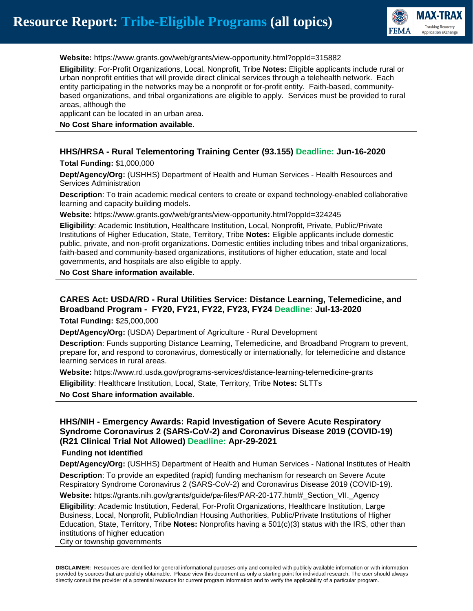

**Website:** https://www.grants.gov/web/grants/view-opportunity.html?oppId=315882

**Eligibility**: For-Profit Organizations, Local, Nonprofit, Tribe **Notes:** Eligible applicants include rural or urban nonprofit entities that will provide direct clinical services through a telehealth network. Each entity participating in the networks may be a nonprofit or for-profit entity. Faith-based, communitybased organizations, and tribal organizations are eligible to apply. Services must be provided to rural areas, although the

applicant can be located in an urban area.

#### **No Cost Share information available**.

#### **HHS/HRSA - Rural Telementoring Training Center (93.155) Deadline: Jun-16-2020**

**Total Funding:** \$1,000,000

**Dept/Agency/Org:** (USHHS) Department of Health and Human Services - Health Resources and Services Administration

**Description**: To train academic medical centers to create or expand technology-enabled collaborative learning and capacity building models.

**Website:** https://www.grants.gov/web/grants/view-opportunity.html?oppId=324245

**Eligibility**: Academic Institution, Healthcare Institution, Local, Nonprofit, Private, Public/Private Institutions of Higher Education, State, Territory, Tribe **Notes:** Eligible applicants include domestic public, private, and non-profit organizations. Domestic entities including tribes and tribal organizations, faith-based and community-based organizations, institutions of higher education, state and local governments, and hospitals are also eligible to apply.

#### **No Cost Share information available**.

# **CARES Act: USDA/RD - Rural Utilities Service: Distance Learning, Telemedicine, and Broadband Program - FY20, FY21, FY22, FY23, FY24 Deadline: Jul-13-2020**

**Total Funding:** \$25,000,000

**Dept/Agency/Org:** (USDA) Department of Agriculture - Rural Development

**Description**: Funds supporting Distance Learning, Telemedicine, and Broadband Program to prevent, prepare for, and respond to coronavirus, domestically or internationally, for telemedicine and distance learning services in rural areas.

**Website:** https://www.rd.usda.gov/programs-services/distance-learning-telemedicine-grants

**Eligibility**: Healthcare Institution, Local, State, Territory, Tribe **Notes:** SLTTs

**No Cost Share information available**.

#### **HHS/NIH - Emergency Awards: Rapid Investigation of Severe Acute Respiratory Syndrome Coronavirus 2 (SARS-CoV-2) and Coronavirus Disease 2019 (COVID-19) (R21 Clinical Trial Not Allowed) Deadline: Apr-29-2021**

#### **Funding not identified**

**Dept/Agency/Org:** (USHHS) Department of Health and Human Services - National Institutes of Health **Description**: To provide an expedited (rapid) funding mechanism for research on Severe Acute Respiratory Syndrome Coronavirus 2 (SARS-CoV-2) and Coronavirus Disease 2019 (COVID-19).

**Website:** https://grants.nih.gov/grants/guide/pa-files/PAR-20-177.html#\_Section\_VII.\_Agency

**Eligibility**: Academic Institution, Federal, For-Profit Organizations, Healthcare Institution, Large Business, Local, Nonprofit, Public/Indian Housing Authorities, Public/Private Institutions of Higher Education, State, Territory, Tribe **Notes:** Nonprofits having a 501(c)(3) status with the IRS, other than institutions of higher education

City or township governments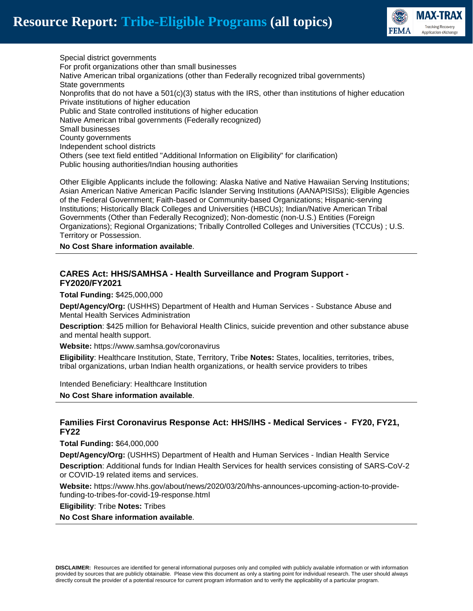

Special district governments For profit organizations other than small businesses Native American tribal organizations (other than Federally recognized tribal governments) State governments Nonprofits that do not have a  $501(c)(3)$  status with the IRS, other than institutions of higher education Private institutions of higher education Public and State controlled institutions of higher education Native American tribal governments (Federally recognized) Small businesses County governments Independent school districts Others (see text field entitled "Additional Information on Eligibility" for clarification) Public housing authorities/Indian housing authorities

Other Eligible Applicants include the following: Alaska Native and Native Hawaiian Serving Institutions; Asian American Native American Pacific Islander Serving Institutions (AANAPISISs); Eligible Agencies of the Federal Government; Faith-based or Community-based Organizations; Hispanic-serving Institutions; Historically Black Colleges and Universities (HBCUs); Indian/Native American Tribal Governments (Other than Federally Recognized); Non-domestic (non-U.S.) Entities (Foreign Organizations); Regional Organizations; Tribally Controlled Colleges and Universities (TCCUs) ; U.S. Territory or Possession.

**No Cost Share information available**.

# **CARES Act: HHS/SAMHSA - Health Surveillance and Program Support - FY2020/FY2021**

**Total Funding:** \$425,000,000

**Dept/Agency/Org:** (USHHS) Department of Health and Human Services - Substance Abuse and Mental Health Services Administration

**Description**: \$425 million for Behavioral Health Clinics, suicide prevention and other substance abuse and mental health support.

**Website:** https://www.samhsa.gov/coronavirus

**Eligibility**: Healthcare Institution, State, Territory, Tribe **Notes:** States, localities, territories, tribes, tribal organizations, urban Indian health organizations, or health service providers to tribes

Intended Beneficiary: Healthcare Institution

**No Cost Share information available**.

#### **Families First Coronavirus Response Act: HHS/IHS - Medical Services - FY20, FY21, FY22**

**Total Funding:** \$64,000,000

**Dept/Agency/Org:** (USHHS) Department of Health and Human Services - Indian Health Service **Description**: Additional funds for Indian Health Services for health services consisting of SARS-CoV-2 or COVID-19 related items and services.

**Website:** https://www.hhs.gov/about/news/2020/03/20/hhs-announces-upcoming-action-to-providefunding-to-tribes-for-covid-19-response.html

**Eligibility**: Tribe **Notes:** Tribes

**No Cost Share information available**.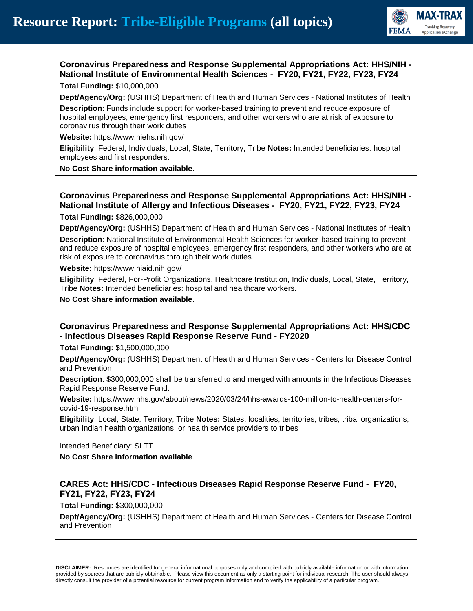

#### **Coronavirus Preparedness and Response Supplemental Appropriations Act: HHS/NIH - National Institute of Environmental Health Sciences - FY20, FY21, FY22, FY23, FY24 Total Funding:** \$10,000,000

**Dept/Agency/Org:** (USHHS) Department of Health and Human Services - National Institutes of Health

**Description**: Funds include support for worker-based training to prevent and reduce exposure of hospital employees, emergency first responders, and other workers who are at risk of exposure to coronavirus through their work duties

**Website:** https://www.niehs.nih.gov/

**Eligibility**: Federal, Individuals, Local, State, Territory, Tribe **Notes:** Intended beneficiaries: hospital employees and first responders.

**No Cost Share information available**.

# **Coronavirus Preparedness and Response Supplemental Appropriations Act: HHS/NIH - National Institute of Allergy and Infectious Diseases - FY20, FY21, FY22, FY23, FY24**

**Total Funding:** \$826,000,000

**Dept/Agency/Org:** (USHHS) Department of Health and Human Services - National Institutes of Health **Description**: National Institute of Environmental Health Sciences for worker-based training to prevent and reduce exposure of hospital employees, emergency first responders, and other workers who are at risk of exposure to coronavirus through their work duties.

**Website:** https://www.niaid.nih.gov/

**Eligibility**: Federal, For-Profit Organizations, Healthcare Institution, Individuals, Local, State, Territory, Tribe **Notes:** Intended beneficiaries: hospital and healthcare workers.

**No Cost Share information available**.

#### **Coronavirus Preparedness and Response Supplemental Appropriations Act: HHS/CDC - Infectious Diseases Rapid Response Reserve Fund - FY2020**

**Total Funding:** \$1,500,000,000

**Dept/Agency/Org:** (USHHS) Department of Health and Human Services - Centers for Disease Control and Prevention

**Description**: \$300,000,000 shall be transferred to and merged with amounts in the Infectious Diseases Rapid Response Reserve Fund.

**Website:** https://www.hhs.gov/about/news/2020/03/24/hhs-awards-100-million-to-health-centers-forcovid-19-response.html

**Eligibility**: Local, State, Territory, Tribe **Notes:** States, localities, territories, tribes, tribal organizations, urban Indian health organizations, or health service providers to tribes

Intended Beneficiary: SLTT

**No Cost Share information available**.

# **CARES Act: HHS/CDC - Infectious Diseases Rapid Response Reserve Fund - FY20, FY21, FY22, FY23, FY24**

**Total Funding:** \$300,000,000

**Dept/Agency/Org:** (USHHS) Department of Health and Human Services - Centers for Disease Control and Prevention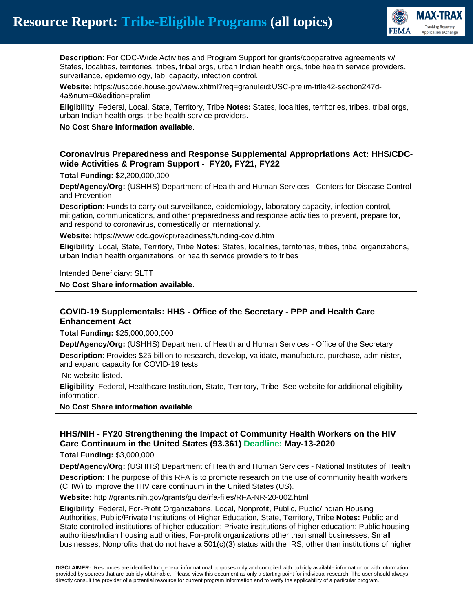

**Description**: For CDC-Wide Activities and Program Support for grants/cooperative agreements w/ States, localities, territories, tribes, tribal orgs, urban Indian health orgs, tribe health service providers, surveillance, epidemiology, lab. capacity, infection control.

**Website:** https://uscode.house.gov/view.xhtml?req=granuleid:USC-prelim-title42-section247d-4a&num=0&edition=prelim

**Eligibility**: Federal, Local, State, Territory, Tribe **Notes:** States, localities, territories, tribes, tribal orgs, urban Indian health orgs, tribe health service providers.

#### **No Cost Share information available**.

# **Coronavirus Preparedness and Response Supplemental Appropriations Act: HHS/CDCwide Activities & Program Support - FY20, FY21, FY22**

**Total Funding:** \$2,200,000,000

**Dept/Agency/Org:** (USHHS) Department of Health and Human Services - Centers for Disease Control and Prevention

**Description**: Funds to carry out surveillance, epidemiology, laboratory capacity, infection control, mitigation, communications, and other preparedness and response activities to prevent, prepare for, and respond to coronavirus, domestically or internationally.

**Website:** https://www.cdc.gov/cpr/readiness/funding-covid.htm

**Eligibility**: Local, State, Territory, Tribe **Notes:** States, localities, territories, tribes, tribal organizations, urban Indian health organizations, or health service providers to tribes

Intended Beneficiary: SLTT

**No Cost Share information available**.

# **COVID-19 Supplementals: HHS - Office of the Secretary - PPP and Health Care Enhancement Act**

**Total Funding:** \$25,000,000,000

**Dept/Agency/Org:** (USHHS) Department of Health and Human Services - Office of the Secretary **Description**: Provides \$25 billion to research, develop, validate, manufacture, purchase, administer, and expand capacity for COVID-19 tests

No website listed.

**Eligibility**: Federal, Healthcare Institution, State, Territory, Tribe See website for additional eligibility information.

**No Cost Share information available**.

# **HHS/NIH - FY20 Strengthening the Impact of Community Health Workers on the HIV Care Continuum in the United States (93.361) Deadline: May-13-2020**

**Total Funding:** \$3,000,000

**Dept/Agency/Org:** (USHHS) Department of Health and Human Services - National Institutes of Health **Description**: The purpose of this RFA is to promote research on the use of community health workers (CHW) to improve the HIV care continuum in the United States (US).

**Website:** http://grants.nih.gov/grants/guide/rfa-files/RFA-NR-20-002.html

**Eligibility**: Federal, For-Profit Organizations, Local, Nonprofit, Public, Public/Indian Housing Authorities, Public/Private Institutions of Higher Education, State, Territory, Tribe **Notes:** Public and State controlled institutions of higher education; Private institutions of higher education; Public housing authorities/Indian housing authorities; For-profit organizations other than small businesses; Small businesses; Nonprofits that do not have a 501(c)(3) status with the IRS, other than institutions of higher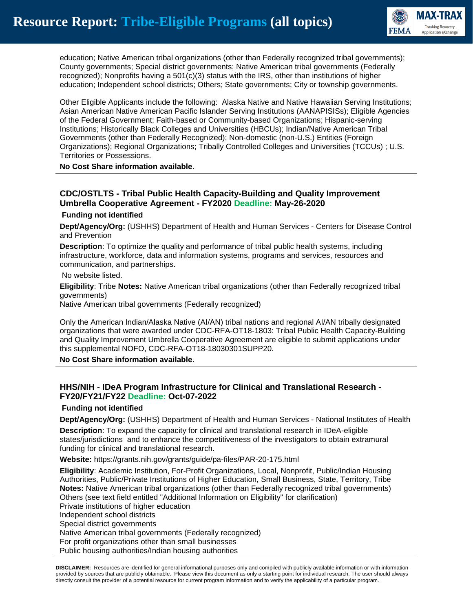

education; Native American tribal organizations (other than Federally recognized tribal governments); County governments; Special district governments; Native American tribal governments (Federally recognized); Nonprofits having a  $501(c)(3)$  status with the IRS, other than institutions of higher education; Independent school districts; Others; State governments; City or township governments.

Other Eligible Applicants include the following: Alaska Native and Native Hawaiian Serving Institutions; Asian American Native American Pacific Islander Serving Institutions (AANAPISISs); Eligible Agencies of the Federal Government; Faith-based or Community-based Organizations; Hispanic-serving Institutions; Historically Black Colleges and Universities (HBCUs); Indian/Native American Tribal Governments (other than Federally Recognized); Non-domestic (non-U.S.) Entities (Foreign Organizations); Regional Organizations; Tribally Controlled Colleges and Universities (TCCUs) ; U.S. Territories or Possessions.

#### **No Cost Share information available**.

# **CDC/OSTLTS - Tribal Public Health Capacity-Building and Quality Improvement Umbrella Cooperative Agreement - FY2020 Deadline: May-26-2020**

#### **Funding not identified**

**Dept/Agency/Org:** (USHHS) Department of Health and Human Services - Centers for Disease Control and Prevention

**Description**: To optimize the quality and performance of tribal public health systems, including infrastructure, workforce, data and information systems, programs and services, resources and communication, and partnerships.

#### No website listed.

**Eligibility**: Tribe **Notes:** Native American tribal organizations (other than Federally recognized tribal governments)

Native American tribal governments (Federally recognized)

Only the American Indian/Alaska Native (AI/AN) tribal nations and regional AI/AN tribally designated organizations that were awarded under CDC-RFA-OT18-1803: Tribal Public Health Capacity-Building and Quality Improvement Umbrella Cooperative Agreement are eligible to submit applications under this supplemental NOFO, CDC-RFA-OT18-18030301SUPP20.

**No Cost Share information available**.

#### **HHS/NIH - IDeA Program Infrastructure for Clinical and Translational Research - FY20/FY21/FY22 Deadline: Oct-07-2022**

#### **Funding not identified**

**Dept/Agency/Org:** (USHHS) Department of Health and Human Services - National Institutes of Health

**Description**: To expand the capacity for clinical and translational research in IDeA-eligible states/jurisdictions and to enhance the competitiveness of the investigators to obtain extramural funding for clinical and translational research.

**Website:** https://grants.nih.gov/grants/guide/pa-files/PAR-20-175.html

**Eligibility**: Academic Institution, For-Profit Organizations, Local, Nonprofit, Public/Indian Housing Authorities, Public/Private Institutions of Higher Education, Small Business, State, Territory, Tribe **Notes:** Native American tribal organizations (other than Federally recognized tribal governments) Others (see text field entitled "Additional Information on Eligibility" for clarification) Private institutions of higher education Independent school districts Special district governments Native American tribal governments (Federally recognized) For profit organizations other than small businesses Public housing authorities/Indian housing authorities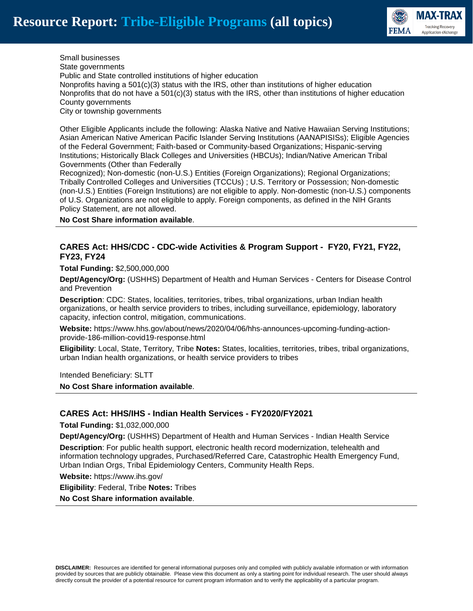

Small businesses State governments Public and State controlled institutions of higher education Nonprofits having a  $501(c)(3)$  status with the IRS, other than institutions of higher education Nonprofits that do not have a  $501(c)(3)$  status with the IRS, other than institutions of higher education County governments City or township governments

Other Eligible Applicants include the following: Alaska Native and Native Hawaiian Serving Institutions; Asian American Native American Pacific Islander Serving Institutions (AANAPISISs); Eligible Agencies of the Federal Government; Faith-based or Community-based Organizations; Hispanic-serving Institutions; Historically Black Colleges and Universities (HBCUs); Indian/Native American Tribal Governments (Other than Federally

Recognized); Non-domestic (non-U.S.) Entities (Foreign Organizations); Regional Organizations; Tribally Controlled Colleges and Universities (TCCUs) ; U.S. Territory or Possession; Non-domestic (non-U.S.) Entities (Foreign Institutions) are not eligible to apply. Non-domestic (non-U.S.) components of U.S. Organizations are not eligible to apply. Foreign components, as defined in the NIH Grants Policy Statement, are not allowed.

**No Cost Share information available**.

#### **CARES Act: HHS/CDC - CDC-wide Activities & Program Support - FY20, FY21, FY22, FY23, FY24**

**Total Funding:** \$2,500,000,000

**Dept/Agency/Org:** (USHHS) Department of Health and Human Services - Centers for Disease Control and Prevention

**Description**: CDC: States, localities, territories, tribes, tribal organizations, urban Indian health organizations, or health service providers to tribes, including surveillance, epidemiology, laboratory capacity, infection control, mitigation, communications.

**Website:** https://www.hhs.gov/about/news/2020/04/06/hhs-announces-upcoming-funding-actionprovide-186-million-covid19-response.html

**Eligibility**: Local, State, Territory, Tribe **Notes:** States, localities, territories, tribes, tribal organizations, urban Indian health organizations, or health service providers to tribes

Intended Beneficiary: SLTT

**No Cost Share information available**.

#### **CARES Act: HHS/IHS - Indian Health Services - FY2020/FY2021**

**Total Funding:** \$1,032,000,000

**Dept/Agency/Org:** (USHHS) Department of Health and Human Services - Indian Health Service

**Description**: For public health support, electronic health record modernization, telehealth and information technology upgrades, Purchased/Referred Care, Catastrophic Health Emergency Fund, Urban Indian Orgs, Tribal Epidemiology Centers, Community Health Reps.

**Website:** https://www.ihs.gov/

**Eligibility**: Federal, Tribe **Notes:** Tribes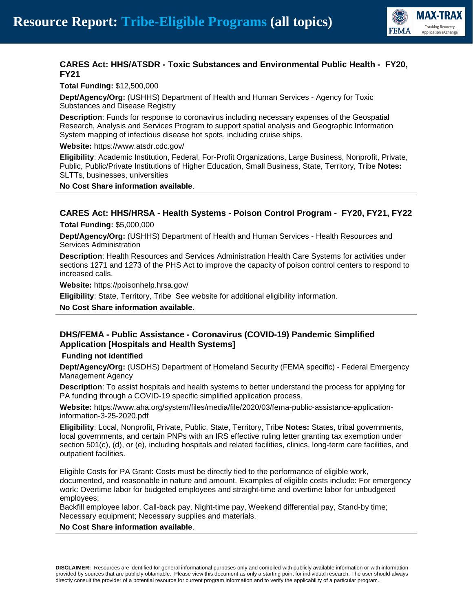

# **CARES Act: HHS/ATSDR - Toxic Substances and Environmental Public Health - FY20, FY21**

**Total Funding:** \$12,500,000

**Dept/Agency/Org:** (USHHS) Department of Health and Human Services - Agency for Toxic Substances and Disease Registry

**Description**: Funds for response to coronavirus including necessary expenses of the Geospatial Research, Analysis and Services Program to support spatial analysis and Geographic Information System mapping of infectious disease hot spots, including cruise ships.

**Website:** https://www.atsdr.cdc.gov/

**Eligibility**: Academic Institution, Federal, For-Profit Organizations, Large Business, Nonprofit, Private, Public, Public/Private Institutions of Higher Education, Small Business, State, Territory, Tribe **Notes:** SLTTs, businesses, universities

**No Cost Share information available**.

# **CARES Act: HHS/HRSA - Health Systems - Poison Control Program - FY20, FY21, FY22**

**Total Funding:** \$5,000,000

**Dept/Agency/Org:** (USHHS) Department of Health and Human Services - Health Resources and Services Administration

**Description**: Health Resources and Services Administration Health Care Systems for activities under sections 1271 and 1273 of the PHS Act to improve the capacity of poison control centers to respond to increased calls.

**Website:** https://poisonhelp.hrsa.gov/

**Eligibility**: State, Territory, Tribe See website for additional eligibility information.

**No Cost Share information available**.

# **DHS/FEMA - Public Assistance - Coronavirus (COVID-19) Pandemic Simplified Application [Hospitals and Health Systems]**

#### **Funding not identified**

**Dept/Agency/Org:** (USDHS) Department of Homeland Security (FEMA specific) - Federal Emergency Management Agency

**Description**: To assist hospitals and health systems to better understand the process for applying for PA funding through a COVID-19 specific simplified application process.

**Website:** https://www.aha.org/system/files/media/file/2020/03/fema-public-assistance-applicationinformation-3-25-2020.pdf

**Eligibility**: Local, Nonprofit, Private, Public, State, Territory, Tribe **Notes:** States, tribal governments, local governments, and certain PNPs with an IRS effective ruling letter granting tax exemption under section 501(c), (d), or (e), including hospitals and related facilities, clinics, long-term care facilities, and outpatient facilities.

Eligible Costs for PA Grant: Costs must be directly tied to the performance of eligible work, documented, and reasonable in nature and amount. Examples of eligible costs include: For emergency work: Overtime labor for budgeted employees and straight-time and overtime labor for unbudgeted employees;

Backfill employee labor, Call-back pay, Night-time pay, Weekend differential pay, Stand-by time; Necessary equipment; Necessary supplies and materials.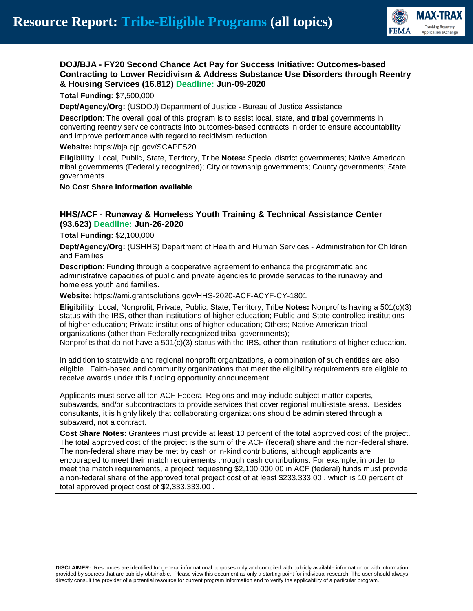

#### **DOJ/BJA - FY20 Second Chance Act Pay for Success Initiative: Outcomes-based Contracting to Lower Recidivism & Address Substance Use Disorders through Reentry & Housing Services (16.812) Deadline: Jun-09-2020**

#### **Total Funding:** \$7,500,000

**Dept/Agency/Org:** (USDOJ) Department of Justice - Bureau of Justice Assistance

**Description**: The overall goal of this program is to assist local, state, and tribal governments in converting reentry service contracts into outcomes-based contracts in order to ensure accountability and improve performance with regard to recidivism reduction.

#### **Website:** https://bja.ojp.gov/SCAPFS20

**Eligibility**: Local, Public, State, Territory, Tribe **Notes:** Special district governments; Native American tribal governments (Federally recognized); City or township governments; County governments; State governments.

#### **No Cost Share information available**.

#### **HHS/ACF - Runaway & Homeless Youth Training & Technical Assistance Center (93.623) Deadline: Jun-26-2020**

**Total Funding:** \$2,100,000

**Dept/Agency/Org:** (USHHS) Department of Health and Human Services - Administration for Children and Families

**Description**: Funding through a cooperative agreement to enhance the programmatic and administrative capacities of public and private agencies to provide services to the runaway and homeless youth and families.

**Website:** https://ami.grantsolutions.gov/HHS-2020-ACF-ACYF-CY-1801

**Eligibility**: Local, Nonprofit, Private, Public, State, Territory, Tribe **Notes:** Nonprofits having a 501(c)(3) status with the IRS, other than institutions of higher education; Public and State controlled institutions of higher education; Private institutions of higher education; Others; Native American tribal organizations (other than Federally recognized tribal governments);

Nonprofits that do not have a 501(c)(3) status with the IRS, other than institutions of higher education.

In addition to statewide and regional nonprofit organizations, a combination of such entities are also eligible. Faith-based and community organizations that meet the eligibility requirements are eligible to receive awards under this funding opportunity announcement.

Applicants must serve all ten ACF Federal Regions and may include subject matter experts, subawards, and/or subcontractors to provide services that cover regional multi-state areas. Besides consultants, it is highly likely that collaborating organizations should be administered through a subaward, not a contract.

**Cost Share Notes:** Grantees must provide at least 10 percent of the total approved cost of the project. The total approved cost of the project is the sum of the ACF (federal) share and the non-federal share. The non-federal share may be met by cash or in-kind contributions, although applicants are encouraged to meet their match requirements through cash contributions. For example, in order to meet the match requirements, a project requesting \$2,100,000.00 in ACF (federal) funds must provide a non-federal share of the approved total project cost of at least \$233,333.00 , which is 10 percent of total approved project cost of \$2,333,333.00 .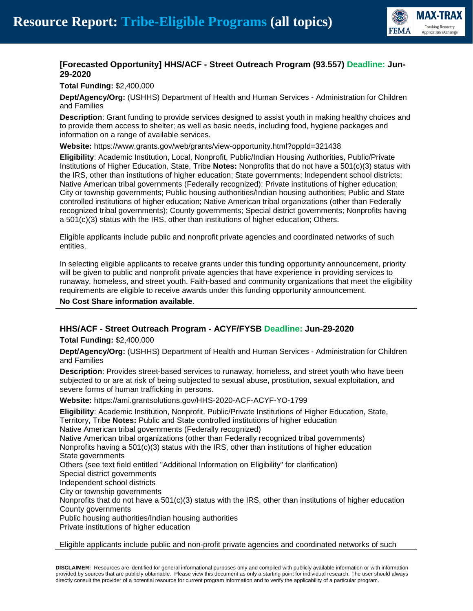

# **[Forecasted Opportunity] HHS/ACF - Street Outreach Program (93.557) Deadline: Jun-29-2020**

**Total Funding:** \$2,400,000

**Dept/Agency/Org:** (USHHS) Department of Health and Human Services - Administration for Children and Families

**Description**: Grant funding to provide services designed to assist youth in making healthy choices and to provide them access to shelter; as well as basic needs, including food, hygiene packages and information on a range of available services.

**Website:** https://www.grants.gov/web/grants/view-opportunity.html?oppId=321438

**Eligibility**: Academic Institution, Local, Nonprofit, Public/Indian Housing Authorities, Public/Private Institutions of Higher Education, State, Tribe **Notes:** Nonprofits that do not have a 501(c)(3) status with the IRS, other than institutions of higher education; State governments; Independent school districts; Native American tribal governments (Federally recognized); Private institutions of higher education; City or township governments; Public housing authorities/Indian housing authorities; Public and State controlled institutions of higher education; Native American tribal organizations (other than Federally recognized tribal governments); County governments; Special district governments; Nonprofits having a 501(c)(3) status with the IRS, other than institutions of higher education; Others.

Eligible applicants include public and nonprofit private agencies and coordinated networks of such entities.

In selecting eligible applicants to receive grants under this funding opportunity announcement, priority will be given to public and nonprofit private agencies that have experience in providing services to runaway, homeless, and street youth. Faith-based and community organizations that meet the eligibility requirements are eligible to receive awards under this funding opportunity announcement.

**No Cost Share information available**.

# **HHS/ACF - Street Outreach Program - ACYF/FYSB Deadline: Jun-29-2020**

**Total Funding:** \$2,400,000

**Dept/Agency/Org:** (USHHS) Department of Health and Human Services - Administration for Children and Families

**Description**: Provides street-based services to runaway, homeless, and street youth who have been subjected to or are at risk of being subjected to sexual abuse, prostitution, sexual exploitation, and severe forms of human trafficking in persons.

**Website:** https://ami.grantsolutions.gov/HHS-2020-ACF-ACYF-YO-1799

**Eligibility**: Academic Institution, Nonprofit, Public/Private Institutions of Higher Education, State, Territory, Tribe **Notes:** Public and State controlled institutions of higher education Native American tribal governments (Federally recognized) Native American tribal organizations (other than Federally recognized tribal governments) Nonprofits having a  $501(c)(3)$  status with the IRS, other than institutions of higher education State governments Others (see text field entitled "Additional Information on Eligibility" for clarification) Special district governments Independent school districts City or township governments Nonprofits that do not have a  $501(c)(3)$  status with the IRS, other than institutions of higher education County governments Public housing authorities/Indian housing authorities

Private institutions of higher education

#### Eligible applicants include public and non-profit private agencies and coordinated networks of such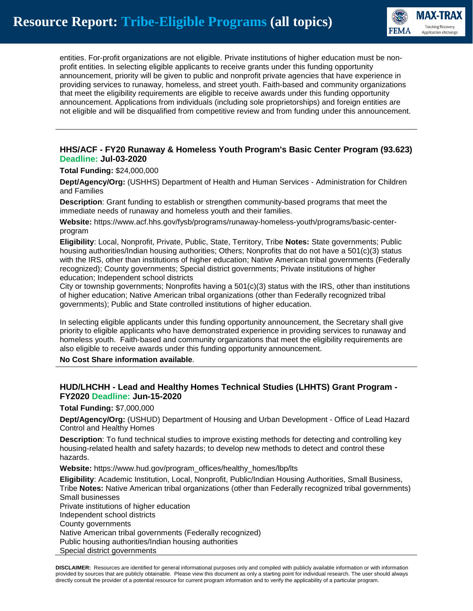

entities. For-profit organizations are not eligible. Private institutions of higher education must be nonprofit entities. In selecting eligible applicants to receive grants under this funding opportunity announcement, priority will be given to public and nonprofit private agencies that have experience in providing services to runaway, homeless, and street youth. Faith-based and community organizations that meet the eligibility requirements are eligible to receive awards under this funding opportunity announcement. Applications from individuals (including sole proprietorships) and foreign entities are not eligible and will be disqualified from competitive review and from funding under this announcement.

## **HHS/ACF - FY20 Runaway & Homeless Youth Program's Basic Center Program (93.623) Deadline: Jul-03-2020**

**Total Funding:** \$24,000,000

**Dept/Agency/Org:** (USHHS) Department of Health and Human Services - Administration for Children and Families

**Description**: Grant funding to establish or strengthen community-based programs that meet the immediate needs of runaway and homeless youth and their families.

**Website:** https://www.acf.hhs.gov/fysb/programs/runaway-homeless-youth/programs/basic-centerprogram

**Eligibility**: Local, Nonprofit, Private, Public, State, Territory, Tribe **Notes:** State governments; Public housing authorities/Indian housing authorities; Others; Nonprofits that do not have a 501(c)(3) status with the IRS, other than institutions of higher education; Native American tribal governments (Federally recognized); County governments; Special district governments; Private institutions of higher education; Independent school districts

City or township governments; Nonprofits having a 501(c)(3) status with the IRS, other than institutions of higher education; Native American tribal organizations (other than Federally recognized tribal governments); Public and State controlled institutions of higher education.

In selecting eligible applicants under this funding opportunity announcement, the Secretary shall give priority to eligible applicants who have demonstrated experience in providing services to runaway and homeless youth. Faith-based and community organizations that meet the eligibility requirements are also eligible to receive awards under this funding opportunity announcement.

**No Cost Share information available**.

## **HUD/LHCHH - Lead and Healthy Homes Technical Studies (LHHTS) Grant Program - FY2020 Deadline: Jun-15-2020**

**Total Funding:** \$7,000,000

**Dept/Agency/Org:** (USHUD) Department of Housing and Urban Development - Office of Lead Hazard Control and Healthy Homes

**Description**: To fund technical studies to improve existing methods for detecting and controlling key housing-related health and safety hazards; to develop new methods to detect and control these hazards.

**Website:** https://www.hud.gov/program\_offices/healthy\_homes/lbp/lts

**Eligibility**: Academic Institution, Local, Nonprofit, Public/Indian Housing Authorities, Small Business, Tribe **Notes:** Native American tribal organizations (other than Federally recognized tribal governments) Small businesses Private institutions of higher education Independent school districts County governments

Native American tribal governments (Federally recognized) Public housing authorities/Indian housing authorities

Special district governments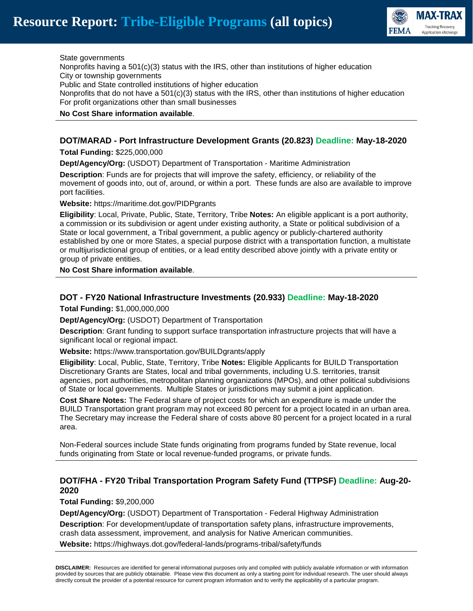

State governments

Nonprofits having a 501(c)(3) status with the IRS, other than institutions of higher education City or township governments

Public and State controlled institutions of higher education

Nonprofits that do not have a  $501(c)(3)$  status with the IRS, other than institutions of higher education For profit organizations other than small businesses

#### **No Cost Share information available**.

## **DOT/MARAD - Port Infrastructure Development Grants (20.823) Deadline: May-18-2020**

**Total Funding:** \$225,000,000

**Dept/Agency/Org:** (USDOT) Department of Transportation - Maritime Administration

**Description**: Funds are for projects that will improve the safety, efficiency, or reliability of the movement of goods into, out of, around, or within a port. These funds are also are available to improve port facilities.

**Website:** https://maritime.dot.gov/PIDPgrants

**Eligibility**: Local, Private, Public, State, Territory, Tribe **Notes:** An eligible applicant is a port authority, a commission or its subdivision or agent under existing authority, a State or political subdivision of a State or local government, a Tribal government, a public agency or publicly-chartered authority established by one or more States, a special purpose district with a transportation function, a multistate or multijurisdictional group of entities, or a lead entity described above jointly with a private entity or group of private entities.

**No Cost Share information available**.

## **DOT - FY20 National Infrastructure Investments (20.933) Deadline: May-18-2020**

**Total Funding:** \$1,000,000,000

**Dept/Agency/Org:** (USDOT) Department of Transportation

**Description**: Grant funding to support surface transportation infrastructure projects that will have a significant local or regional impact.

**Website:** https://www.transportation.gov/BUILDgrants/apply

**Eligibility**: Local, Public, State, Territory, Tribe **Notes:** Eligible Applicants for BUILD Transportation Discretionary Grants are States, local and tribal governments, including U.S. territories, transit agencies, port authorities, metropolitan planning organizations (MPOs), and other political subdivisions of State or local governments. Multiple States or jurisdictions may submit a joint application.

**Cost Share Notes:** The Federal share of project costs for which an expenditure is made under the BUILD Transportation grant program may not exceed 80 percent for a project located in an urban area. The Secretary may increase the Federal share of costs above 80 percent for a project located in a rural area.

Non-Federal sources include State funds originating from programs funded by State revenue, local funds originating from State or local revenue-funded programs, or private funds.

# **DOT/FHA - FY20 Tribal Transportation Program Safety Fund (TTPSF) Deadline: Aug-20- 2020**

**Total Funding:** \$9,200,000

**Dept/Agency/Org:** (USDOT) Department of Transportation - Federal Highway Administration **Description**: For development/update of transportation safety plans, infrastructure improvements, crash data assessment, improvement, and analysis for Native American communities.

**Website:** https://highways.dot.gov/federal-lands/programs-tribal/safety/funds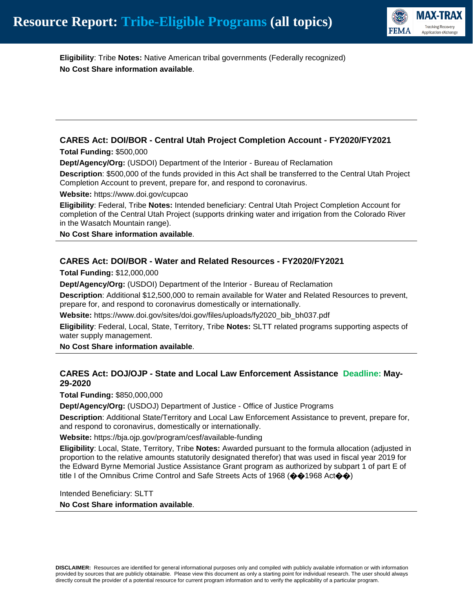

**Eligibility**: Tribe **Notes:** Native American tribal governments (Federally recognized) **No Cost Share information available**.

# **CARES Act: DOI/BOR - Central Utah Project Completion Account - FY2020/FY2021**

#### **Total Funding:** \$500,000

**Dept/Agency/Org:** (USDOI) Department of the Interior - Bureau of Reclamation

**Description**: \$500,000 of the funds provided in this Act shall be transferred to the Central Utah Project Completion Account to prevent, prepare for, and respond to coronavirus.

**Website:** https://www.doi.gov/cupcao

**Eligibility**: Federal, Tribe **Notes:** Intended beneficiary: Central Utah Project Completion Account for completion of the Central Utah Project (supports drinking water and irrigation from the Colorado River in the Wasatch Mountain range).

**No Cost Share information available**.

## **CARES Act: DOI/BOR - Water and Related Resources - FY2020/FY2021**

**Total Funding:** \$12,000,000

**Dept/Agency/Org:** (USDOI) Department of the Interior - Bureau of Reclamation

**Description**: Additional \$12,500,000 to remain available for Water and Related Resources to prevent, prepare for, and respond to coronavirus domestically or internationally.

**Website:** https://www.doi.gov/sites/doi.gov/files/uploads/fy2020\_bib\_bh037.pdf

**Eligibility**: Federal, Local, State, Territory, Tribe **Notes:** SLTT related programs supporting aspects of water supply management.

**No Cost Share information available**.

# **CARES Act: DOJ/OJP - State and Local Law Enforcement Assistance Deadline: May-29-2020**

**Total Funding:** \$850,000,000

**Dept/Agency/Org:** (USDOJ) Department of Justice - Office of Justice Programs

**Description**: Additional State/Territory and Local Law Enforcement Assistance to prevent, prepare for, and respond to coronavirus, domestically or internationally.

**Website:** https://bja.ojp.gov/program/cesf/available-funding

**Eligibility**: Local, State, Territory, Tribe **Notes:** Awarded pursuant to the formula allocation (adjusted in proportion to the relative amounts statutorily designated therefor) that was used in fiscal year 2019 for the Edward Byrne Memorial Justice Assistance Grant program as authorized by subpart 1 of part E of title I of the Omnibus Crime Control and Safe Streets Acts of 1968 ( $\bigcirc$  41968 Act $\bigcirc$ )

Intended Beneficiary: SLTT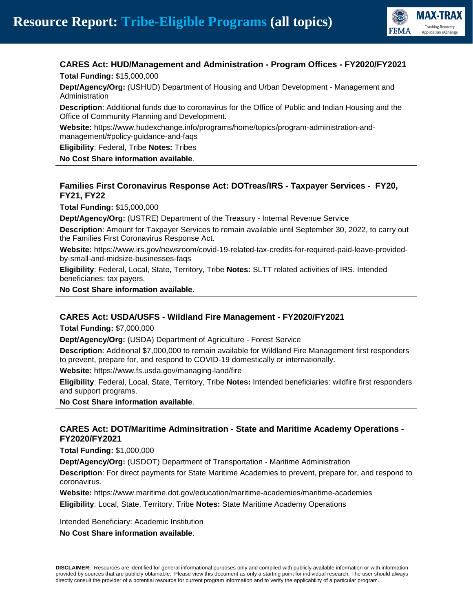

# **CARES Act: HUD/Management and Administration - Program Offices - FY2020/FY2021**

**Total Funding:** \$15,000,000

**Dept/Agency/Org:** (USHUD) Department of Housing and Urban Development - Management and Administration

**Description**: Additional funds due to coronavirus for the Office of Public and Indian Housing and the Office of Community Planning and Development.

**Website:** https://www.hudexchange.info/programs/home/topics/program-administration-andmanagement/#policy-guidance-and-faqs

**Eligibility**: Federal, Tribe **Notes:** Tribes

**No Cost Share information available**.

# **Families First Coronavirus Response Act: DOTreas/IRS - Taxpayer Services - FY20, FY21, FY22**

**Total Funding:** \$15,000,000

**Dept/Agency/Org:** (USTRE) Department of the Treasury - Internal Revenue Service

**Description**: Amount for Taxpayer Services to remain available until September 30, 2022, to carry out the Families First Coronavirus Response Act.

**Website:** https://www.irs.gov/newsroom/covid-19-related-tax-credits-for-required-paid-leave-providedby-small-and-midsize-businesses-faqs

**Eligibility**: Federal, Local, State, Territory, Tribe **Notes:** SLTT related activities of IRS. Intended beneficiaries: tax payers.

**No Cost Share information available**.

#### **CARES Act: USDA/USFS - Wildland Fire Management - FY2020/FY2021**

**Total Funding:** \$7,000,000

**Dept/Agency/Org:** (USDA) Department of Agriculture - Forest Service

**Description**: Additional \$7,000,000 to remain available for Wildland Fire Management first responders to prevent, prepare for, and respond to COVID-19 domestically or internationally.

**Website:** https://www.fs.usda.gov/managing-land/fire

**Eligibility**: Federal, Local, State, Territory, Tribe **Notes:** Intended beneficiaries: wildfire first responders and support programs.

**No Cost Share information available**.

## **CARES Act: DOT/Maritime Adminsitration - State and Maritime Academy Operations - FY2020/FY2021**

**Total Funding:** \$1,000,000

**Dept/Agency/Org:** (USDOT) Department of Transportation - Maritime Administration

**Description**: For direct payments for State Maritime Academies to prevent, prepare for, and respond to coronavirus.

**Website:** https://www.maritime.dot.gov/education/maritime-academies/maritime-academies **Eligibility**: Local, State, Territory, Tribe **Notes:** State Maritime Academy Operations

Intended Beneficiary: Academic Institution **No Cost Share information available**.

**DISCLAIMER:** Resources are identified for general informational purposes only and compiled with publicly available information or with information provided by sources that are publicly obtainable. Please view this document as only a starting point for individual research. The user should always directly consult the provider of a potential resource for current program information and to verify the applicability of a particular program.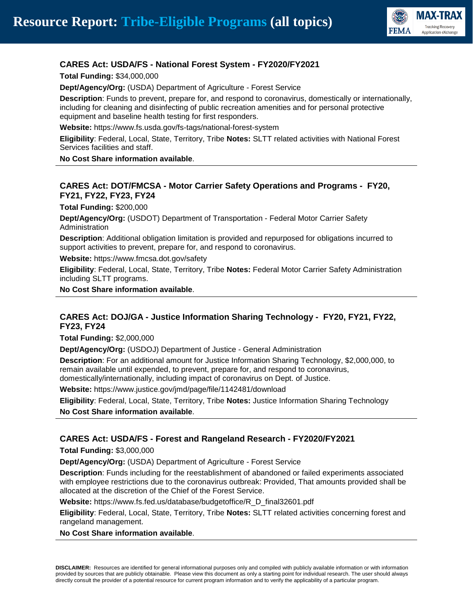

#### **CARES Act: USDA/FS - National Forest System - FY2020/FY2021**

**Total Funding:** \$34,000,000

**Dept/Agency/Org:** (USDA) Department of Agriculture - Forest Service

**Description**: Funds to prevent, prepare for, and respond to coronavirus, domestically or internationally, including for cleaning and disinfecting of public recreation amenities and for personal protective equipment and baseline health testing for first responders.

**Website:** https://www.fs.usda.gov/fs-tags/national-forest-system

**Eligibility**: Federal, Local, State, Territory, Tribe **Notes:** SLTT related activities with National Forest Services facilities and staff.

**No Cost Share information available**.

## **CARES Act: DOT/FMCSA - Motor Carrier Safety Operations and Programs - FY20, FY21, FY22, FY23, FY24**

**Total Funding:** \$200,000

**Dept/Agency/Org:** (USDOT) Department of Transportation - Federal Motor Carrier Safety Administration

**Description**: Additional obligation limitation is provided and repurposed for obligations incurred to support activities to prevent, prepare for, and respond to coronavirus.

**Website:** https://www.fmcsa.dot.gov/safety

**Eligibility**: Federal, Local, State, Territory, Tribe **Notes:** Federal Motor Carrier Safety Administration including SLTT programs.

**No Cost Share information available**.

#### **CARES Act: DOJ/GA - Justice Information Sharing Technology - FY20, FY21, FY22, FY23, FY24**

**Total Funding:** \$2,000,000

**Dept/Agency/Org:** (USDOJ) Department of Justice - General Administration

**Description**: For an additional amount for Justice Information Sharing Technology, \$2,000,000, to remain available until expended, to prevent, prepare for, and respond to coronavirus, domestically/internationally, including impact of coronavirus on Dept. of Justice.

**Website:** https://www.justice.gov/jmd/page/file/1142481/download

**Eligibility**: Federal, Local, State, Territory, Tribe **Notes:** Justice Information Sharing Technology **No Cost Share information available**.

#### **CARES Act: USDA/FS - Forest and Rangeland Research - FY2020/FY2021**

**Total Funding:** \$3,000,000

**Dept/Agency/Org:** (USDA) Department of Agriculture - Forest Service

**Description**: Funds including for the reestablishment of abandoned or failed experiments associated with employee restrictions due to the coronavirus outbreak: Provided, That amounts provided shall be allocated at the discretion of the Chief of the Forest Service.

**Website:** https://www.fs.fed.us/database/budgetoffice/R\_D\_final32601.pdf

**Eligibility**: Federal, Local, State, Territory, Tribe **Notes:** SLTT related activities concerning forest and rangeland management.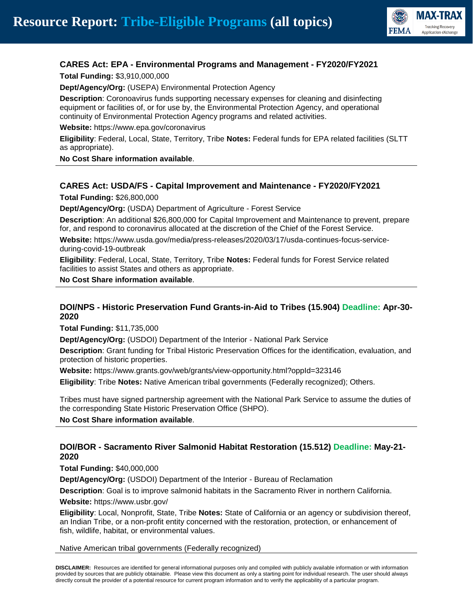

# **CARES Act: EPA - Environmental Programs and Management - FY2020/FY2021**

**Total Funding:** \$3,910,000,000

**Dept/Agency/Org:** (USEPA) Environmental Protection Agency

**Description**: Coronoavirus funds supporting necessary expenses for cleaning and disinfecting equipment or facilities of, or for use by, the Environmental Protection Agency, and operational continuity of Environmental Protection Agency programs and related activities.

**Website:** https://www.epa.gov/coronavirus

**Eligibility**: Federal, Local, State, Territory, Tribe **Notes:** Federal funds for EPA related facilities (SLTT as appropriate).

**No Cost Share information available**.

#### **CARES Act: USDA/FS - Capital Improvement and Maintenance - FY2020/FY2021**

**Total Funding:** \$26,800,000

**Dept/Agency/Org:** (USDA) Department of Agriculture - Forest Service

**Description**: An additional \$26,800,000 for Capital Improvement and Maintenance to prevent, prepare for, and respond to coronavirus allocated at the discretion of the Chief of the Forest Service.

**Website:** https://www.usda.gov/media/press-releases/2020/03/17/usda-continues-focus-serviceduring-covid-19-outbreak

**Eligibility**: Federal, Local, State, Territory, Tribe **Notes:** Federal funds for Forest Service related facilities to assist States and others as appropriate.

**No Cost Share information available**.

# **DOI/NPS - Historic Preservation Fund Grants-in-Aid to Tribes (15.904) Deadline: Apr-30- 2020**

**Total Funding:** \$11,735,000

**Dept/Agency/Org:** (USDOI) Department of the Interior - National Park Service

**Description**: Grant funding for Tribal Historic Preservation Offices for the identification, evaluation, and protection of historic properties.

**Website:** https://www.grants.gov/web/grants/view-opportunity.html?oppId=323146

**Eligibility**: Tribe **Notes:** Native American tribal governments (Federally recognized); Others.

Tribes must have signed partnership agreement with the National Park Service to assume the duties of the corresponding State Historic Preservation Office (SHPO).

**No Cost Share information available**.

## **DOI/BOR - Sacramento River Salmonid Habitat Restoration (15.512) Deadline: May-21- 2020**

**Total Funding:** \$40,000,000

**Dept/Agency/Org:** (USDOI) Department of the Interior - Bureau of Reclamation

**Description**: Goal is to improve salmonid habitats in the Sacramento River in northern California.

**Website:** https://www.usbr.gov/

**Eligibility**: Local, Nonprofit, State, Tribe **Notes:** State of California or an agency or subdivision thereof, an Indian Tribe, or a non-profit entity concerned with the restoration, protection, or enhancement of fish, wildlife, habitat, or environmental values.

Native American tribal governments (Federally recognized)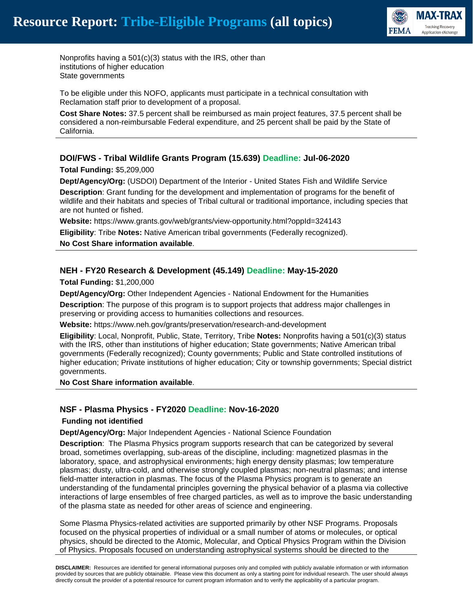

Nonprofits having a 501(c)(3) status with the IRS, other than institutions of higher education State governments

To be eligible under this NOFO, applicants must participate in a technical consultation with Reclamation staff prior to development of a proposal.

**Cost Share Notes:** 37.5 percent shall be reimbursed as main project features, 37.5 percent shall be considered a non-reimbursable Federal expenditure, and 25 percent shall be paid by the State of California.

## **DOI/FWS - Tribal Wildlife Grants Program (15.639) Deadline: Jul-06-2020**

**Total Funding:** \$5,209,000

**Dept/Agency/Org:** (USDOI) Department of the Interior - United States Fish and Wildlife Service

**Description**: Grant funding for the development and implementation of programs for the benefit of wildlife and their habitats and species of Tribal cultural or traditional importance, including species that are not hunted or fished.

**Website:** https://www.grants.gov/web/grants/view-opportunity.html?oppId=324143

**Eligibility**: Tribe **Notes:** Native American tribal governments (Federally recognized).

**No Cost Share information available**.

#### **NEH - FY20 Research & Development (45.149) Deadline: May-15-2020**

**Total Funding:** \$1,200,000

**Dept/Agency/Org:** Other Independent Agencies - National Endowment for the Humanities

**Description**: The purpose of this program is to support projects that address major challenges in preserving or providing access to humanities collections and resources.

**Website:** https://www.neh.gov/grants/preservation/research-and-development

**Eligibility**: Local, Nonprofit, Public, State, Territory, Tribe **Notes:** Nonprofits having a 501(c)(3) status with the IRS, other than institutions of higher education; State governments; Native American tribal governments (Federally recognized); County governments; Public and State controlled institutions of higher education; Private institutions of higher education; City or township governments; Special district governments.

**No Cost Share information available**.

#### **NSF - Plasma Physics - FY2020 Deadline: Nov-16-2020**

#### **Funding not identified**

**Dept/Agency/Org:** Major Independent Agencies - National Science Foundation

**Description**: The Plasma Physics program supports research that can be categorized by several broad, sometimes overlapping, sub-areas of the discipline, including: magnetized plasmas in the laboratory, space, and astrophysical environments; high energy density plasmas; low temperature plasmas; dusty, ultra-cold, and otherwise strongly coupled plasmas; non-neutral plasmas; and intense field-matter interaction in plasmas. The focus of the Plasma Physics program is to generate an understanding of the fundamental principles governing the physical behavior of a plasma via collective interactions of large ensembles of free charged particles, as well as to improve the basic understanding of the plasma state as needed for other areas of science and engineering.

Some Plasma Physics-related activities are supported primarily by other NSF Programs. Proposals focused on the physical properties of individual or a small number of atoms or molecules, or optical physics, should be directed to the Atomic, Molecular, and Optical Physics Program within the Division of Physics. Proposals focused on understanding astrophysical systems should be directed to the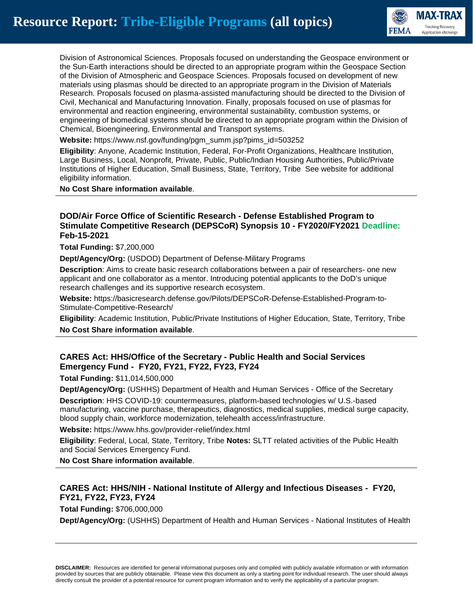

Division of Astronomical Sciences. Proposals focused on understanding the Geospace environment or the Sun-Earth interactions should be directed to an appropriate program within the Geospace Section of the Division of Atmospheric and Geospace Sciences. Proposals focused on development of new materials using plasmas should be directed to an appropriate program in the Division of Materials Research. Proposals focused on plasma-assisted manufacturing should be directed to the Division of Civil, Mechanical and Manufacturing Innovation. Finally, proposals focused on use of plasmas for environmental and reaction engineering, environmental sustainability, combustion systems, or engineering of biomedical systems should be directed to an appropriate program within the Division of Chemical, Bioengineering, Environmental and Transport systems.

**Website:** https://www.nsf.gov/funding/pgm\_summ.jsp?pims\_id=503252

**Eligibility**: Anyone, Academic Institution, Federal, For-Profit Organizations, Healthcare Institution, Large Business, Local, Nonprofit, Private, Public, Public/Indian Housing Authorities, Public/Private Institutions of Higher Education, Small Business, State, Territory, Tribe See website for additional eligibility information.

**No Cost Share information available**.

## **DOD/Air Force Office of Scientific Research - Defense Established Program to Stimulate Competitive Research (DEPSCoR) Synopsis 10 - FY2020/FY2021 Deadline: Feb-15-2021**

**Total Funding:** \$7,200,000

**Dept/Agency/Org:** (USDOD) Department of Defense-Military Programs

**Description**: Aims to create basic research collaborations between a pair of researchers- one new applicant and one collaborator as a mentor. Introducing potential applicants to the DoD's unique research challenges and its supportive research ecosystem.

**Website:** https://basicresearch.defense.gov/Pilots/DEPSCoR-Defense-Established-Program-to-Stimulate-Competitive-Research/

**Eligibility**: Academic Institution, Public/Private Institutions of Higher Education, State, Territory, Tribe

**No Cost Share information available**.

## **CARES Act: HHS/Office of the Secretary - Public Health and Social Services Emergency Fund - FY20, FY21, FY22, FY23, FY24**

**Total Funding:** \$11,014,500,000

**Dept/Agency/Org:** (USHHS) Department of Health and Human Services - Office of the Secretary

**Description**: HHS COVID-19: countermeasures, platform-based technologies w/ U.S.-based manufacturing, vaccine purchase, therapeutics, diagnostics, medical supplies, medical surge capacity, blood supply chain, workforce modernization, telehealth access/infrastructure.

**Website:** https://www.hhs.gov/provider-relief/index.html

**Eligibility**: Federal, Local, State, Territory, Tribe **Notes:** SLTT related activities of the Public Health and Social Services Emergency Fund.

**No Cost Share information available**.

# **CARES Act: HHS/NIH - National Institute of Allergy and Infectious Diseases - FY20, FY21, FY22, FY23, FY24**

**Total Funding:** \$706,000,000

**Dept/Agency/Org:** (USHHS) Department of Health and Human Services - National Institutes of Health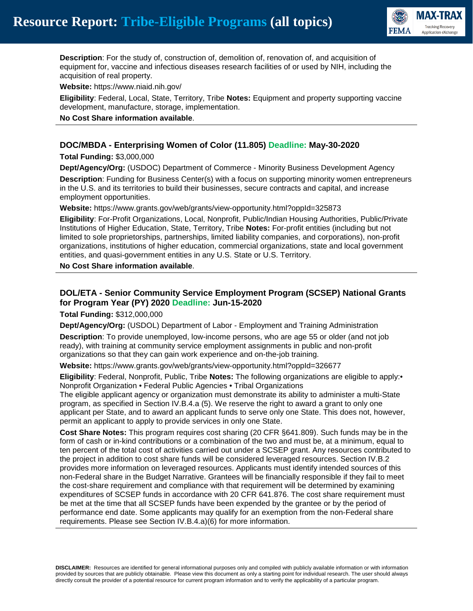

**Description**: For the study of, construction of, demolition of, renovation of, and acquisition of equipment for, vaccine and infectious diseases research facilities of or used by NIH, including the acquisition of real property.

**Website:** https://www.niaid.nih.gov/

**Eligibility**: Federal, Local, State, Territory, Tribe **Notes:** Equipment and property supporting vaccine development, manufacture, storage, implementation.

**No Cost Share information available**.

## **DOC/MBDA - Enterprising Women of Color (11.805) Deadline: May-30-2020**

**Total Funding:** \$3,000,000

**Dept/Agency/Org:** (USDOC) Department of Commerce - Minority Business Development Agency **Description**: Funding for Business Center(s) with a focus on supporting minority women entrepreneurs in the U.S. and its territories to build their businesses, secure contracts and capital, and increase employment opportunities.

**Website:** https://www.grants.gov/web/grants/view-opportunity.html?oppId=325873

**Eligibility**: For-Profit Organizations, Local, Nonprofit, Public/Indian Housing Authorities, Public/Private Institutions of Higher Education, State, Territory, Tribe **Notes:** For-profit entities (including but not limited to sole proprietorships, partnerships, limited liability companies, and corporations), non-profit organizations, institutions of higher education, commercial organizations, state and local government entities, and quasi-government entities in any U.S. State or U.S. Territory.

**No Cost Share information available**.

## **DOL/ETA - Senior Community Service Employment Program (SCSEP) National Grants for Program Year (PY) 2020 Deadline: Jun-15-2020**

**Total Funding:** \$312,000,000

**Dept/Agency/Org:** (USDOL) Department of Labor - Employment and Training Administration

**Description**: To provide unemployed, low-income persons, who are age 55 or older (and not job ready), with training at community service employment assignments in public and non-profit organizations so that they can gain work experience and on-the-job training.

**Website:** https://www.grants.gov/web/grants/view-opportunity.html?oppId=326677

**Eligibility**: Federal, Nonprofit, Public, Tribe **Notes:** The following organizations are eligible to apply:• Nonprofit Organization • Federal Public Agencies • Tribal Organizations

The eligible applicant agency or organization must demonstrate its ability to administer a multi-State program, as specified in Section IV.B.4.a (5). We reserve the right to award a grant to only one applicant per State, and to award an applicant funds to serve only one State. This does not, however, permit an applicant to apply to provide services in only one State.

**Cost Share Notes:** This program requires cost sharing (20 CFR §641.809). Such funds may be in the form of cash or in-kind contributions or a combination of the two and must be, at a minimum, equal to ten percent of the total cost of activities carried out under a SCSEP grant. Any resources contributed to the project in addition to cost share funds will be considered leveraged resources. Section IV.B.2 provides more information on leveraged resources. Applicants must identify intended sources of this non-Federal share in the Budget Narrative. Grantees will be financially responsible if they fail to meet the cost-share requirement and compliance with that requirement will be determined by examining expenditures of SCSEP funds in accordance with 20 CFR 641.876. The cost share requirement must be met at the time that all SCSEP funds have been expended by the grantee or by the period of performance end date. Some applicants may qualify for an exemption from the non-Federal share requirements. Please see Section IV.B.4.a)(6) for more information.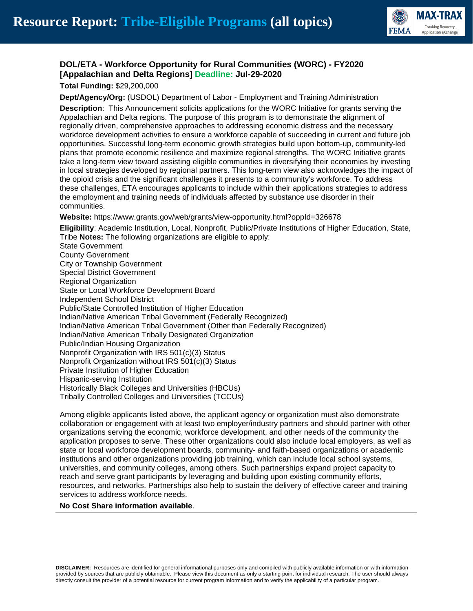

# **DOL/ETA - Workforce Opportunity for Rural Communities (WORC) - FY2020 [Appalachian and Delta Regions] Deadline: Jul-29-2020**

**Total Funding:** \$29,200,000

**Dept/Agency/Org:** (USDOL) Department of Labor - Employment and Training Administration

**Description**: This Announcement solicits applications for the WORC Initiative for grants serving the Appalachian and Delta regions. The purpose of this program is to demonstrate the alignment of regionally driven, comprehensive approaches to addressing economic distress and the necessary workforce development activities to ensure a workforce capable of succeeding in current and future job opportunities. Successful long-term economic growth strategies build upon bottom-up, community-led plans that promote economic resilience and maximize regional strengths. The WORC Initiative grants take a long-term view toward assisting eligible communities in diversifying their economies by investing in local strategies developed by regional partners. This long-term view also acknowledges the impact of the opioid crisis and the significant challenges it presents to a community's workforce. To address these challenges, ETA encourages applicants to include within their applications strategies to address the employment and training needs of individuals affected by substance use disorder in their communities.

**Website:** https://www.grants.gov/web/grants/view-opportunity.html?oppId=326678

**Eligibility**: Academic Institution, Local, Nonprofit, Public/Private Institutions of Higher Education, State, Tribe **Notes:** The following organizations are eligible to apply:

State Government County Government City or Township Government Special District Government Regional Organization State or Local Workforce Development Board Independent School District Public/State Controlled Institution of Higher Education Indian/Native American Tribal Government (Federally Recognized) Indian/Native American Tribal Government (Other than Federally Recognized) Indian/Native American Tribally Designated Organization Public/Indian Housing Organization Nonprofit Organization with IRS 501(c)(3) Status Nonprofit Organization without IRS 501(c)(3) Status Private Institution of Higher Education Hispanic-serving Institution Historically Black Colleges and Universities (HBCUs) Tribally Controlled Colleges and Universities (TCCUs)

Among eligible applicants listed above, the applicant agency or organization must also demonstrate collaboration or engagement with at least two employer/industry partners and should partner with other organizations serving the economic, workforce development, and other needs of the community the application proposes to serve. These other organizations could also include local employers, as well as state or local workforce development boards, community- and faith-based organizations or academic institutions and other organizations providing job training, which can include local school systems, universities, and community colleges, among others. Such partnerships expand project capacity to reach and serve grant participants by leveraging and building upon existing community efforts, resources, and networks. Partnerships also help to sustain the delivery of effective career and training services to address workforce needs.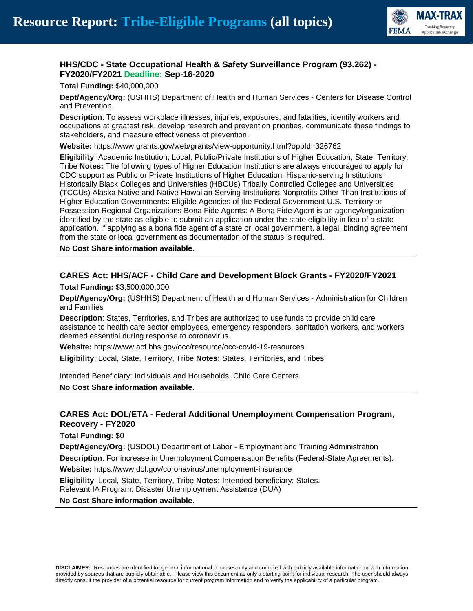

# **HHS/CDC - State Occupational Health & Safety Surveillance Program (93.262) - FY2020/FY2021 Deadline: Sep-16-2020**

**Total Funding:** \$40,000,000

**Dept/Agency/Org:** (USHHS) Department of Health and Human Services - Centers for Disease Control and Prevention

**Description**: To assess workplace illnesses, injuries, exposures, and fatalities, identify workers and occupations at greatest risk, develop research and prevention priorities, communicate these findings to stakeholders, and measure effectiveness of prevention.

**Website:** https://www.grants.gov/web/grants/view-opportunity.html?oppId=326762

**Eligibility**: Academic Institution, Local, Public/Private Institutions of Higher Education, State, Territory, Tribe **Notes:** The following types of Higher Education Institutions are always encouraged to apply for CDC support as Public or Private Institutions of Higher Education: Hispanic-serving Institutions Historically Black Colleges and Universities (HBCUs) Tribally Controlled Colleges and Universities (TCCUs) Alaska Native and Native Hawaiian Serving Institutions Nonprofits Other Than Institutions of Higher Education Governments: Eligible Agencies of the Federal Government U.S. Territory or Possession Regional Organizations Bona Fide Agents: A Bona Fide Agent is an agency/organization identified by the state as eligible to submit an application under the state eligibility in lieu of a state application. If applying as a bona fide agent of a state or local government, a legal, binding agreement from the state or local government as documentation of the status is required.

**No Cost Share information available**.

#### **CARES Act: HHS/ACF - Child Care and Development Block Grants - FY2020/FY2021**

**Total Funding:** \$3,500,000,000

**Dept/Agency/Org:** (USHHS) Department of Health and Human Services - Administration for Children and Families

**Description**: States, Territories, and Tribes are authorized to use funds to provide child care assistance to health care sector employees, emergency responders, sanitation workers, and workers deemed essential during response to coronavirus.

**Website:** https://www.acf.hhs.gov/occ/resource/occ-covid-19-resources

**Eligibility**: Local, State, Territory, Tribe **Notes:** States, Territories, and Tribes

Intended Beneficiary: Individuals and Households, Child Care Centers **No Cost Share information available**.

#### **CARES Act: DOL/ETA - Federal Additional Unemployment Compensation Program, Recovery - FY2020**

**Total Funding:** \$0

**Dept/Agency/Org:** (USDOL) Department of Labor - Employment and Training Administration

**Description**: For increase in Unemployment Compensation Benefits (Federal-State Agreements).

**Website:** https://www.dol.gov/coronavirus/unemployment-insurance

**Eligibility**: Local, State, Territory, Tribe **Notes:** Intended beneficiary: States.

Relevant IA Program: Disaster Unemployment Assistance (DUA)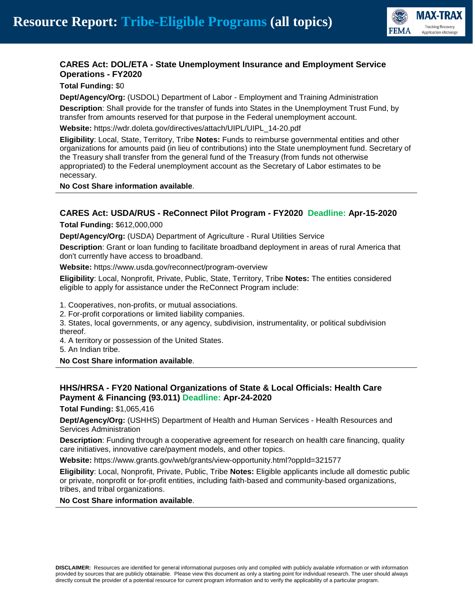

# **CARES Act: DOL/ETA - State Unemployment Insurance and Employment Service Operations - FY2020**

**Total Funding:** \$0

**Dept/Agency/Org:** (USDOL) Department of Labor - Employment and Training Administration

**Description**: Shall provide for the transfer of funds into States in the Unemployment Trust Fund, by transfer from amounts reserved for that purpose in the Federal unemployment account.

**Website:** https://wdr.doleta.gov/directives/attach/UIPL/UIPL\_14-20.pdf

**Eligibility**: Local, State, Territory, Tribe **Notes:** Funds to reimburse governmental entities and other organizations for amounts paid (in lieu of contributions) into the State unemployment fund. Secretary of the Treasury shall transfer from the general fund of the Treasury (from funds not otherwise appropriated) to the Federal unemployment account as the Secretary of Labor estimates to be necessary.

**No Cost Share information available**.

#### **CARES Act: USDA/RUS - ReConnect Pilot Program - FY2020 Deadline: Apr-15-2020**

**Total Funding:** \$612,000,000

**Dept/Agency/Org:** (USDA) Department of Agriculture - Rural Utilities Service

**Description**: Grant or loan funding to facilitate broadband deployment in areas of rural America that don't currently have access to broadband.

**Website:** https://www.usda.gov/reconnect/program-overview

**Eligibility**: Local, Nonprofit, Private, Public, State, Territory, Tribe **Notes:** The entities considered eligible to apply for assistance under the ReConnect Program include:

1. Cooperatives, non-profits, or mutual associations.

2. For-profit corporations or limited liability companies.

3. States, local governments, or any agency, subdivision, instrumentality, or political subdivision thereof.

4. A territory or possession of the United States.

5. An Indian tribe.

**No Cost Share information available**.

## **HHS/HRSA - FY20 National Organizations of State & Local Officials: Health Care Payment & Financing (93.011) Deadline: Apr-24-2020**

**Total Funding:** \$1,065,416

**Dept/Agency/Org:** (USHHS) Department of Health and Human Services - Health Resources and Services Administration

**Description**: Funding through a cooperative agreement for research on health care financing, quality care initiatives, innovative care/payment models, and other topics.

**Website:** https://www.grants.gov/web/grants/view-opportunity.html?oppId=321577

**Eligibility**: Local, Nonprofit, Private, Public, Tribe **Notes:** Eligible applicants include all domestic public or private, nonprofit or for-profit entities, including faith-based and community-based organizations, tribes, and tribal organizations.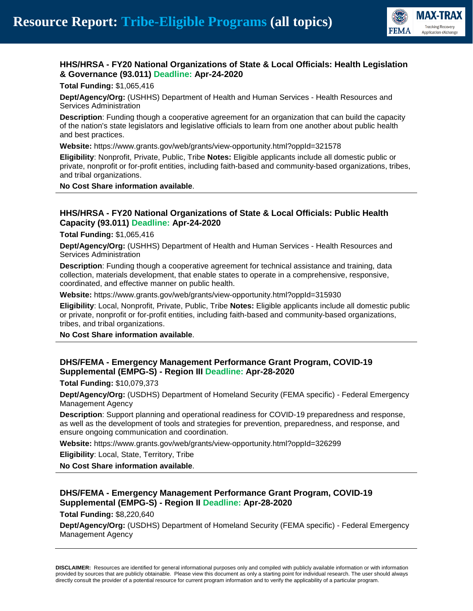

# **HHS/HRSA - FY20 National Organizations of State & Local Officials: Health Legislation & Governance (93.011) Deadline: Apr-24-2020**

**Total Funding:** \$1,065,416

**Dept/Agency/Org:** (USHHS) Department of Health and Human Services - Health Resources and Services Administration

**Description**: Funding though a cooperative agreement for an organization that can build the capacity of the nation's state legislators and legislative officials to learn from one another about public health and best practices.

**Website:** https://www.grants.gov/web/grants/view-opportunity.html?oppId=321578

**Eligibility**: Nonprofit, Private, Public, Tribe **Notes:** Eligible applicants include all domestic public or private, nonprofit or for-profit entities, including faith-based and community-based organizations, tribes, and tribal organizations.

**No Cost Share information available**.

#### **HHS/HRSA - FY20 National Organizations of State & Local Officials: Public Health Capacity (93.011) Deadline: Apr-24-2020**

**Total Funding:** \$1,065,416

**Dept/Agency/Org:** (USHHS) Department of Health and Human Services - Health Resources and Services Administration

**Description**: Funding though a cooperative agreement for technical assistance and training, data collection, materials development, that enable states to operate in a comprehensive, responsive, coordinated, and effective manner on public health.

**Website:** https://www.grants.gov/web/grants/view-opportunity.html?oppId=315930

**Eligibility**: Local, Nonprofit, Private, Public, Tribe **Notes:** Eligible applicants include all domestic public or private, nonprofit or for-profit entities, including faith-based and community-based organizations, tribes, and tribal organizations.

**No Cost Share information available**.

## **DHS/FEMA - Emergency Management Performance Grant Program, COVID-19 Supplemental (EMPG-S) - Region III Deadline: Apr-28-2020**

**Total Funding:** \$10,079,373

**Dept/Agency/Org:** (USDHS) Department of Homeland Security (FEMA specific) - Federal Emergency Management Agency

**Description**: Support planning and operational readiness for COVID-19 preparedness and response, as well as the development of tools and strategies for prevention, preparedness, and response, and ensure ongoing communication and coordination.

**Website:** https://www.grants.gov/web/grants/view-opportunity.html?oppId=326299

**Eligibility**: Local, State, Territory, Tribe

**No Cost Share information available**.

## **DHS/FEMA - Emergency Management Performance Grant Program, COVID-19 Supplemental (EMPG-S) - Region II Deadline: Apr-28-2020**

**Total Funding:** \$8,220,640

**Dept/Agency/Org:** (USDHS) Department of Homeland Security (FEMA specific) - Federal Emergency Management Agency

**DISCLAIMER:** Resources are identified for general informational purposes only and compiled with publicly available information or with information provided by sources that are publicly obtainable. Please view this document as only a starting point for individual research. The user should always directly consult the provider of a potential resource for current program information and to verify the applicability of a particular program.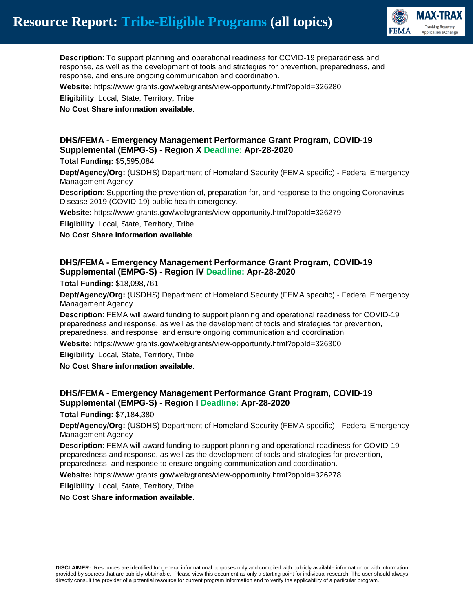

**Description**: To support planning and operational readiness for COVID-19 preparedness and response, as well as the development of tools and strategies for prevention, preparedness, and response, and ensure ongoing communication and coordination.

**Website:** https://www.grants.gov/web/grants/view-opportunity.html?oppId=326280

**Eligibility**: Local, State, Territory, Tribe

**No Cost Share information available**.

#### **DHS/FEMA - Emergency Management Performance Grant Program, COVID-19 Supplemental (EMPG-S) - Region X Deadline: Apr-28-2020**

**Total Funding:** \$5,595,084

**Dept/Agency/Org:** (USDHS) Department of Homeland Security (FEMA specific) - Federal Emergency Management Agency

**Description**: Supporting the prevention of, preparation for, and response to the ongoing Coronavirus Disease 2019 (COVID-19) public health emergency.

**Website:** https://www.grants.gov/web/grants/view-opportunity.html?oppId=326279

**Eligibility**: Local, State, Territory, Tribe

**No Cost Share information available**.

#### **DHS/FEMA - Emergency Management Performance Grant Program, COVID-19 Supplemental (EMPG-S) - Region IV Deadline: Apr-28-2020**

**Total Funding:** \$18,098,761

**Dept/Agency/Org:** (USDHS) Department of Homeland Security (FEMA specific) - Federal Emergency Management Agency

**Description**: FEMA will award funding to support planning and operational readiness for COVID-19 preparedness and response, as well as the development of tools and strategies for prevention, preparedness, and response, and ensure ongoing communication and coordination

**Website:** https://www.grants.gov/web/grants/view-opportunity.html?oppId=326300

**Eligibility**: Local, State, Territory, Tribe

**No Cost Share information available**.

## **DHS/FEMA - Emergency Management Performance Grant Program, COVID-19 Supplemental (EMPG-S) - Region I Deadline: Apr-28-2020**

**Total Funding:** \$7,184,380

**Dept/Agency/Org:** (USDHS) Department of Homeland Security (FEMA specific) - Federal Emergency Management Agency

**Description**: FEMA will award funding to support planning and operational readiness for COVID-19 preparedness and response, as well as the development of tools and strategies for prevention, preparedness, and response to ensure ongoing communication and coordination.

**Website:** https://www.grants.gov/web/grants/view-opportunity.html?oppId=326278

**Eligibility**: Local, State, Territory, Tribe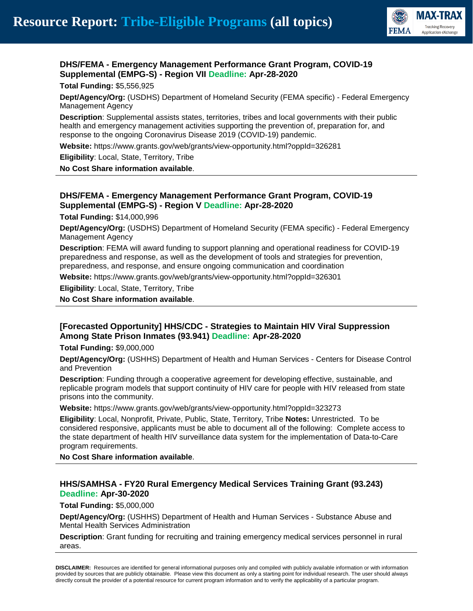

# **DHS/FEMA - Emergency Management Performance Grant Program, COVID-19 Supplemental (EMPG-S) - Region VII Deadline: Apr-28-2020**

**Total Funding:** \$5,556,925

**Dept/Agency/Org:** (USDHS) Department of Homeland Security (FEMA specific) - Federal Emergency Management Agency

**Description**: Supplemental assists states, territories, tribes and local governments with their public health and emergency management activities supporting the prevention of, preparation for, and response to the ongoing Coronavirus Disease 2019 (COVID-19) pandemic.

**Website:** https://www.grants.gov/web/grants/view-opportunity.html?oppId=326281

**Eligibility**: Local, State, Territory, Tribe

**No Cost Share information available**.

## **DHS/FEMA - Emergency Management Performance Grant Program, COVID-19 Supplemental (EMPG-S) - Region V Deadline: Apr-28-2020**

**Total Funding:** \$14,000,996

**Dept/Agency/Org:** (USDHS) Department of Homeland Security (FEMA specific) - Federal Emergency Management Agency

**Description**: FEMA will award funding to support planning and operational readiness for COVID-19 preparedness and response, as well as the development of tools and strategies for prevention, preparedness, and response, and ensure ongoing communication and coordination

**Website:** https://www.grants.gov/web/grants/view-opportunity.html?oppId=326301

**Eligibility**: Local, State, Territory, Tribe

**No Cost Share information available**.

#### **[Forecasted Opportunity] HHS/CDC - Strategies to Maintain HIV Viral Suppression Among State Prison Inmates (93.941) Deadline: Apr-28-2020**

**Total Funding:** \$9,000,000

**Dept/Agency/Org:** (USHHS) Department of Health and Human Services - Centers for Disease Control and Prevention

**Description**: Funding through a cooperative agreement for developing effective, sustainable, and replicable program models that support continuity of HIV care for people with HIV released from state prisons into the community.

**Website:** https://www.grants.gov/web/grants/view-opportunity.html?oppId=323273

**Eligibility**: Local, Nonprofit, Private, Public, State, Territory, Tribe **Notes:** Unrestricted. To be considered responsive, applicants must be able to document all of the following: Complete access to the state department of health HIV surveillance data system for the implementation of Data-to-Care program requirements.

**No Cost Share information available**.

#### **HHS/SAMHSA - FY20 Rural Emergency Medical Services Training Grant (93.243) Deadline: Apr-30-2020**

**Total Funding:** \$5,000,000

**Dept/Agency/Org:** (USHHS) Department of Health and Human Services - Substance Abuse and Mental Health Services Administration

**Description**: Grant funding for recruiting and training emergency medical services personnel in rural areas.

**DISCLAIMER:** Resources are identified for general informational purposes only and compiled with publicly available information or with information provided by sources that are publicly obtainable. Please view this document as only a starting point for individual research. The user should always directly consult the provider of a potential resource for current program information and to verify the applicability of a particular program.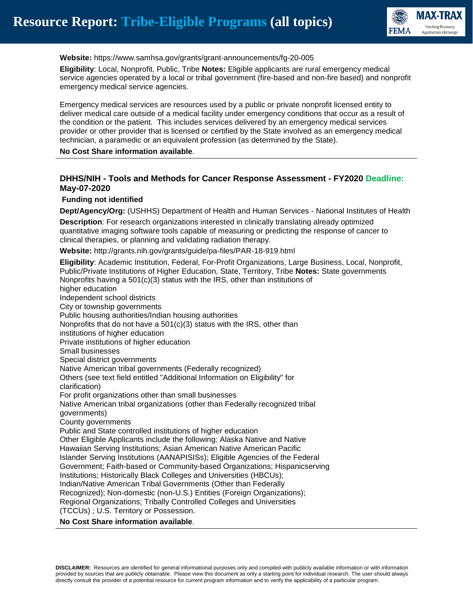

**Website:** https://www.samhsa.gov/grants/grant-announcements/fg-20-005

**Eligibility**: Local, Nonprofit, Public, Tribe **Notes:** Eligible applicants are rural emergency medical service agencies operated by a local or tribal government (fire-based and non-fire based) and nonprofit emergency medical service agencies.

Emergency medical services are resources used by a public or private nonprofit licensed entity to deliver medical care outside of a medical facility under emergency conditions that occur as a result of the condition or the patient. This includes services delivered by an emergency medical services provider or other provider that is licensed or certified by the State involved as an emergency medical technician, a paramedic or an equivalent profession (as determined by the State).

**No Cost Share information available**.

## **DHHS/NIH - Tools and Methods for Cancer Response Assessment - FY2020 Deadline: May-07-2020**

#### **Funding not identified**

**Dept/Agency/Org:** (USHHS) Department of Health and Human Services - National Institutes of Health

**Description**: For research organizations interested in clinically translating already optimized quantitative imaging software tools capable of measuring or predicting the response of cancer to clinical therapies, or planning and validating radiation therapy.

**Website:** http://grants.nih.gov/grants/guide/pa-files/PAR-18-919.html

**Eligibility**: Academic Institution, Federal, For-Profit Organizations, Large Business, Local, Nonprofit, Public/Private Institutions of Higher Education, State, Territory, Tribe **Notes:** State governments Nonprofits having a 501(c)(3) status with the IRS, other than institutions of higher education Independent school districts City or township governments Public housing authorities/Indian housing authorities Nonprofits that do not have a 501(c)(3) status with the IRS, other than institutions of higher education Private institutions of higher education Small businesses Special district governments Native American tribal governments (Federally recognized) Others (see text field entitled "Additional Information on Eligibility" for clarification) For profit organizations other than small businesses Native American tribal organizations (other than Federally recognized tribal governments) County governments Public and State controlled institutions of higher education Other Eligible Applicants include the following: Alaska Native and Native Hawaiian Serving Institutions; Asian American Native American Pacific Islander Serving Institutions (AANAPISISs); Eligible Agencies of the Federal Government; Faith-based or Community-based Organizations; Hispanicserving Institutions; Historically Black Colleges and Universities (HBCUs); Indian/Native American Tribal Governments (Other than Federally Recognized); Non-domestic (non-U.S.) Entities (Foreign Organizations); Regional Organizations; Tribally Controlled Colleges and Universities (TCCUs) ; U.S. Territory or Possession. **No Cost Share information available**.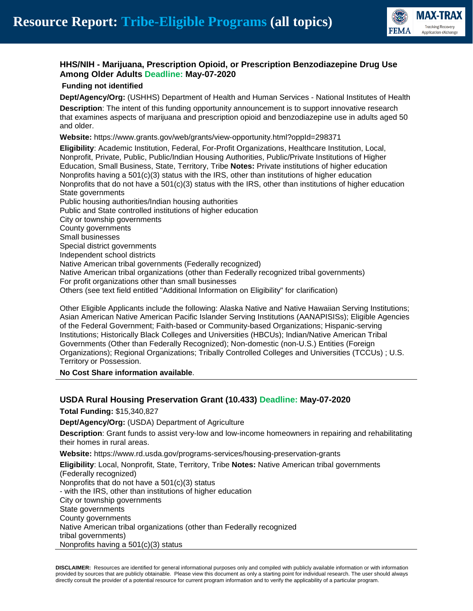

# **HHS/NIH - Marijuana, Prescription Opioid, or Prescription Benzodiazepine Drug Use Among Older Adults Deadline: May-07-2020**

#### **Funding not identified**

**Dept/Agency/Org:** (USHHS) Department of Health and Human Services - National Institutes of Health

**Description**: The intent of this funding opportunity announcement is to support innovative research that examines aspects of marijuana and prescription opioid and benzodiazepine use in adults aged 50 and older.

**Website:** https://www.grants.gov/web/grants/view-opportunity.html?oppId=298371

**Eligibility**: Academic Institution, Federal, For-Profit Organizations, Healthcare Institution, Local, Nonprofit, Private, Public, Public/Indian Housing Authorities, Public/Private Institutions of Higher Education, Small Business, State, Territory, Tribe **Notes:** Private institutions of higher education Nonprofits having a 501(c)(3) status with the IRS, other than institutions of higher education Nonprofits that do not have a 501(c)(3) status with the IRS, other than institutions of higher education State governments Public housing authorities/Indian housing authorities Public and State controlled institutions of higher education City or township governments County governments Small businesses Special district governments Independent school districts Native American tribal governments (Federally recognized) Native American tribal organizations (other than Federally recognized tribal governments) For profit organizations other than small businesses Others (see text field entitled "Additional Information on Eligibility" for clarification)

Other Eligible Applicants include the following: Alaska Native and Native Hawaiian Serving Institutions; Asian American Native American Pacific Islander Serving Institutions (AANAPISISs); Eligible Agencies of the Federal Government; Faith-based or Community-based Organizations; Hispanic-serving Institutions; Historically Black Colleges and Universities (HBCUs); Indian/Native American Tribal Governments (Other than Federally Recognized); Non-domestic (non-U.S.) Entities (Foreign Organizations); Regional Organizations; Tribally Controlled Colleges and Universities (TCCUs) ; U.S. Territory or Possession.

**No Cost Share information available**.

# **USDA Rural Housing Preservation Grant (10.433) Deadline: May-07-2020**

**Total Funding:** \$15,340,827

**Dept/Agency/Org:** (USDA) Department of Agriculture

**Description**: Grant funds to assist very-low and low-income homeowners in repairing and rehabilitating their homes in rural areas.

**Website:** https://www.rd.usda.gov/programs-services/housing-preservation-grants

**Eligibility**: Local, Nonprofit, State, Territory, Tribe **Notes:** Native American tribal governments (Federally recognized) Nonprofits that do not have a 501(c)(3) status - with the IRS, other than institutions of higher education City or township governments State governments County governments Native American tribal organizations (other than Federally recognized tribal governments) Nonprofits having a 501(c)(3) status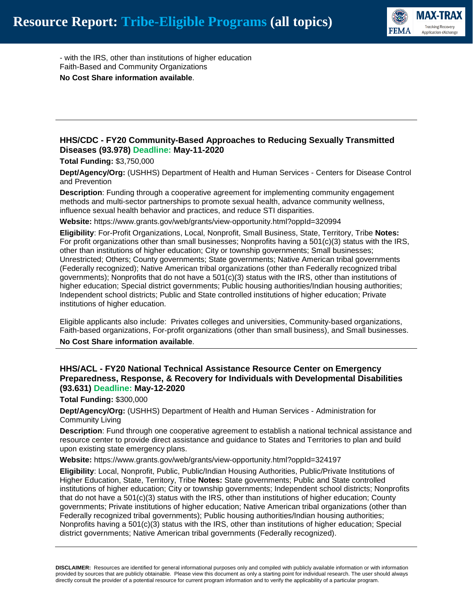

- with the IRS, other than institutions of higher education Faith-Based and Community Organizations **No Cost Share information available**.

## **HHS/CDC - FY20 Community-Based Approaches to Reducing Sexually Transmitted Diseases (93.978) Deadline: May-11-2020**

**Total Funding:** \$3,750,000

**Dept/Agency/Org:** (USHHS) Department of Health and Human Services - Centers for Disease Control and Prevention

**Description**: Funding through a cooperative agreement for implementing community engagement methods and multi-sector partnerships to promote sexual health, advance community wellness, influence sexual health behavior and practices, and reduce STI disparities.

**Website:** https://www.grants.gov/web/grants/view-opportunity.html?oppId=320994

**Eligibility**: For-Profit Organizations, Local, Nonprofit, Small Business, State, Territory, Tribe **Notes:** For profit organizations other than small businesses; Nonprofits having a 501(c)(3) status with the IRS, other than institutions of higher education; City or township governments; Small businesses; Unrestricted; Others; County governments; State governments; Native American tribal governments (Federally recognized); Native American tribal organizations (other than Federally recognized tribal governments); Nonprofits that do not have a 501(c)(3) status with the IRS, other than institutions of higher education; Special district governments; Public housing authorities/Indian housing authorities; Independent school districts; Public and State controlled institutions of higher education; Private institutions of higher education.

Eligible applicants also include: Privates colleges and universities, Community-based organizations, Faith-based organizations, For-profit organizations (other than small business), and Small businesses.

**No Cost Share information available**.

#### **HHS/ACL - FY20 National Technical Assistance Resource Center on Emergency Preparedness, Response, & Recovery for Individuals with Developmental Disabilities (93.631) Deadline: May-12-2020**

**Total Funding:** \$300,000

**Dept/Agency/Org:** (USHHS) Department of Health and Human Services - Administration for Community Living

**Description**: Fund through one cooperative agreement to establish a national technical assistance and resource center to provide direct assistance and guidance to States and Territories to plan and build upon existing state emergency plans.

**Website:** https://www.grants.gov/web/grants/view-opportunity.html?oppId=324197

**Eligibility**: Local, Nonprofit, Public, Public/Indian Housing Authorities, Public/Private Institutions of Higher Education, State, Territory, Tribe **Notes:** State governments; Public and State controlled institutions of higher education; City or township governments; Independent school districts; Nonprofits that do not have a 501(c)(3) status with the IRS, other than institutions of higher education; County governments; Private institutions of higher education; Native American tribal organizations (other than Federally recognized tribal governments); Public housing authorities/Indian housing authorities; Nonprofits having a 501(c)(3) status with the IRS, other than institutions of higher education; Special district governments; Native American tribal governments (Federally recognized).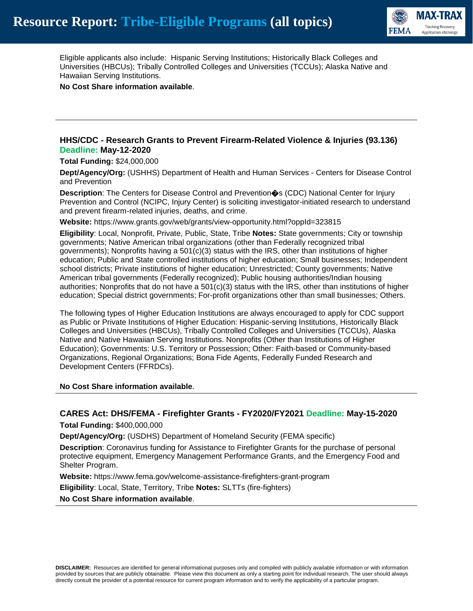

Eligible applicants also include: Hispanic Serving Institutions; Historically Black Colleges and Universities (HBCUs); Tribally Controlled Colleges and Universities (TCCUs); Alaska Native and Hawaiian Serving Institutions.

**No Cost Share information available**.

#### **HHS/CDC - Research Grants to Prevent Firearm-Related Violence & Injuries (93.136) Deadline: May-12-2020**

**Total Funding:** \$24,000,000

**Dept/Agency/Org:** (USHHS) Department of Health and Human Services - Centers for Disease Control and Prevention

**Description**: The Centers for Disease Control and Prevention�s (CDC) National Center for Injury Prevention and Control (NCIPC, Injury Center) is soliciting investigator-initiated research to understand and prevent firearm-related injuries, deaths, and crime.

**Website:** https://www.grants.gov/web/grants/view-opportunity.html?oppId=323815

**Eligibility**: Local, Nonprofit, Private, Public, State, Tribe **Notes:** State governments; City or township governments; Native American tribal organizations (other than Federally recognized tribal governments); Nonprofits having a  $501(c)(3)$  status with the IRS, other than institutions of higher education; Public and State controlled institutions of higher education; Small businesses; Independent school districts; Private institutions of higher education; Unrestricted; County governments; Native American tribal governments (Federally recognized); Public housing authorities/Indian housing authorities; Nonprofits that do not have a 501(c)(3) status with the IRS, other than institutions of higher education; Special district governments; For-profit organizations other than small businesses; Others.

The following types of Higher Education Institutions are always encouraged to apply for CDC support as Public or Private Institutions of Higher Education: Hispanic-serving Institutions, Historically Black Colleges and Universities (HBCUs), Tribally Controlled Colleges and Universities (TCCUs), Alaska Native and Native Hawaiian Serving Institutions. Nonprofits (Other than Institutions of Higher Education); Governments: U.S. Territory or Possession; Other: Faith-based or Community-based Organizations, Regional Organizations; Bona Fide Agents, Federally Funded Research and Development Centers (FFRDCs).

**No Cost Share information available**.

#### **CARES Act: DHS/FEMA - Firefighter Grants - FY2020/FY2021 Deadline: May-15-2020**

**Total Funding:** \$400,000,000

**Dept/Agency/Org:** (USDHS) Department of Homeland Security (FEMA specific)

**Description**: Coronavirus funding for Assistance to Firefighter Grants for the purchase of personal protective equipment, Emergency Management Performance Grants, and the Emergency Food and Shelter Program.

**Website:** https://www.fema.gov/welcome-assistance-firefighters-grant-program

**Eligibility**: Local, State, Territory, Tribe **Notes:** SLTTs (fire-fighters)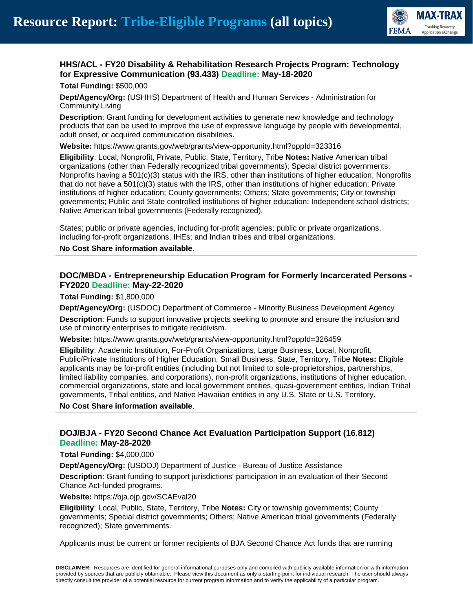

# **HHS/ACL - FY20 Disability & Rehabilitation Research Projects Program: Technology for Expressive Communication (93.433) Deadline: May-18-2020**

**Total Funding:** \$500,000

**Dept/Agency/Org:** (USHHS) Department of Health and Human Services - Administration for Community Living

**Description**: Grant funding for development activities to generate new knowledge and technology products that can be used to improve the use of expressive language by people with developmental, adult onset, or acquired communication disabilities.

**Website:** https://www.grants.gov/web/grants/view-opportunity.html?oppId=323316

**Eligibility**: Local, Nonprofit, Private, Public, State, Territory, Tribe **Notes:** Native American tribal organizations (other than Federally recognized tribal governments); Special district governments; Nonprofits having a 501(c)(3) status with the IRS, other than institutions of higher education; Nonprofits that do not have a 501(c)(3) status with the IRS, other than institutions of higher education; Private institutions of higher education; County governments; Others; State governments; City or township governments; Public and State controlled institutions of higher education; Independent school districts; Native American tribal governments (Federally recognized).

States; public or private agencies, including for-profit agencies; public or private organizations, including for-profit organizations, IHEs; and Indian tribes and tribal organizations.

**No Cost Share information available**.

## **DOC/MBDA - Entrepreneurship Education Program for Formerly Incarcerated Persons - FY2020 Deadline: May-22-2020**

**Total Funding:** \$1,800,000

**Dept/Agency/Org:** (USDOC) Department of Commerce - Minority Business Development Agency **Description**: Funds to support innovative projects seeking to promote and ensure the inclusion and use of minority enterprises to mitigate recidivism.

**Website:** https://www.grants.gov/web/grants/view-opportunity.html?oppId=326459

**Eligibility**: Academic Institution, For-Profit Organizations, Large Business, Local, Nonprofit, Public/Private Institutions of Higher Education, Small Business, State, Territory, Tribe **Notes:** Eligible applicants may be for-profit entities (including but not limited to sole-proprietorships, partnerships, limited liability companies, and corporations), non-profit organizations, institutions of higher education, commercial organizations, state and local government entities, quasi-government entities, Indian Tribal governments, Tribal entities, and Native Hawaiian entities in any U.S. State or U.S. Territory.

**No Cost Share information available**.

## **DOJ/BJA - FY20 Second Chance Act Evaluation Participation Support (16.812) Deadline: May-28-2020**

**Total Funding:** \$4,000,000

**Dept/Agency/Org:** (USDOJ) Department of Justice - Bureau of Justice Assistance

**Description**: Grant funding to support jurisdictions' participation in an evaluation of their Second Chance Act-funded programs.

**Website:** https://bja.ojp.gov/SCAEval20

**Eligibility**: Local, Public, State, Territory, Tribe **Notes:** City or township governments; County governments; Special district governments; Others; Native American tribal governments (Federally recognized); State governments.

#### Applicants must be current or former recipients of BJA Second Chance Act funds that are running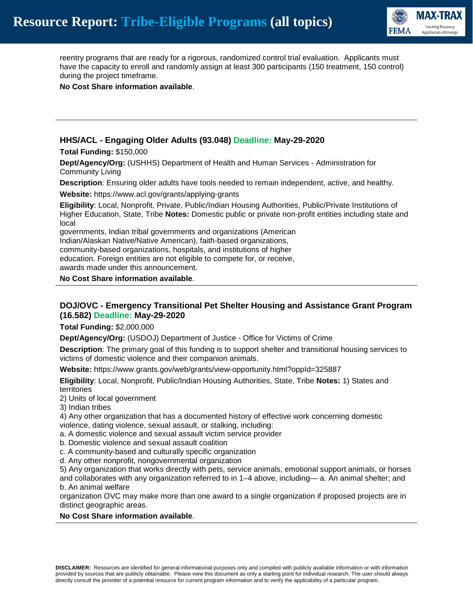

reentry programs that are ready for a rigorous, randomized control trial evaluation. Applicants must have the capacity to enroll and randomly assign at least 300 participants (150 treatment, 150 control) during the project timeframe.

**No Cost Share information available**.

## **HHS/ACL - Engaging Older Adults (93.048) Deadline: May-29-2020**

**Total Funding:** \$150,000

**Dept/Agency/Org:** (USHHS) Department of Health and Human Services - Administration for Community Living

**Description**: Ensuring older adults have tools needed to remain independent, active, and healthy.

**Website:** https://www.acl.gov/grants/applying-grants

**Eligibility**: Local, Nonprofit, Private, Public/Indian Housing Authorities, Public/Private Institutions of Higher Education, State, Tribe **Notes:** Domestic public or private non-profit entities including state and local

governments, Indian tribal governments and organizations (American Indian/Alaskan Native/Native American), faith-based organizations, community-based organizations, hospitals, and institutions of higher education. Foreign entities are not eligible to compete for, or receive, awards made under this announcement.

**No Cost Share information available**.

#### **DOJ/OVC - Emergency Transitional Pet Shelter Housing and Assistance Grant Program (16.582) Deadline: May-29-2020**

**Total Funding:** \$2,000,000

**Dept/Agency/Org:** (USDOJ) Department of Justice - Office for Victims of Crime

**Description**: The primary goal of this funding is to support shelter and transitional housing services to victims of domestic violence and their companion animals.

**Website:** https://www.grants.gov/web/grants/view-opportunity.html?oppId=325887

**Eligibility**: Local, Nonprofit, Public/Indian Housing Authorities, State, Tribe **Notes:** 1) States and territories

2) Units of local government

3) Indian tribes

4) Any other organization that has a documented history of effective work concerning domestic violence, dating violence, sexual assault, or stalking, including:

a. A domestic violence and sexual assault victim service provider

b. Domestic violence and sexual assault coalition

c. A community-based and culturally specific organization

d. Any other nonprofit, nongovernmental organization

5) Any organization that works directly with pets, service animals, emotional support animals, or horses and collaborates with any organization referred to in 1–4 above, including— a. An animal shelter; and b. An animal welfare

organization OVC may make more than one award to a single organization if proposed projects are in distinct geographic areas.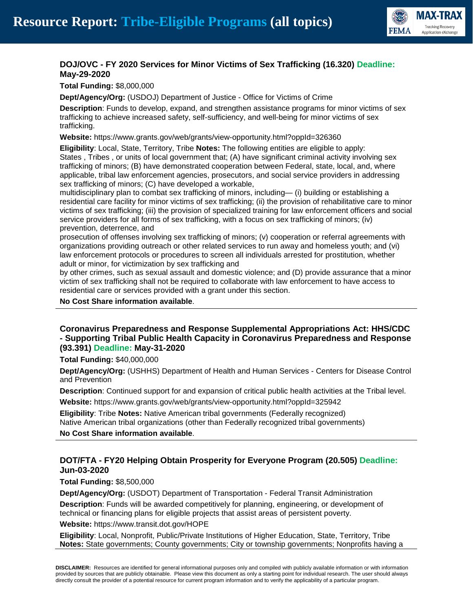

# **DOJ/OVC - FY 2020 Services for Minor Victims of Sex Trafficking (16.320) Deadline: May-29-2020**

**Total Funding:** \$8,000,000

**Dept/Agency/Org:** (USDOJ) Department of Justice - Office for Victims of Crime

**Description**: Funds to develop, expand, and strengthen assistance programs for minor victims of sex trafficking to achieve increased safety, self-sufficiency, and well-being for minor victims of sex trafficking.

**Website:** https://www.grants.gov/web/grants/view-opportunity.html?oppId=326360

**Eligibility**: Local, State, Territory, Tribe **Notes:** The following entities are eligible to apply: States , Tribes , or units of local government that; (A) have significant criminal activity involving sex trafficking of minors; (B) have demonstrated cooperation between Federal, state, local, and, where applicable, tribal law enforcement agencies, prosecutors, and social service providers in addressing sex trafficking of minors; (C) have developed a workable,

multidisciplinary plan to combat sex trafficking of minors, including— (i) building or establishing a residential care facility for minor victims of sex trafficking; (ii) the provision of rehabilitative care to minor victims of sex trafficking; (iii) the provision of specialized training for law enforcement officers and social service providers for all forms of sex trafficking, with a focus on sex trafficking of minors; (iv) prevention, deterrence, and

prosecution of offenses involving sex trafficking of minors; (v) cooperation or referral agreements with organizations providing outreach or other related services to run away and homeless youth; and (vi) law enforcement protocols or procedures to screen all individuals arrested for prostitution, whether adult or minor, for victimization by sex trafficking and

by other crimes, such as sexual assault and domestic violence; and (D) provide assurance that a minor victim of sex trafficking shall not be required to collaborate with law enforcement to have access to residential care or services provided with a grant under this section.

**No Cost Share information available**.

## **Coronavirus Preparedness and Response Supplemental Appropriations Act: HHS/CDC - Supporting Tribal Public Health Capacity in Coronavirus Preparedness and Response (93.391) Deadline: May-31-2020**

**Total Funding:** \$40,000,000

**Dept/Agency/Org:** (USHHS) Department of Health and Human Services - Centers for Disease Control and Prevention

**Description**: Continued support for and expansion of critical public health activities at the Tribal level.

**Website:** https://www.grants.gov/web/grants/view-opportunity.html?oppId=325942

**Eligibility**: Tribe **Notes:** Native American tribal governments (Federally recognized) Native American tribal organizations (other than Federally recognized tribal governments)

**No Cost Share information available**.

# **DOT/FTA - FY20 Helping Obtain Prosperity for Everyone Program (20.505) Deadline: Jun-03-2020**

#### **Total Funding:** \$8,500,000

**Dept/Agency/Org:** (USDOT) Department of Transportation - Federal Transit Administration **Description**: Funds will be awarded competitively for planning, engineering, or development of technical or financing plans for eligible projects that assist areas of persistent poverty.

**Website:** https://www.transit.dot.gov/HOPE

**Eligibility**: Local, Nonprofit, Public/Private Institutions of Higher Education, State, Territory, Tribe **Notes:** State governments; County governments; City or township governments; Nonprofits having a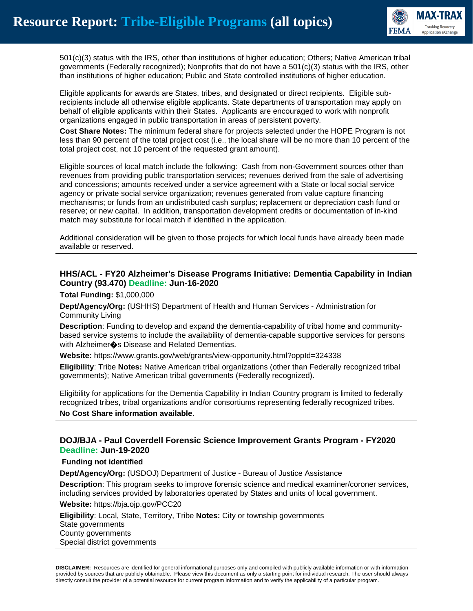

501(c)(3) status with the IRS, other than institutions of higher education; Others; Native American tribal governments (Federally recognized); Nonprofits that do not have a 501(c)(3) status with the IRS, other than institutions of higher education; Public and State controlled institutions of higher education.

Eligible applicants for awards are States, tribes, and designated or direct recipients. Eligible subrecipients include all otherwise eligible applicants. State departments of transportation may apply on behalf of eligible applicants within their States. Applicants are encouraged to work with nonprofit organizations engaged in public transportation in areas of persistent poverty.

**Cost Share Notes:** The minimum federal share for projects selected under the HOPE Program is not less than 90 percent of the total project cost (i.e., the local share will be no more than 10 percent of the total project cost, not 10 percent of the requested grant amount).

Eligible sources of local match include the following: Cash from non-Government sources other than revenues from providing public transportation services; revenues derived from the sale of advertising and concessions; amounts received under a service agreement with a State or local social service agency or private social service organization; revenues generated from value capture financing mechanisms; or funds from an undistributed cash surplus; replacement or depreciation cash fund or reserve; or new capital. In addition, transportation development credits or documentation of in-kind match may substitute for local match if identified in the application.

Additional consideration will be given to those projects for which local funds have already been made available or reserved.

#### **HHS/ACL - FY20 Alzheimer's Disease Programs Initiative: Dementia Capability in Indian Country (93.470) Deadline: Jun-16-2020**

**Total Funding:** \$1,000,000

**Dept/Agency/Org:** (USHHS) Department of Health and Human Services - Administration for Community Living

**Description**: Funding to develop and expand the dementia-capability of tribal home and communitybased service systems to include the availability of dementia-capable supportive services for persons with Alzheimer $\clubsuit$ s Disease and Related Dementias.

**Website:** https://www.grants.gov/web/grants/view-opportunity.html?oppId=324338

**Eligibility**: Tribe **Notes:** Native American tribal organizations (other than Federally recognized tribal governments); Native American tribal governments (Federally recognized).

Eligibility for applications for the Dementia Capability in Indian Country program is limited to federally recognized tribes, tribal organizations and/or consortiums representing federally recognized tribes.

**No Cost Share information available**.

#### **DOJ/BJA - Paul Coverdell Forensic Science Improvement Grants Program - FY2020 Deadline: Jun-19-2020**

#### **Funding not identified**

**Dept/Agency/Org:** (USDOJ) Department of Justice - Bureau of Justice Assistance

**Description**: This program seeks to improve forensic science and medical examiner/coroner services, including services provided by laboratories operated by States and units of local government.

**Website:** https://bja.ojp.gov/PCC20

**Eligibility**: Local, State, Territory, Tribe **Notes:** City or township governments State governments County governments Special district governments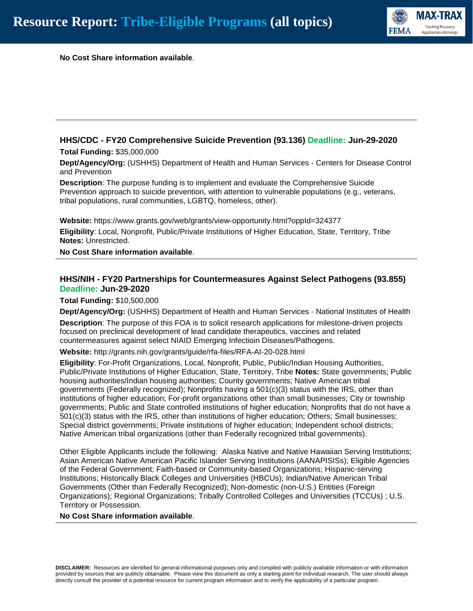

**No Cost Share information available**.

# **HHS/CDC - FY20 Comprehensive Suicide Prevention (93.136) Deadline: Jun-29-2020**

**Total Funding:** \$35,000,000

**Dept/Agency/Org:** (USHHS) Department of Health and Human Services - Centers for Disease Control and Prevention

**Description**: The purpose funding is to implement and evaluate the Comprehensive Suicide Prevention approach to suicide prevention, with attention to vulnerable populations (e.g., veterans, tribal populations, rural communities, LGBTQ, homeless, other).

**Website:** https://www.grants.gov/web/grants/view-opportunity.html?oppId=324377 **Eligibility**: Local, Nonprofit, Public/Private Institutions of Higher Education, State, Territory, Tribe **Notes:** Unrestricted.

**No Cost Share information available**.

#### **HHS/NIH - FY20 Partnerships for Countermeasures Against Select Pathogens (93.855) Deadline: Jun-29-2020**

**Total Funding:** \$10,500,000

**Dept/Agency/Org:** (USHHS) Department of Health and Human Services - National Institutes of Health

**Description**: The purpose of this FOA is to solicit research applications for milestone-driven projects focused on preclinical development of lead candidate therapeutics, vaccines and related countermeasures against select NIAID Emerging Infectioin Diseases/Pathogens.

**Website:** http://grants.nih.gov/grants/guide/rfa-files/RFA-AI-20-028.html

**Eligibility**: For-Profit Organizations, Local, Nonprofit, Public, Public/Indian Housing Authorities, Public/Private Institutions of Higher Education, State, Territory, Tribe **Notes:** State governments; Public housing authorities/Indian housing authorities; County governments; Native American tribal governments (Federally recognized); Nonprofits having a 501(c)(3) status with the IRS, other than institutions of higher education; For-profit organizations other than small businesses; City or township governments; Public and State controlled institutions of higher education; Nonprofits that do not have a 501(c)(3) status with the IRS, other than institutions of higher education; Others; Small businesses; Special district governments; Private institutions of higher education; Independent school districts; Native American tribal organizations (other than Federally recognized tribal governments).

Other Eligible Applicants include the following: Alaska Native and Native Hawaiian Serving Institutions; Asian American Native American Pacific Islander Serving Institutions (AANAPISISs); Eligible Agencies of the Federal Government; Faith-based or Community-based Organizations; Hispanic-serving Institutions; Historically Black Colleges and Universities (HBCUs); Indian/Native American Tribal Governments (Other than Federally Recognized); Non-domestic (non-U.S.) Entities (Foreign Organizations); Regional Organizations; Tribally Controlled Colleges and Universities (TCCUs) ; U.S. Territory or Possession.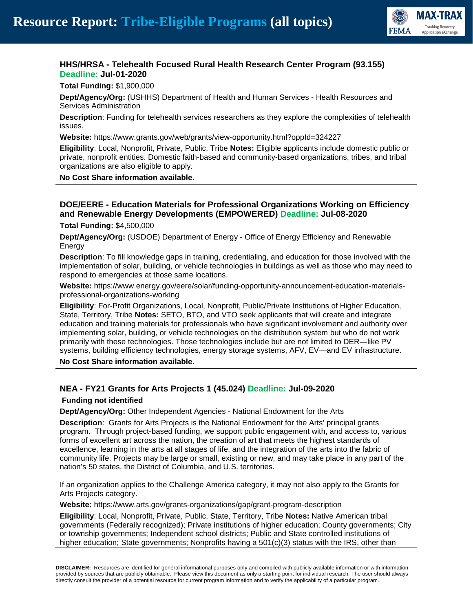

# **HHS/HRSA - Telehealth Focused Rural Health Research Center Program (93.155) Deadline: Jul-01-2020**

**Total Funding:** \$1,900,000

**Dept/Agency/Org:** (USHHS) Department of Health and Human Services - Health Resources and Services Administration

**Description**: Funding for telehealth services researchers as they explore the complexities of telehealth issues.

**Website:** https://www.grants.gov/web/grants/view-opportunity.html?oppId=324227

**Eligibility**: Local, Nonprofit, Private, Public, Tribe **Notes:** Eligible applicants include domestic public or private, nonprofit entities. Domestic faith-based and community-based organizations, tribes, and tribal organizations are also eligible to apply.

**No Cost Share information available**.

# **DOE/EERE - Education Materials for Professional Organizations Working on Efficiency and Renewable Energy Developments (EMPOWERED) Deadline: Jul-08-2020**

**Total Funding:** \$4,500,000

**Dept/Agency/Org:** (USDOE) Department of Energy - Office of Energy Efficiency and Renewable Energy

**Description**: To fill knowledge gaps in training, credentialing, and education for those involved with the implementation of solar, building, or vehicle technologies in buildings as well as those who may need to respond to emergencies at those same locations.

**Website:** https://www.energy.gov/eere/solar/funding-opportunity-announcement-education-materialsprofessional-organizations-working

**Eligibility**: For-Profit Organizations, Local, Nonprofit, Public/Private Institutions of Higher Education, State, Territory, Tribe **Notes:** SETO, BTO, and VTO seek applicants that will create and integrate education and training materials for professionals who have significant involvement and authority over implementing solar, building, or vehicle technologies on the distribution system but who do not work primarily with these technologies. Those technologies include but are not limited to DER—like PV systems, building efficiency technologies, energy storage systems, AFV, EV—and EV infrastructure.

**No Cost Share information available**.

# **NEA - FY21 Grants for Arts Projects 1 (45.024) Deadline: Jul-09-2020**

#### **Funding not identified**

**Dept/Agency/Org:** Other Independent Agencies - National Endowment for the Arts

**Description**: Grants for Arts Projects is the National Endowment for the Arts' principal grants program. Through project-based funding, we support public engagement with, and access to, various forms of excellent art across the nation, the creation of art that meets the highest standards of excellence, learning in the arts at all stages of life, and the integration of the arts into the fabric of community life. Projects may be large or small, existing or new, and may take place in any part of the nation's 50 states, the District of Columbia, and U.S. territories.

If an organization applies to the Challenge America category, it may not also apply to the Grants for Arts Projects category.

**Website:** https://www.arts.gov/grants-organizations/gap/grant-program-description

**Eligibility**: Local, Nonprofit, Private, Public, State, Territory, Tribe **Notes:** Native American tribal governments (Federally recognized); Private institutions of higher education; County governments; City or township governments; Independent school districts; Public and State controlled institutions of higher education; State governments; Nonprofits having a 501(c)(3) status with the IRS, other than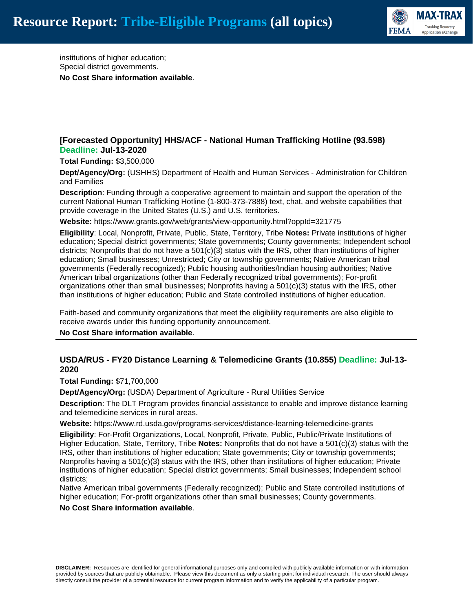

institutions of higher education; Special district governments. **No Cost Share information available**.

## **[Forecasted Opportunity] HHS/ACF - National Human Trafficking Hotline (93.598) Deadline: Jul-13-2020**

**Total Funding:** \$3,500,000

**Dept/Agency/Org:** (USHHS) Department of Health and Human Services - Administration for Children and Families

**Description**: Funding through a cooperative agreement to maintain and support the operation of the current National Human Trafficking Hotline (1-800-373-7888) text, chat, and website capabilities that provide coverage in the United States (U.S.) and U.S. territories.

**Website:** https://www.grants.gov/web/grants/view-opportunity.html?oppId=321775

**Eligibility**: Local, Nonprofit, Private, Public, State, Territory, Tribe **Notes:** Private institutions of higher education; Special district governments; State governments; County governments; Independent school districts; Nonprofits that do not have a  $501(c)(3)$  status with the IRS, other than institutions of higher education; Small businesses; Unrestricted; City or township governments; Native American tribal governments (Federally recognized); Public housing authorities/Indian housing authorities; Native American tribal organizations (other than Federally recognized tribal governments); For-profit organizations other than small businesses; Nonprofits having a 501(c)(3) status with the IRS, other than institutions of higher education; Public and State controlled institutions of higher education.

Faith-based and community organizations that meet the eligibility requirements are also eligible to receive awards under this funding opportunity announcement.

**No Cost Share information available**.

## **USDA/RUS - FY20 Distance Learning & Telemedicine Grants (10.855) Deadline: Jul-13- 2020**

**Total Funding:** \$71,700,000

**Dept/Agency/Org:** (USDA) Department of Agriculture - Rural Utilities Service

**Description**: The DLT Program provides financial assistance to enable and improve distance learning and telemedicine services in rural areas.

**Website:** https://www.rd.usda.gov/programs-services/distance-learning-telemedicine-grants

**Eligibility**: For-Profit Organizations, Local, Nonprofit, Private, Public, Public/Private Institutions of Higher Education, State, Territory, Tribe **Notes:** Nonprofits that do not have a 501(c)(3) status with the IRS, other than institutions of higher education; State governments; City or township governments; Nonprofits having a 501(c)(3) status with the IRS, other than institutions of higher education; Private institutions of higher education; Special district governments; Small businesses; Independent school districts;

Native American tribal governments (Federally recognized); Public and State controlled institutions of higher education; For-profit organizations other than small businesses; County governments.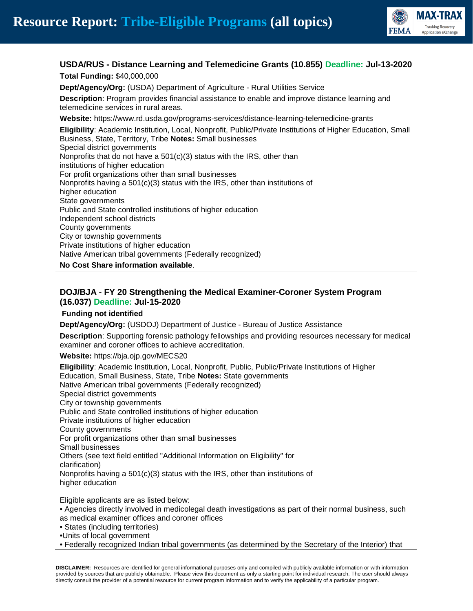

# **USDA/RUS - Distance Learning and Telemedicine Grants (10.855) Deadline: Jul-13-2020 Total Funding:** \$40,000,000

**Dept/Agency/Org:** (USDA) Department of Agriculture - Rural Utilities Service **Description**: Program provides financial assistance to enable and improve distance learning and telemedicine services in rural areas.

**Website:** https://www.rd.usda.gov/programs-services/distance-learning-telemedicine-grants

**Eligibility**: Academic Institution, Local, Nonprofit, Public/Private Institutions of Higher Education, Small Business, State, Territory, Tribe **Notes:** Small businesses Special district governments Nonprofits that do not have a 501(c)(3) status with the IRS, other than institutions of higher education For profit organizations other than small businesses Nonprofits having a  $501(c)(3)$  status with the IRS, other than institutions of higher education State governments Public and State controlled institutions of higher education Independent school districts County governments City or township governments Private institutions of higher education Native American tribal governments (Federally recognized)

**No Cost Share information available**.

# **DOJ/BJA - FY 20 Strengthening the Medical Examiner-Coroner System Program (16.037) Deadline: Jul-15-2020**

#### **Funding not identified**

**Dept/Agency/Org:** (USDOJ) Department of Justice - Bureau of Justice Assistance

**Description**: Supporting forensic pathology fellowships and providing resources necessary for medical examiner and coroner offices to achieve accreditation.

**Website:** https://bja.ojp.gov/MECS20

**Eligibility**: Academic Institution, Local, Nonprofit, Public, Public/Private Institutions of Higher Education, Small Business, State, Tribe **Notes:** State governments Native American tribal governments (Federally recognized) Special district governments City or township governments Public and State controlled institutions of higher education Private institutions of higher education County governments For profit organizations other than small businesses Small businesses Others (see text field entitled "Additional Information on Eligibility" for clarification) Nonprofits having a 501(c)(3) status with the IRS, other than institutions of higher education

Eligible applicants are as listed below:

- Agencies directly involved in medicolegal death investigations as part of their normal business, such as medical examiner offices and coroner offices
- States (including territories)
- •Units of local government
- Federally recognized Indian tribal governments (as determined by the Secretary of the Interior) that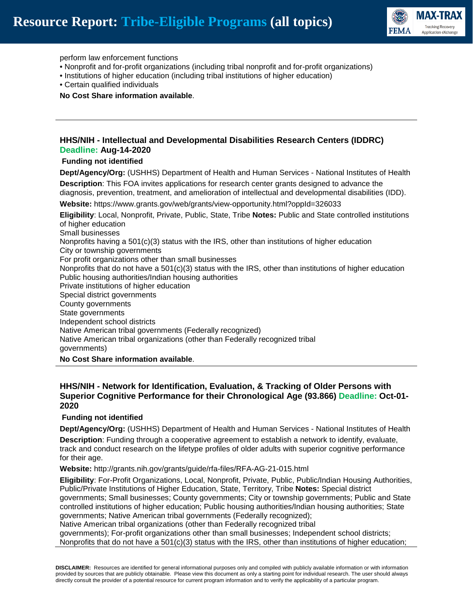

perform law enforcement functions

- Nonprofit and for-profit organizations (including tribal nonprofit and for-profit organizations)
- Institutions of higher education (including tribal institutions of higher education)
- Certain qualified individuals

**No Cost Share information available**.

#### **HHS/NIH - Intellectual and Developmental Disabilities Research Centers (IDDRC) Deadline: Aug-14-2020**

#### **Funding not identified**

**Dept/Agency/Org:** (USHHS) Department of Health and Human Services - National Institutes of Health **Description**: This FOA invites applications for research center grants designed to advance the diagnosis, prevention, treatment, and amelioration of intellectual and developmental disabilities (IDD). **Website:** https://www.grants.gov/web/grants/view-opportunity.html?oppId=326033 **Eligibility**: Local, Nonprofit, Private, Public, State, Tribe **Notes:** Public and State controlled institutions of higher education Small businesses Nonprofits having a  $501(c)(3)$  status with the IRS, other than institutions of higher education City or township governments For profit organizations other than small businesses Nonprofits that do not have a  $501(c)(3)$  status with the IRS, other than institutions of higher education

Public housing authorities/Indian housing authorities Private institutions of higher education Special district governments County governments State governments Independent school districts Native American tribal governments (Federally recognized) Native American tribal organizations (other than Federally recognized tribal governments)

**No Cost Share information available**.

#### **HHS/NIH - Network for Identification, Evaluation, & Tracking of Older Persons with Superior Cognitive Performance for their Chronological Age (93.866) Deadline: Oct-01- 2020**

#### **Funding not identified**

**Dept/Agency/Org:** (USHHS) Department of Health and Human Services - National Institutes of Health **Description**: Funding through a cooperative agreement to establish a network to identify, evaluate, track and conduct research on the lifetype profiles of older adults with superior cognitive performance

for their age.

**Website:** http://grants.nih.gov/grants/guide/rfa-files/RFA-AG-21-015.html

**Eligibility**: For-Profit Organizations, Local, Nonprofit, Private, Public, Public/Indian Housing Authorities, Public/Private Institutions of Higher Education, State, Territory, Tribe **Notes:** Special district governments; Small businesses; County governments; City or township governments; Public and State controlled institutions of higher education; Public housing authorities/Indian housing authorities; State governments; Native American tribal governments (Federally recognized);

Native American tribal organizations (other than Federally recognized tribal

governments); For-profit organizations other than small businesses; Independent school districts; Nonprofits that do not have a 501(c)(3) status with the IRS, other than institutions of higher education;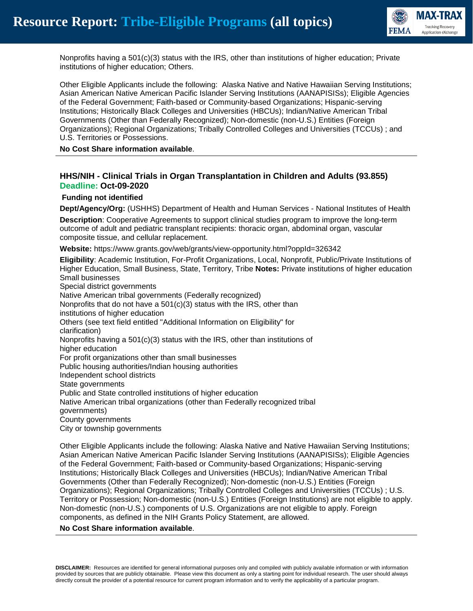

Nonprofits having a 501(c)(3) status with the IRS, other than institutions of higher education; Private institutions of higher education; Others.

Other Eligible Applicants include the following: Alaska Native and Native Hawaiian Serving Institutions; Asian American Native American Pacific Islander Serving Institutions (AANAPISISs); Eligible Agencies of the Federal Government; Faith-based or Community-based Organizations; Hispanic-serving Institutions; Historically Black Colleges and Universities (HBCUs); Indian/Native American Tribal Governments (Other than Federally Recognized); Non-domestic (non-U.S.) Entities (Foreign Organizations); Regional Organizations; Tribally Controlled Colleges and Universities (TCCUs) ; and U.S. Territories or Possessions.

**No Cost Share information available**.

## **HHS/NIH - Clinical Trials in Organ Transplantation in Children and Adults (93.855) Deadline: Oct-09-2020**

#### **Funding not identified**

**Dept/Agency/Org:** (USHHS) Department of Health and Human Services - National Institutes of Health

**Description**: Cooperative Agreements to support clinical studies program to improve the long-term outcome of adult and pediatric transplant recipients: thoracic organ, abdominal organ, vascular composite tissue, and cellular replacement.

**Website:** https://www.grants.gov/web/grants/view-opportunity.html?oppId=326342

**Eligibility**: Academic Institution, For-Profit Organizations, Local, Nonprofit, Public/Private Institutions of Higher Education, Small Business, State, Territory, Tribe **Notes:** Private institutions of higher education Small businesses Special district governments Native American tribal governments (Federally recognized) Nonprofits that do not have a  $501(c)(3)$  status with the IRS, other than institutions of higher education Others (see text field entitled "Additional Information on Eligibility" for clarification) Nonprofits having a  $501(c)(3)$  status with the IRS, other than institutions of higher education For profit organizations other than small businesses Public housing authorities/Indian housing authorities Independent school districts State governments Public and State controlled institutions of higher education Native American tribal organizations (other than Federally recognized tribal governments) County governments City or township governments

Other Eligible Applicants include the following: Alaska Native and Native Hawaiian Serving Institutions; Asian American Native American Pacific Islander Serving Institutions (AANAPISISs); Eligible Agencies of the Federal Government; Faith-based or Community-based Organizations; Hispanic-serving Institutions; Historically Black Colleges and Universities (HBCUs); Indian/Native American Tribal Governments (Other than Federally Recognized); Non-domestic (non-U.S.) Entities (Foreign Organizations); Regional Organizations; Tribally Controlled Colleges and Universities (TCCUs) ; U.S. Territory or Possession; Non-domestic (non-U.S.) Entities (Foreign Institutions) are not eligible to apply. Non-domestic (non-U.S.) components of U.S. Organizations are not eligible to apply. Foreign components, as defined in the NIH Grants Policy Statement, are allowed.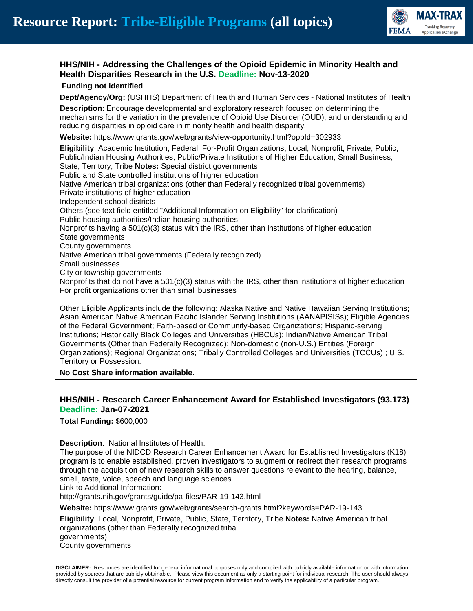

# **HHS/NIH - Addressing the Challenges of the Opioid Epidemic in Minority Health and Health Disparities Research in the U.S. Deadline: Nov-13-2020**

#### **Funding not identified**

**Dept/Agency/Org:** (USHHS) Department of Health and Human Services - National Institutes of Health

**Description**: Encourage developmental and exploratory research focused on determining the mechanisms for the variation in the prevalence of Opioid Use Disorder (OUD), and understanding and reducing disparities in opioid care in minority health and health disparity.

**Website:** https://www.grants.gov/web/grants/view-opportunity.html?oppId=302933

**Eligibility**: Academic Institution, Federal, For-Profit Organizations, Local, Nonprofit, Private, Public, Public/Indian Housing Authorities, Public/Private Institutions of Higher Education, Small Business, State, Territory, Tribe **Notes:** Special district governments Public and State controlled institutions of higher education Native American tribal organizations (other than Federally recognized tribal governments) Private institutions of higher education Independent school districts Others (see text field entitled "Additional Information on Eligibility" for clarification) Public housing authorities/Indian housing authorities Nonprofits having a  $501(c)(3)$  status with the IRS, other than institutions of higher education State governments County governments Native American tribal governments (Federally recognized) Small businesses City or township governments Nonprofits that do not have a  $501(c)(3)$  status with the IRS, other than institutions of higher education For profit organizations other than small businesses

Other Eligible Applicants include the following: Alaska Native and Native Hawaiian Serving Institutions; Asian American Native American Pacific Islander Serving Institutions (AANAPISISs); Eligible Agencies of the Federal Government; Faith-based or Community-based Organizations; Hispanic-serving Institutions; Historically Black Colleges and Universities (HBCUs); Indian/Native American Tribal Governments (Other than Federally Recognized); Non-domestic (non-U.S.) Entities (Foreign Organizations); Regional Organizations; Tribally Controlled Colleges and Universities (TCCUs) ; U.S. Territory or Possession.

#### **No Cost Share information available**.

## **HHS/NIH - Research Career Enhancement Award for Established Investigators (93.173) Deadline: Jan-07-2021**

**Total Funding:** \$600,000

#### **Description**: National Institutes of Health:

The purpose of the NIDCD Research Career Enhancement Award for Established Investigators (K18) program is to enable established, proven investigators to augment or redirect their research programs through the acquisition of new research skills to answer questions relevant to the hearing, balance, smell, taste, voice, speech and language sciences.

Link to Additional Information:

http://grants.nih.gov/grants/guide/pa-files/PAR-19-143.html

**Website:** https://www.grants.gov/web/grants/search-grants.html?keywords=PAR-19-143

**Eligibility**: Local, Nonprofit, Private, Public, State, Territory, Tribe **Notes:** Native American tribal organizations (other than Federally recognized tribal

governments)

County governments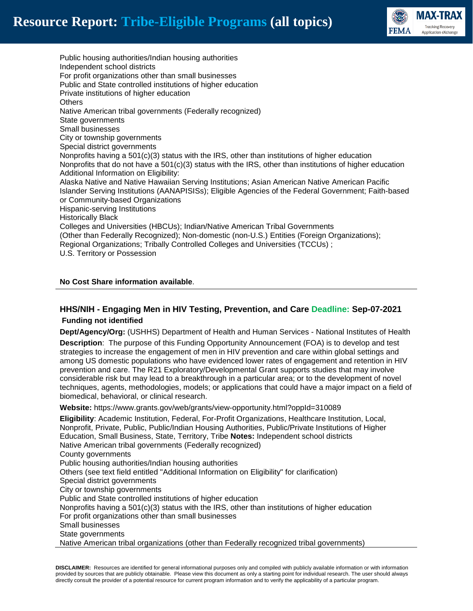

Public housing authorities/Indian housing authorities Independent school districts For profit organizations other than small businesses Public and State controlled institutions of higher education Private institutions of higher education **Others** Native American tribal governments (Federally recognized) State governments Small businesses City or township governments Special district governments Nonprofits having a  $501(c)(3)$  status with the IRS, other than institutions of higher education Nonprofits that do not have a  $501(c)(3)$  status with the IRS, other than institutions of higher education Additional Information on Eligibility: Alaska Native and Native Hawaiian Serving Institutions; Asian American Native American Pacific Islander Serving Institutions (AANAPISISs); Eligible Agencies of the Federal Government; Faith-based or Community-based Organizations Hispanic-serving Institutions Historically Black Colleges and Universities (HBCUs); Indian/Native American Tribal Governments (Other than Federally Recognized); Non-domestic (non-U.S.) Entities (Foreign Organizations); Regional Organizations; Tribally Controlled Colleges and Universities (TCCUs) ; U.S. Territory or Possession

**No Cost Share information available**.

# **HHS/NIH - Engaging Men in HIV Testing, Prevention, and Care Deadline: Sep-07-2021 Funding not identified**

**Dept/Agency/Org:** (USHHS) Department of Health and Human Services - National Institutes of Health

**Description**: The purpose of this Funding Opportunity Announcement (FOA) is to develop and test strategies to increase the engagement of men in HIV prevention and care within global settings and among US domestic populations who have evidenced lower rates of engagement and retention in HIV prevention and care. The R21 Exploratory/Developmental Grant supports studies that may involve considerable risk but may lead to a breakthrough in a particular area; or to the development of novel techniques, agents, methodologies, models; or applications that could have a major impact on a field of biomedical, behavioral, or clinical research.

**Website:** https://www.grants.gov/web/grants/view-opportunity.html?oppId=310089

**Eligibility**: Academic Institution, Federal, For-Profit Organizations, Healthcare Institution, Local, Nonprofit, Private, Public, Public/Indian Housing Authorities, Public/Private Institutions of Higher Education, Small Business, State, Territory, Tribe **Notes:** Independent school districts Native American tribal governments (Federally recognized) County governments Public housing authorities/Indian housing authorities Others (see text field entitled "Additional Information on Eligibility" for clarification) Special district governments City or township governments Public and State controlled institutions of higher education Nonprofits having a  $501(c)(3)$  status with the IRS, other than institutions of higher education For profit organizations other than small businesses Small businesses State governments Native American tribal organizations (other than Federally recognized tribal governments)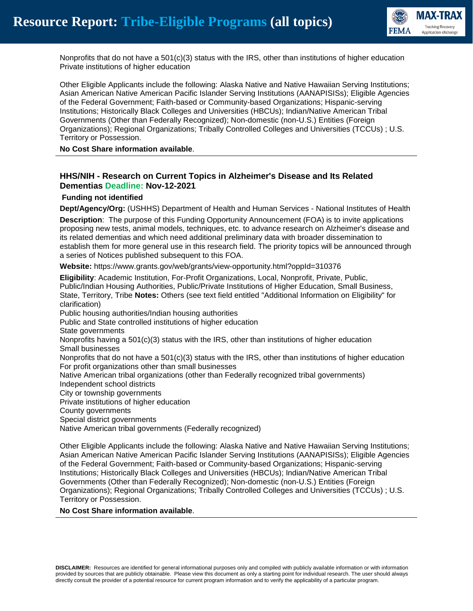

Nonprofits that do not have a 501(c)(3) status with the IRS, other than institutions of higher education Private institutions of higher education

Other Eligible Applicants include the following: Alaska Native and Native Hawaiian Serving Institutions; Asian American Native American Pacific Islander Serving Institutions (AANAPISISs); Eligible Agencies of the Federal Government; Faith-based or Community-based Organizations; Hispanic-serving Institutions; Historically Black Colleges and Universities (HBCUs); Indian/Native American Tribal Governments (Other than Federally Recognized); Non-domestic (non-U.S.) Entities (Foreign Organizations); Regional Organizations; Tribally Controlled Colleges and Universities (TCCUs) ; U.S. Territory or Possession.

**No Cost Share information available**.

## **HHS/NIH - Research on Current Topics in Alzheimer's Disease and Its Related Dementias Deadline: Nov-12-2021**

#### **Funding not identified**

**Dept/Agency/Org:** (USHHS) Department of Health and Human Services - National Institutes of Health

**Description**: The purpose of this Funding Opportunity Announcement (FOA) is to invite applications proposing new tests, animal models, techniques, etc. to advance research on Alzheimer's disease and its related dementias and which need additional preliminary data with broader dissemination to establish them for more general use in this research field. The priority topics will be announced through a series of Notices published subsequent to this FOA.

**Website:** https://www.grants.gov/web/grants/view-opportunity.html?oppId=310376

**Eligibility**: Academic Institution, For-Profit Organizations, Local, Nonprofit, Private, Public, Public/Indian Housing Authorities, Public/Private Institutions of Higher Education, Small Business, State, Territory, Tribe **Notes:** Others (see text field entitled "Additional Information on Eligibility" for clarification)

Public housing authorities/Indian housing authorities

Public and State controlled institutions of higher education

State governments

Nonprofits having a  $501(c)(3)$  status with the IRS, other than institutions of higher education Small businesses

Nonprofits that do not have a 501(c)(3) status with the IRS, other than institutions of higher education For profit organizations other than small businesses

Native American tribal organizations (other than Federally recognized tribal governments)

Independent school districts

City or township governments

Private institutions of higher education

County governments

Special district governments

Native American tribal governments (Federally recognized)

Other Eligible Applicants include the following: Alaska Native and Native Hawaiian Serving Institutions; Asian American Native American Pacific Islander Serving Institutions (AANAPISISs); Eligible Agencies of the Federal Government; Faith-based or Community-based Organizations; Hispanic-serving Institutions; Historically Black Colleges and Universities (HBCUs); Indian/Native American Tribal Governments (Other than Federally Recognized); Non-domestic (non-U.S.) Entities (Foreign Organizations); Regional Organizations; Tribally Controlled Colleges and Universities (TCCUs) ; U.S. Territory or Possession.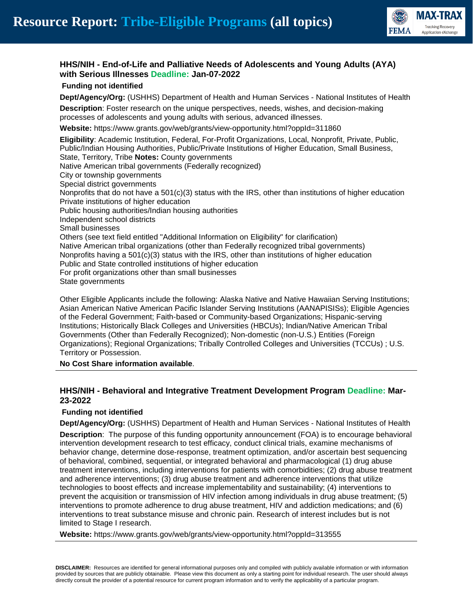

## **HHS/NIH - End-of-Life and Palliative Needs of Adolescents and Young Adults (AYA) with Serious Illnesses Deadline: Jan-07-2022**

### **Funding not identified**

**Dept/Agency/Org:** (USHHS) Department of Health and Human Services - National Institutes of Health

**Description**: Foster research on the unique perspectives, needs, wishes, and decision-making processes of adolescents and young adults with serious, advanced illnesses.

**Website:** https://www.grants.gov/web/grants/view-opportunity.html?oppId=311860

**Eligibility**: Academic Institution, Federal, For-Profit Organizations, Local, Nonprofit, Private, Public, Public/Indian Housing Authorities, Public/Private Institutions of Higher Education, Small Business, State, Territory, Tribe **Notes:** County governments Native American tribal governments (Federally recognized) City or township governments Special district governments Nonprofits that do not have a  $501(c)(3)$  status with the IRS, other than institutions of higher education Private institutions of higher education Public housing authorities/Indian housing authorities Independent school districts Small businesses Others (see text field entitled "Additional Information on Eligibility" for clarification) Native American tribal organizations (other than Federally recognized tribal governments) Nonprofits having a  $501(c)(3)$  status with the IRS, other than institutions of higher education Public and State controlled institutions of higher education For profit organizations other than small businesses State governments

Other Eligible Applicants include the following: Alaska Native and Native Hawaiian Serving Institutions; Asian American Native American Pacific Islander Serving Institutions (AANAPISISs); Eligible Agencies of the Federal Government; Faith-based or Community-based Organizations; Hispanic-serving Institutions; Historically Black Colleges and Universities (HBCUs); Indian/Native American Tribal Governments (Other than Federally Recognized); Non-domestic (non-U.S.) Entities (Foreign Organizations); Regional Organizations; Tribally Controlled Colleges and Universities (TCCUs) ; U.S. Territory or Possession.

#### **No Cost Share information available**.

## **HHS/NIH - Behavioral and Integrative Treatment Development Program Deadline: Mar-23-2022**

#### **Funding not identified**

**Dept/Agency/Org:** (USHHS) Department of Health and Human Services - National Institutes of Health

**Description**: The purpose of this funding opportunity announcement (FOA) is to encourage behavioral intervention development research to test efficacy, conduct clinical trials, examine mechanisms of behavior change, determine dose-response, treatment optimization, and/or ascertain best sequencing of behavioral, combined, sequential, or integrated behavioral and pharmacological (1) drug abuse treatment interventions, including interventions for patients with comorbidities; (2) drug abuse treatment and adherence interventions; (3) drug abuse treatment and adherence interventions that utilize technologies to boost effects and increase implementability and sustainability; (4) interventions to prevent the acquisition or transmission of HIV infection among individuals in drug abuse treatment; (5) interventions to promote adherence to drug abuse treatment, HIV and addiction medications; and (6) interventions to treat substance misuse and chronic pain. Research of interest includes but is not limited to Stage I research.

**Website:** https://www.grants.gov/web/grants/view-opportunity.html?oppId=313555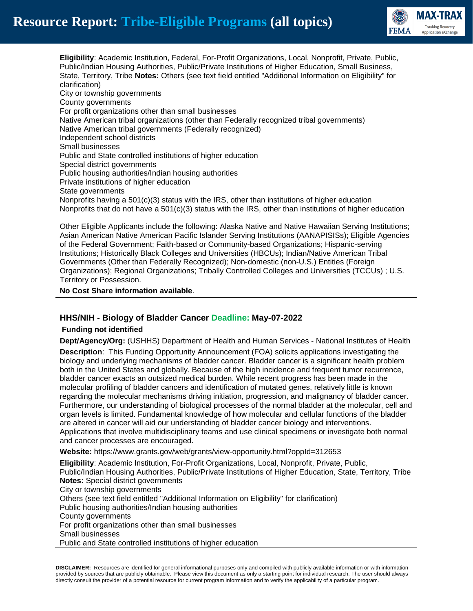

**Eligibility**: Academic Institution, Federal, For-Profit Organizations, Local, Nonprofit, Private, Public, Public/Indian Housing Authorities, Public/Private Institutions of Higher Education, Small Business, State, Territory, Tribe **Notes:** Others (see text field entitled "Additional Information on Eligibility" for clarification) City or township governments County governments For profit organizations other than small businesses Native American tribal organizations (other than Federally recognized tribal governments) Native American tribal governments (Federally recognized) Independent school districts Small businesses Public and State controlled institutions of higher education Special district governments Public housing authorities/Indian housing authorities Private institutions of higher education State governments Nonprofits having a  $501(c)(3)$  status with the IRS, other than institutions of higher education Nonprofits that do not have a  $501(c)(3)$  status with the IRS, other than institutions of higher education

Other Eligible Applicants include the following: Alaska Native and Native Hawaiian Serving Institutions; Asian American Native American Pacific Islander Serving Institutions (AANAPISISs); Eligible Agencies of the Federal Government; Faith-based or Community-based Organizations; Hispanic-serving Institutions; Historically Black Colleges and Universities (HBCUs); Indian/Native American Tribal Governments (Other than Federally Recognized); Non-domestic (non-U.S.) Entities (Foreign Organizations); Regional Organizations; Tribally Controlled Colleges and Universities (TCCUs) ; U.S. Territory or Possession.

**No Cost Share information available**.

## **HHS/NIH - Biology of Bladder Cancer Deadline: May-07-2022**

#### **Funding not identified**

**Dept/Agency/Org:** (USHHS) Department of Health and Human Services - National Institutes of Health **Description**: This Funding Opportunity Announcement (FOA) solicits applications investigating the biology and underlying mechanisms of bladder cancer. Bladder cancer is a significant health problem both in the United States and globally. Because of the high incidence and frequent tumor recurrence, bladder cancer exacts an outsized medical burden. While recent progress has been made in the molecular profiling of bladder cancers and identification of mutated genes, relatively little is known regarding the molecular mechanisms driving initiation, progression, and malignancy of bladder cancer. Furthermore, our understanding of biological processes of the normal bladder at the molecular, cell and organ levels is limited. Fundamental knowledge of how molecular and cellular functions of the bladder are altered in cancer will aid our understanding of bladder cancer biology and interventions. Applications that involve multidisciplinary teams and use clinical specimens or investigate both normal and cancer processes are encouraged.

**Website:** https://www.grants.gov/web/grants/view-opportunity.html?oppId=312653

**Eligibility**: Academic Institution, For-Profit Organizations, Local, Nonprofit, Private, Public, Public/Indian Housing Authorities, Public/Private Institutions of Higher Education, State, Territory, Tribe **Notes:** Special district governments City or township governments Others (see text field entitled "Additional Information on Eligibility" for clarification) Public housing authorities/Indian housing authorities County governments For profit organizations other than small businesses Small businesses Public and State controlled institutions of higher education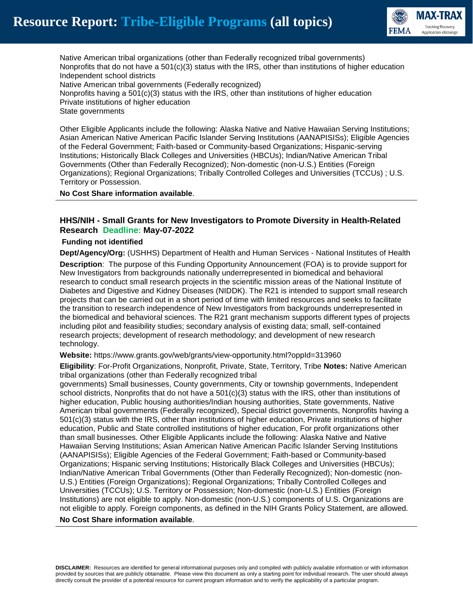

Native American tribal organizations (other than Federally recognized tribal governments) Nonprofits that do not have a  $501(c)(3)$  status with the IRS, other than institutions of higher education Independent school districts Native American tribal governments (Federally recognized)

Nonprofits having a 501(c)(3) status with the IRS, other than institutions of higher education Private institutions of higher education State governments

Other Eligible Applicants include the following: Alaska Native and Native Hawaiian Serving Institutions; Asian American Native American Pacific Islander Serving Institutions (AANAPISISs); Eligible Agencies of the Federal Government; Faith-based or Community-based Organizations; Hispanic-serving Institutions; Historically Black Colleges and Universities (HBCUs); Indian/Native American Tribal Governments (Other than Federally Recognized); Non-domestic (non-U.S.) Entities (Foreign Organizations); Regional Organizations; Tribally Controlled Colleges and Universities (TCCUs) ; U.S. Territory or Possession.

**No Cost Share information available**.

## **HHS/NIH - Small Grants for New Investigators to Promote Diversity in Health-Related Research Deadline: May-07-2022**

#### **Funding not identified**

**Dept/Agency/Org:** (USHHS) Department of Health and Human Services - National Institutes of Health

**Description**: The purpose of this Funding Opportunity Announcement (FOA) is to provide support for New Investigators from backgrounds nationally underrepresented in biomedical and behavioral research to conduct small research projects in the scientific mission areas of the National Institute of Diabetes and Digestive and Kidney Diseases (NIDDK). The R21 is intended to support small research projects that can be carried out in a short period of time with limited resources and seeks to facilitate the transition to research independence of New Investigators from backgrounds underrepresented in the biomedical and behavioral sciences. The R21 grant mechanism supports different types of projects including pilot and feasibility studies; secondary analysis of existing data; small, self-contained research projects; development of research methodology; and development of new research technology.

**Website:** https://www.grants.gov/web/grants/view-opportunity.html?oppId=313960

**Eligibility**: For-Profit Organizations, Nonprofit, Private, State, Territory, Tribe **Notes:** Native American tribal organizations (other than Federally recognized tribal

governments) Small businesses, County governments, City or township governments, Independent school districts, Nonprofits that do not have a  $501(c)(3)$  status with the IRS, other than institutions of higher education, Public housing authorities/Indian housing authorities, State governments, Native American tribal governments (Federally recognized), Special district governments, Nonprofits having a 501(c)(3) status with the IRS, other than institutions of higher education, Private institutions of higher education, Public and State controlled institutions of higher education, For profit organizations other than small businesses. Other Eligible Applicants include the following: Alaska Native and Native Hawaiian Serving Institutions; Asian American Native American Pacific Islander Serving Institutions (AANAPISISs); Eligible Agencies of the Federal Government; Faith-based or Community-based Organizations; Hispanic serving Institutions; Historically Black Colleges and Universities (HBCUs); Indian/Native American Tribal Governments (Other than Federally Recognized); Non-domestic (non-U.S.) Entities (Foreign Organizations); Regional Organizations; Tribally Controlled Colleges and Universities (TCCUs); U.S. Territory or Possession; Non-domestic (non-U.S.) Entities (Foreign Institutions) are not eligible to apply. Non-domestic (non-U.S.) components of U.S. Organizations are not eligible to apply. Foreign components, as defined in the NIH Grants Policy Statement, are allowed.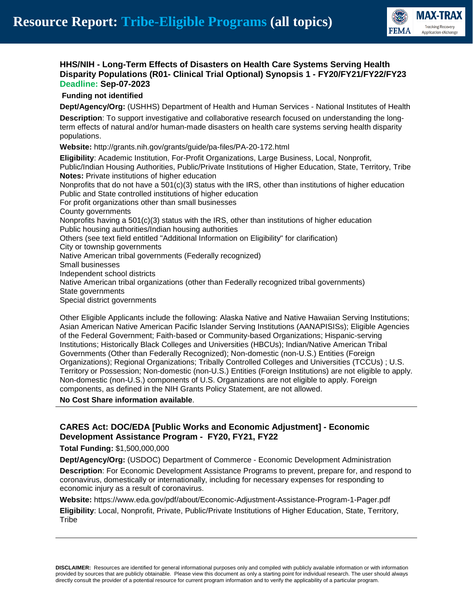

## **HHS/NIH - Long-Term Effects of Disasters on Health Care Systems Serving Health Disparity Populations (R01- Clinical Trial Optional) Synopsis 1 - FY20/FY21/FY22/FY23 Deadline: Sep-07-2023**

#### **Funding not identified**

**Dept/Agency/Org:** (USHHS) Department of Health and Human Services - National Institutes of Health

**Description**: To support investigative and collaborative research focused on understanding the longterm effects of natural and/or human-made disasters on health care systems serving health disparity populations.

**Website:** http://grants.nih.gov/grants/guide/pa-files/PA-20-172.html

**Eligibility**: Academic Institution, For-Profit Organizations, Large Business, Local, Nonprofit, Public/Indian Housing Authorities, Public/Private Institutions of Higher Education, State, Territory, Tribe **Notes:** Private institutions of higher education Nonprofits that do not have a  $501(c)(3)$  status with the IRS, other than institutions of higher education Public and State controlled institutions of higher education For profit organizations other than small businesses County governments Nonprofits having a  $501(c)(3)$  status with the IRS, other than institutions of higher education Public housing authorities/Indian housing authorities Others (see text field entitled "Additional Information on Eligibility" for clarification) City or township governments Native American tribal governments (Federally recognized) Small businesses Independent school districts Native American tribal organizations (other than Federally recognized tribal governments) State governments Special district governments

Other Eligible Applicants include the following: Alaska Native and Native Hawaiian Serving Institutions; Asian American Native American Pacific Islander Serving Institutions (AANAPISISs); Eligible Agencies of the Federal Government; Faith-based or Community-based Organizations; Hispanic-serving Institutions; Historically Black Colleges and Universities (HBCUs); Indian/Native American Tribal Governments (Other than Federally Recognized); Non-domestic (non-U.S.) Entities (Foreign Organizations); Regional Organizations; Tribally Controlled Colleges and Universities (TCCUs) ; U.S. Territory or Possession; Non-domestic (non-U.S.) Entities (Foreign Institutions) are not eligible to apply. Non-domestic (non-U.S.) components of U.S. Organizations are not eligible to apply. Foreign components, as defined in the NIH Grants Policy Statement, are not allowed.

**No Cost Share information available**.

## **CARES Act: DOC/EDA [Public Works and Economic Adjustment] - Economic Development Assistance Program - FY20, FY21, FY22**

**Total Funding:** \$1,500,000,000

**Dept/Agency/Org:** (USDOC) Department of Commerce - Economic Development Administration **Description**: For Economic Development Assistance Programs to prevent, prepare for, and respond to coronavirus, domestically or internationally, including for necessary expenses for responding to economic injury as a result of coronavirus.

**Website:** https://www.eda.gov/pdf/about/Economic-Adjustment-Assistance-Program-1-Pager.pdf

**Eligibility**: Local, Nonprofit, Private, Public/Private Institutions of Higher Education, State, Territory, **Tribe**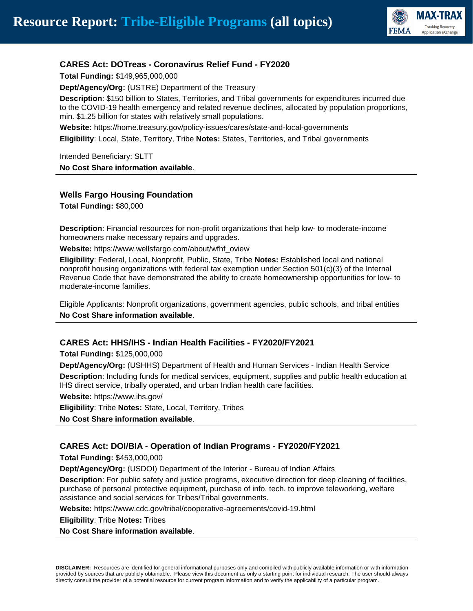

## **CARES Act: DOTreas - Coronavirus Relief Fund - FY2020**

**Total Funding:** \$149,965,000,000

**Dept/Agency/Org:** (USTRE) Department of the Treasury

**Description**: \$150 billion to States, Territories, and Tribal governments for expenditures incurred due to the COVID-19 health emergency and related revenue declines, allocated by population proportions, min. \$1.25 billion for states with relatively small populations.

**Website:** https://home.treasury.gov/policy-issues/cares/state-and-local-governments

**Eligibility**: Local, State, Territory, Tribe **Notes:** States, Territories, and Tribal governments

Intended Beneficiary: SLTT **No Cost Share information available**.

## **Wells Fargo Housing Foundation**

**Total Funding:** \$80,000

**Description**: Financial resources for non-profit organizations that help low- to moderate-income homeowners make necessary repairs and upgrades.

**Website:** https://www.wellsfargo.com/about/wfhf\_oview

**Eligibility**: Federal, Local, Nonprofit, Public, State, Tribe **Notes:** Established local and national nonprofit housing organizations with federal tax exemption under Section 501(c)(3) of the Internal Revenue Code that have demonstrated the ability to create homeownership opportunities for low- to moderate-income families.

Eligible Applicants: Nonprofit organizations, government agencies, public schools, and tribal entities **No Cost Share information available**.

## **CARES Act: HHS/IHS - Indian Health Facilities - FY2020/FY2021**

**Total Funding:** \$125,000,000

**Dept/Agency/Org:** (USHHS) Department of Health and Human Services - Indian Health Service **Description**: Including funds for medical services, equipment, supplies and public health education at IHS direct service, tribally operated, and urban Indian health care facilities.

**Website:** https://www.ihs.gov/

**Eligibility**: Tribe **Notes:** State, Local, Territory, Tribes

**No Cost Share information available**.

## **CARES Act: DOI/BIA - Operation of Indian Programs - FY2020/FY2021**

**Total Funding:** \$453,000,000

**Dept/Agency/Org:** (USDOI) Department of the Interior - Bureau of Indian Affairs

**Description**: For public safety and justice programs, executive direction for deep cleaning of facilities, purchase of personal protective equipment, purchase of info. tech. to improve teleworking, welfare assistance and social services for Tribes/Tribal governments.

**Website:** https://www.cdc.gov/tribal/cooperative-agreements/covid-19.html

**Eligibility**: Tribe **Notes:** Tribes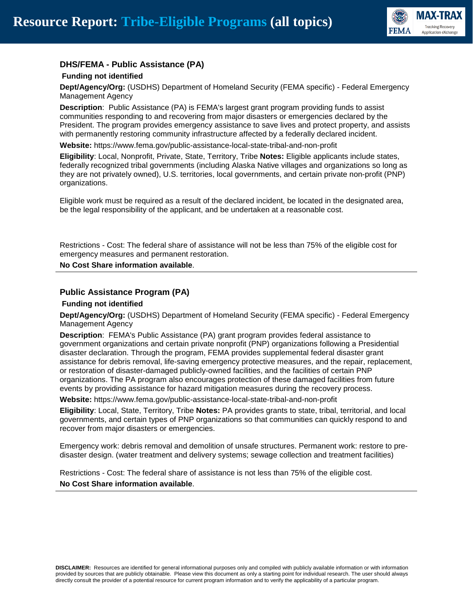

## **DHS/FEMA - Public Assistance (PA)**

#### **Funding not identified**

**Dept/Agency/Org:** (USDHS) Department of Homeland Security (FEMA specific) - Federal Emergency Management Agency

**Description**: Public Assistance (PA) is FEMA's largest grant program providing funds to assist communities responding to and recovering from major disasters or emergencies declared by the President. The program provides emergency assistance to save lives and protect property, and assists with permanently restoring community infrastructure affected by a federally declared incident.

**Website:** https://www.fema.gov/public-assistance-local-state-tribal-and-non-profit

**Eligibility**: Local, Nonprofit, Private, State, Territory, Tribe **Notes:** Eligible applicants include states, federally recognized tribal governments (including Alaska Native villages and organizations so long as they are not privately owned), U.S. territories, local governments, and certain private non-profit (PNP) organizations.

Eligible work must be required as a result of the declared incident, be located in the designated area, be the legal responsibility of the applicant, and be undertaken at a reasonable cost.

Restrictions - Cost: The federal share of assistance will not be less than 75% of the eligible cost for emergency measures and permanent restoration.

#### **No Cost Share information available**.

#### **Public Assistance Program (PA)**

#### **Funding not identified**

**Dept/Agency/Org:** (USDHS) Department of Homeland Security (FEMA specific) - Federal Emergency Management Agency

**Description**: FEMA's Public Assistance (PA) grant program provides federal assistance to government organizations and certain private nonprofit (PNP) organizations following a Presidential disaster declaration. Through the program, FEMA provides supplemental federal disaster grant assistance for debris removal, life-saving emergency protective measures, and the repair, replacement, or restoration of disaster-damaged publicly-owned facilities, and the facilities of certain PNP organizations. The PA program also encourages protection of these damaged facilities from future events by providing assistance for hazard mitigation measures during the recovery process.

**Website:** https://www.fema.gov/public-assistance-local-state-tribal-and-non-profit

**Eligibility**: Local, State, Territory, Tribe **Notes:** PA provides grants to state, tribal, territorial, and local governments, and certain types of PNP organizations so that communities can quickly respond to and recover from major disasters or emergencies.

Emergency work: debris removal and demolition of unsafe structures. Permanent work: restore to predisaster design. (water treatment and delivery systems; sewage collection and treatment facilities)

Restrictions - Cost: The federal share of assistance is not less than 75% of the eligible cost. **No Cost Share information available**.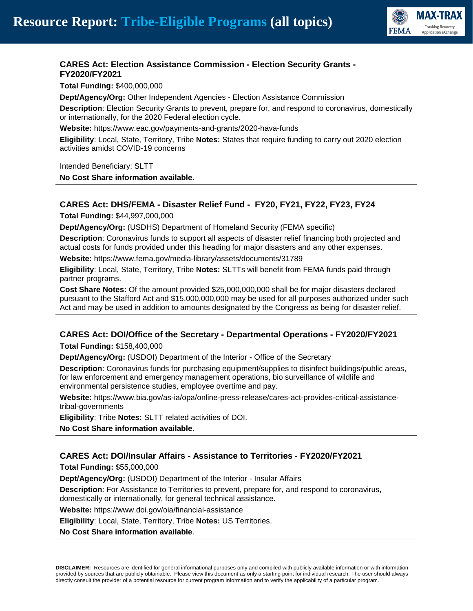

## **CARES Act: Election Assistance Commission - Election Security Grants - FY2020/FY2021**

**Total Funding:** \$400,000,000

**Dept/Agency/Org:** Other Independent Agencies - Election Assistance Commission

**Description**: Election Security Grants to prevent, prepare for, and respond to coronavirus, domestically or internationally, for the 2020 Federal election cycle.

**Website:** https://www.eac.gov/payments-and-grants/2020-hava-funds

**Eligibility**: Local, State, Territory, Tribe **Notes:** States that require funding to carry out 2020 election activities amidst COVID-19 concerns

Intended Beneficiary: SLTT

**No Cost Share information available**.

## **CARES Act: DHS/FEMA - Disaster Relief Fund - FY20, FY21, FY22, FY23, FY24**

**Total Funding:** \$44,997,000,000

**Dept/Agency/Org:** (USDHS) Department of Homeland Security (FEMA specific)

**Description**: Coronavirus funds to support all aspects of disaster relief financing both projected and actual costs for funds provided under this heading for major disasters and any other expenses.

**Website:** https://www.fema.gov/media-library/assets/documents/31789

**Eligibility**: Local, State, Territory, Tribe **Notes:** SLTTs will benefit from FEMA funds paid through partner programs.

**Cost Share Notes:** Of the amount provided \$25,000,000,000 shall be for major disasters declared pursuant to the Stafford Act and \$15,000,000,000 may be used for all purposes authorized under such Act and may be used in addition to amounts designated by the Congress as being for disaster relief.

## **CARES Act: DOI/Office of the Secretary - Departmental Operations - FY2020/FY2021**

**Total Funding:** \$158,400,000

**Dept/Agency/Org:** (USDOI) Department of the Interior - Office of the Secretary

**Description**: Coronavirus funds for purchasing equipment/supplies to disinfect buildings/public areas, for law enforcement and emergency management operations, bio surveillance of wildlife and environmental persistence studies, employee overtime and pay.

**Website:** https://www.bia.gov/as-ia/opa/online-press-release/cares-act-provides-critical-assistancetribal-governments

**Eligibility**: Tribe **Notes:** SLTT related activities of DOI.

**No Cost Share information available**.

## **CARES Act: DOI/Insular Affairs - Assistance to Territories - FY2020/FY2021**

**Total Funding:** \$55,000,000

**Dept/Agency/Org:** (USDOI) Department of the Interior - Insular Affairs

**Description**: For Assistance to Territories to prevent, prepare for, and respond to coronavirus, domestically or internationally, for general technical assistance.

**Website:** https://www.doi.gov/oia/financial-assistance

**Eligibility**: Local, State, Territory, Tribe **Notes:** US Territories.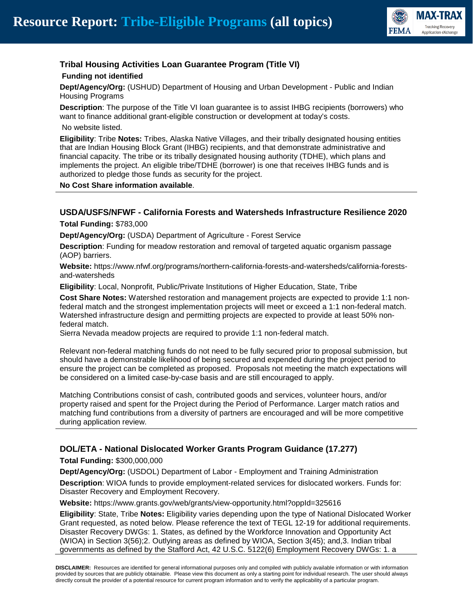

# **Tribal Housing Activities Loan Guarantee Program (Title VI)**

## **Funding not identified**

**Dept/Agency/Org:** (USHUD) Department of Housing and Urban Development - Public and Indian Housing Programs

**Description**: The purpose of the Title VI loan guarantee is to assist IHBG recipients (borrowers) who want to finance additional grant-eligible construction or development at today's costs.

No website listed.

**Eligibility**: Tribe **Notes:** Tribes, Alaska Native Villages, and their tribally designated housing entities that are Indian Housing Block Grant (IHBG) recipients, and that demonstrate administrative and financial capacity. The tribe or its tribally designated housing authority (TDHE), which plans and implements the project. An eligible tribe/TDHE (borrower) is one that receives IHBG funds and is authorized to pledge those funds as security for the project.

**No Cost Share information available**.

## **USDA/USFS/NFWF - California Forests and Watersheds Infrastructure Resilience 2020**

**Total Funding:** \$783,000

**Dept/Agency/Org:** (USDA) Department of Agriculture - Forest Service

**Description**: Funding for meadow restoration and removal of targeted aquatic organism passage (AOP) barriers.

**Website:** https://www.nfwf.org/programs/northern-california-forests-and-watersheds/california-forestsand-watersheds

**Eligibility**: Local, Nonprofit, Public/Private Institutions of Higher Education, State, Tribe

**Cost Share Notes:** Watershed restoration and management projects are expected to provide 1:1 nonfederal match and the strongest implementation projects will meet or exceed a 1:1 non-federal match. Watershed infrastructure design and permitting projects are expected to provide at least 50% nonfederal match.

Sierra Nevada meadow projects are required to provide 1:1 non-federal match.

Relevant non-federal matching funds do not need to be fully secured prior to proposal submission, but should have a demonstrable likelihood of being secured and expended during the project period to ensure the project can be completed as proposed. Proposals not meeting the match expectations will be considered on a limited case-by-case basis and are still encouraged to apply.

Matching Contributions consist of cash, contributed goods and services, volunteer hours, and/or property raised and spent for the Project during the Period of Performance. Larger match ratios and matching fund contributions from a diversity of partners are encouraged and will be more competitive during application review.

## **DOL/ETA - National Dislocated Worker Grants Program Guidance (17.277)**

**Total Funding:** \$300,000,000

**Dept/Agency/Org:** (USDOL) Department of Labor - Employment and Training Administration

**Description**: WIOA funds to provide employment-related services for dislocated workers. Funds for: Disaster Recovery and Employment Recovery.

**Website:** https://www.grants.gov/web/grants/view-opportunity.html?oppId=325616

**Eligibility**: State, Tribe **Notes:** Eligibility varies depending upon the type of National Dislocated Worker Grant requested, as noted below. Please reference the text of TEGL 12-19 for additional requirements. Disaster Recovery DWGs: 1. States, as defined by the Workforce Innovation and Opportunity Act (WIOA) in Section 3(56);2. Outlying areas as defined by WIOA, Section 3(45); and,3. Indian tribal governments as defined by the Stafford Act, 42 U.S.C. 5122(6) Employment Recovery DWGs: 1. a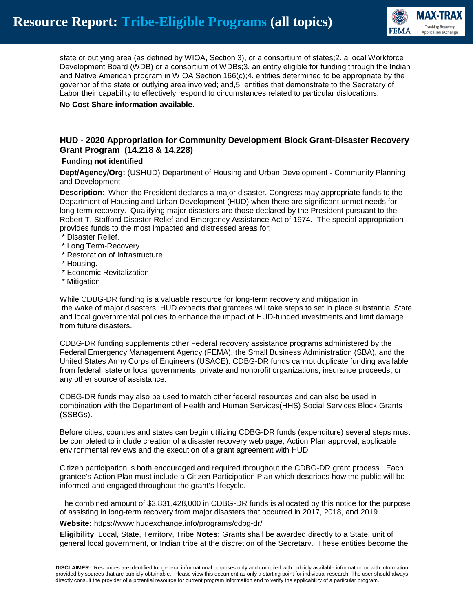

state or outlying area (as defined by WIOA, Section 3), or a consortium of states;2. a local Workforce Development Board (WDB) or a consortium of WDBs;3. an entity eligible for funding through the Indian and Native American program in WIOA Section 166(c);4. entities determined to be appropriate by the governor of the state or outlying area involved; and,5. entities that demonstrate to the Secretary of Labor their capability to effectively respond to circumstances related to particular dislocations.

## **No Cost Share information available**.

## **HUD - 2020 Appropriation for Community Development Block Grant-Disaster Recovery Grant Program (14.218 & 14.228)**

## **Funding not identified**

**Dept/Agency/Org:** (USHUD) Department of Housing and Urban Development - Community Planning and Development

**Description**: When the President declares a major disaster, Congress may appropriate funds to the Department of Housing and Urban Development (HUD) when there are significant unmet needs for long-term recovery. Qualifying major disasters are those declared by the President pursuant to the Robert T. Stafford Disaster Relief and Emergency Assistance Act of 1974. The special appropriation provides funds to the most impacted and distressed areas for:

#### \* Disaster Relief.

- \* Long Term-Recovery.
- \* Restoration of Infrastructure.
- \* Housing.
- \* Economic Revitalization.
- \* Mitigation

While CDBG-DR funding is a valuable resource for long-term recovery and mitigation in the wake of major disasters, HUD expects that grantees will take steps to set in place substantial State and local governmental policies to enhance the impact of HUD-funded investments and limit damage from future disasters.

CDBG-DR funding supplements other Federal recovery assistance programs administered by the Federal Emergency Management Agency (FEMA), the Small Business Administration (SBA), and the United States Army Corps of Engineers (USACE). CDBG-DR funds cannot duplicate funding available from federal, state or local governments, private and nonprofit organizations, insurance proceeds, or any other source of assistance.

CDBG-DR funds may also be used to match other federal resources and can also be used in combination with the Department of Health and Human Services(HHS) Social Services Block Grants (SSBGs).

Before cities, counties and states can begin utilizing CDBG-DR funds (expenditure) several steps must be completed to include creation of a disaster recovery web page, Action Plan approval, applicable environmental reviews and the execution of a grant agreement with HUD.

Citizen participation is both encouraged and required throughout the CDBG-DR grant process. Each grantee's Action Plan must include a Citizen Participation Plan which describes how the public will be informed and engaged throughout the grant's lifecycle.

The combined amount of \$3,831,428,000 in CDBG-DR funds is allocated by this notice for the purpose of assisting in long-term recovery from major disasters that occurred in 2017, 2018, and 2019.

**Website:** https://www.hudexchange.info/programs/cdbg-dr/

**Eligibility**: Local, State, Territory, Tribe **Notes:** Grants shall be awarded directly to a State, unit of general local government, or Indian tribe at the discretion of the Secretary. These entities become the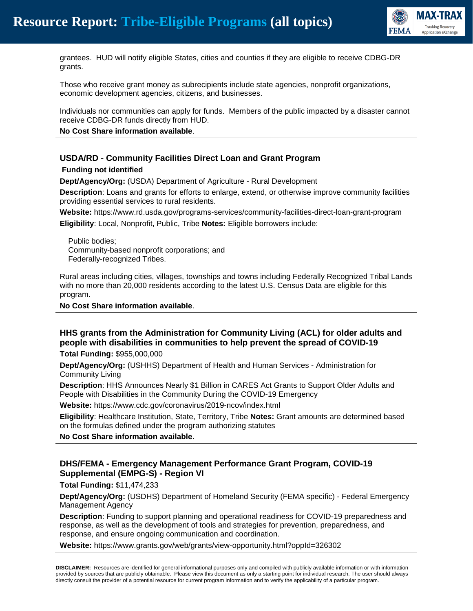

grantees. HUD will notify eligible States, cities and counties if they are eligible to receive CDBG-DR grants.

Those who receive grant money as subrecipients include state agencies, nonprofit organizations, economic development agencies, citizens, and businesses.

Individuals nor communities can apply for funds. Members of the public impacted by a disaster cannot receive CDBG-DR funds directly from HUD.

**No Cost Share information available**.

## **USDA/RD - Community Facilities Direct Loan and Grant Program**

#### **Funding not identified**

**Dept/Agency/Org:** (USDA) Department of Agriculture - Rural Development

**Description**: Loans and grants for efforts to enlarge, extend, or otherwise improve community facilities providing essential services to rural residents.

**Website:** https://www.rd.usda.gov/programs-services/community-facilities-direct-loan-grant-program **Eligibility**: Local, Nonprofit, Public, Tribe **Notes:** Eligible borrowers include:

 Public bodies; Community-based nonprofit corporations; and Federally-recognized Tribes.

Rural areas including cities, villages, townships and towns including Federally Recognized Tribal Lands with no more than 20,000 residents according to the latest U.S. Census Data are eligible for this program.

**No Cost Share information available**.

## **HHS grants from the Administration for Community Living (ACL) for older adults and people with disabilities in communities to help prevent the spread of COVID-19**

**Total Funding:** \$955,000,000

**Dept/Agency/Org:** (USHHS) Department of Health and Human Services - Administration for Community Living

**Description**: HHS Announces Nearly \$1 Billion in CARES Act Grants to Support Older Adults and People with Disabilities in the Community During the COVID-19 Emergency

**Website:** https://www.cdc.gov/coronavirus/2019-ncov/index.html

**Eligibility**: Healthcare Institution, State, Territory, Tribe **Notes:** Grant amounts are determined based on the formulas defined under the program authorizing statutes

**No Cost Share information available**.

## **DHS/FEMA - Emergency Management Performance Grant Program, COVID-19 Supplemental (EMPG-S) - Region VI**

**Total Funding:** \$11,474,233

**Dept/Agency/Org:** (USDHS) Department of Homeland Security (FEMA specific) - Federal Emergency Management Agency

**Description**: Funding to support planning and operational readiness for COVID-19 preparedness and response, as well as the development of tools and strategies for prevention, preparedness, and response, and ensure ongoing communication and coordination.

**Website:** https://www.grants.gov/web/grants/view-opportunity.html?oppId=326302

**DISCLAIMER:** Resources are identified for general informational purposes only and compiled with publicly available information or with information provided by sources that are publicly obtainable. Please view this document as only a starting point for individual research. The user should always directly consult the provider of a potential resource for current program information and to verify the applicability of a particular program.